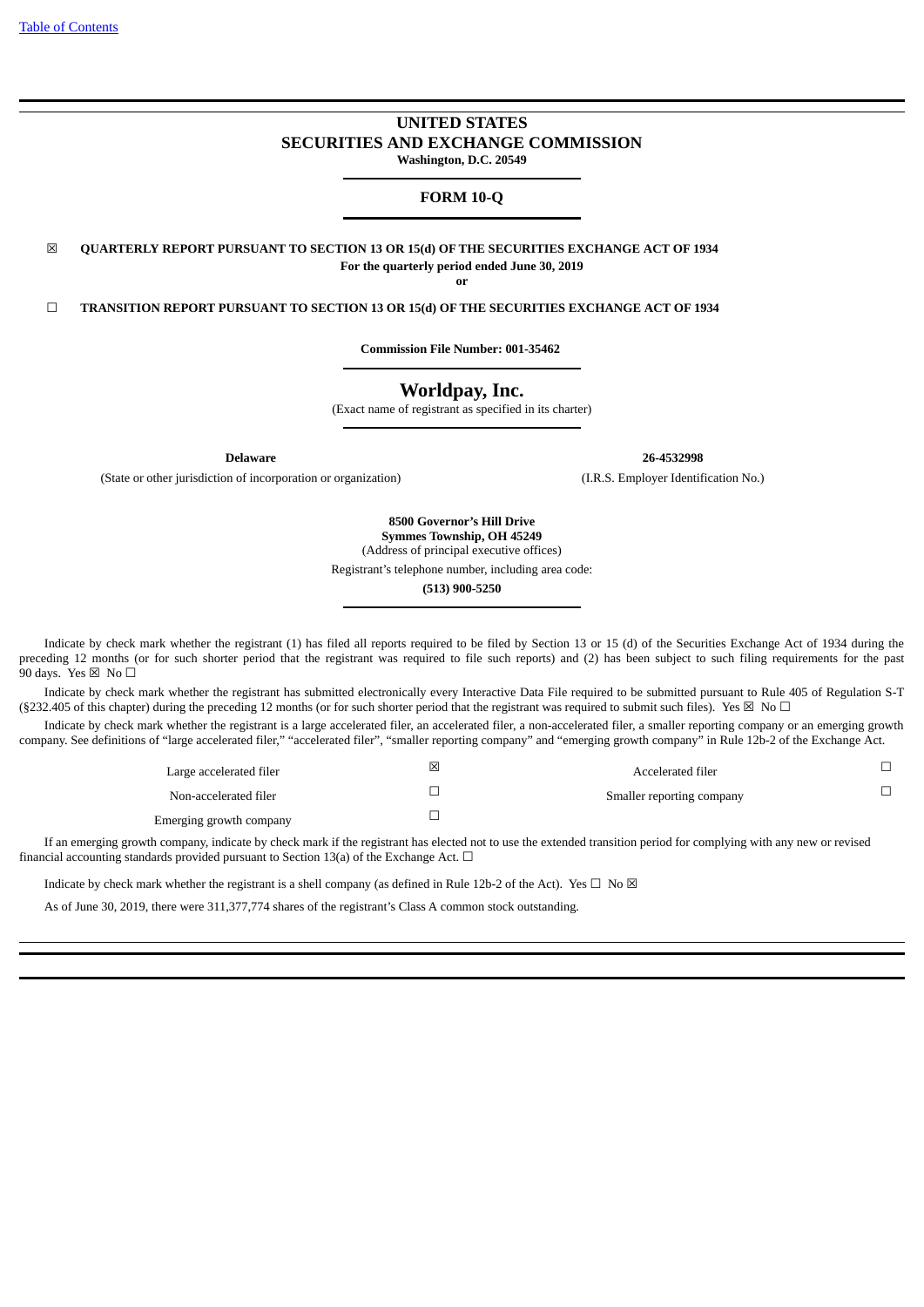## **UNITED STATES SECURITIES AND EXCHANGE COMMISSION Washington, D.C. 20549**

## **FORM 10-Q**

☒ **QUARTERLY REPORT PURSUANT TO SECTION 13 OR 15(d) OF THE SECURITIES EXCHANGE ACT OF 1934 For the quarterly period ended June 30, 2019**

**or**

☐ **TRANSITION REPORT PURSUANT TO SECTION 13 OR 15(d) OF THE SECURITIES EXCHANGE ACT OF 1934**

**Commission File Number: 001-35462**

## **Worldpay, Inc.**

(Exact name of registrant as specified in its charter)

(State or other jurisdiction of incorporation or organization) (I.R.S. Employer Identification No.)

**Delaware 26-4532998**

**8500 Governor's Hill Drive Symmes Township, OH 45249**

(Address of principal executive offices)

Registrant's telephone number, including area code:

**(513) 900-5250**

Indicate by check mark whether the registrant (1) has filed all reports required to be filed by Section 13 or 15 (d) of the Securities Exchange Act of 1934 during the preceding 12 months (or for such shorter period that the registrant was required to file such reports) and (2) has been subject to such filing requirements for the past 90 days. Yes  $\boxtimes$  No  $\Box$ 

Indicate by check mark whether the registrant has submitted electronically every Interactive Data File required to be submitted pursuant to Rule 405 of Regulation S-T (§232.405 of this chapter) during the preceding 12 months (or for such shorter period that the registrant was required to submit such files). Yes  $\boxtimes$  No  $\Box$ 

Indicate by check mark whether the registrant is a large accelerated filer, an accelerated filer, a non-accelerated filer, a smaller reporting company or an emerging growth company. See definitions of "large accelerated filer," "accelerated filer", "smaller reporting company" and "emerging growth company" in Rule 12b-2 of the Exchange Act.

| Large accelerated filer | ⊠ | Accelerated filer         |  |
|-------------------------|---|---------------------------|--|
| Non-accelerated filer   |   | Smaller reporting company |  |
| Emerging growth company |   |                           |  |

If an emerging growth company, indicate by check mark if the registrant has elected not to use the extended transition period for complying with any new or revised financial accounting standards provided pursuant to Section 13(a) of the Exchange Act.  $\Box$ 

Indicate by check mark whether the registrant is a shell company (as defined in Rule 12b-2 of the Act). Yes  $\Box$  No  $\boxtimes$ 

As of June 30, 2019, there were 311,377,774 shares of the registrant's Class A common stock outstanding.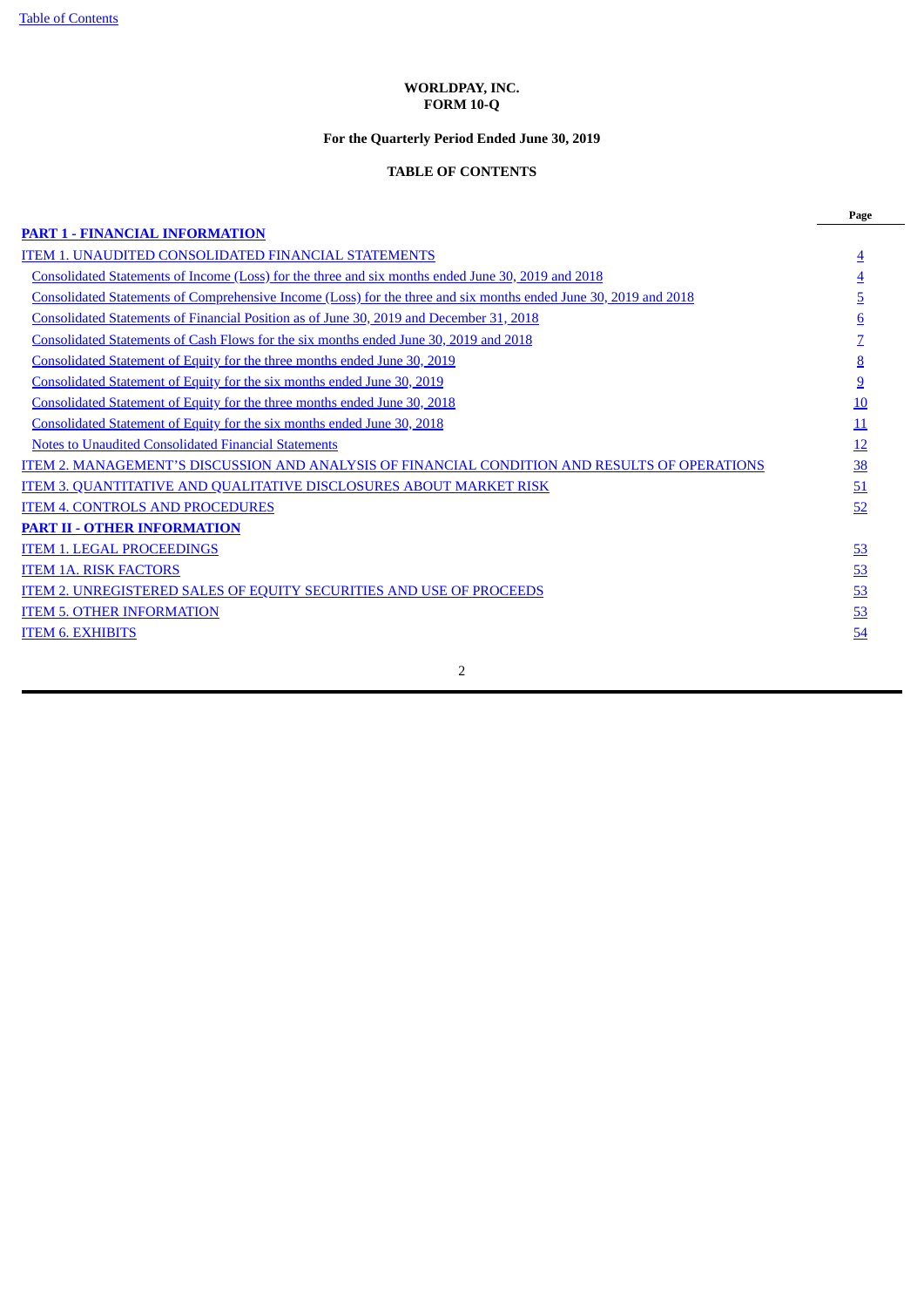## **WORLDPAY, INC. FORM 10-Q**

## **For the Quarterly Period Ended June 30, 2019**

## **TABLE OF CONTENTS**

<span id="page-1-0"></span>

|                                                                                                                  | Page     |
|------------------------------------------------------------------------------------------------------------------|----------|
| <b>PART 1 - FINANCIAL INFORMATION</b>                                                                            |          |
| <u>ITEM 1. UNAUDITED CONSOLIDATED FINANCIAL STATEMENTS</u>                                                       | <u>4</u> |
| Consolidated Statements of Income (Loss) for the three and six months ended June 30, 2019 and 2018               | <u>4</u> |
| Consolidated Statements of Comprehensive Income (Loss) for the three and six months ended June 30, 2019 and 2018 | 5        |
| Consolidated Statements of Financial Position as of June 30, 2019 and December 31, 2018                          | 6        |
| <u>Consolidated Statements of Cash Flows for the six months ended June 30, 2019 and 2018</u>                     |          |
| Consolidated Statement of Equity for the three months ended June 30, 2019                                        | 8        |
| Consolidated Statement of Equity for the six months ended June 30, 2019                                          | 9        |
| Consolidated Statement of Equity for the three months ended June 30, 2018                                        | 10       |
| Consolidated Statement of Equity for the six months ended June 30, 2018                                          | 11       |
| <b>Notes to Unaudited Consolidated Financial Statements</b>                                                      | 12       |
| ITEM 2. MANAGEMENT'S DISCUSSION AND ANALYSIS OF FINANCIAL CONDITION AND RESULTS OF OPERATIONS                    | 38       |
| <b>ITEM 3. QUANTITATIVE AND QUALITATIVE DISCLOSURES ABOUT MARKET RISK</b>                                        | 51       |
| <b>ITEM 4. CONTROLS AND PROCEDURES</b>                                                                           | 52       |
| <b>PART II - OTHER INFORMATION</b>                                                                               |          |
| <b>ITEM 1. LEGAL PROCEEDINGS</b>                                                                                 | 53       |
| <b>ITEM 1A. RISK FACTORS</b>                                                                                     | 53       |
| <b>ITEM 2. UNREGISTERED SALES OF EQUITY SECURITIES AND USE OF PROCEEDS</b>                                       | 53       |
| <b>ITEM 5. OTHER INFORMATION</b>                                                                                 | 53       |
| <b>ITEM 6. EXHIBITS</b>                                                                                          | 54       |
|                                                                                                                  |          |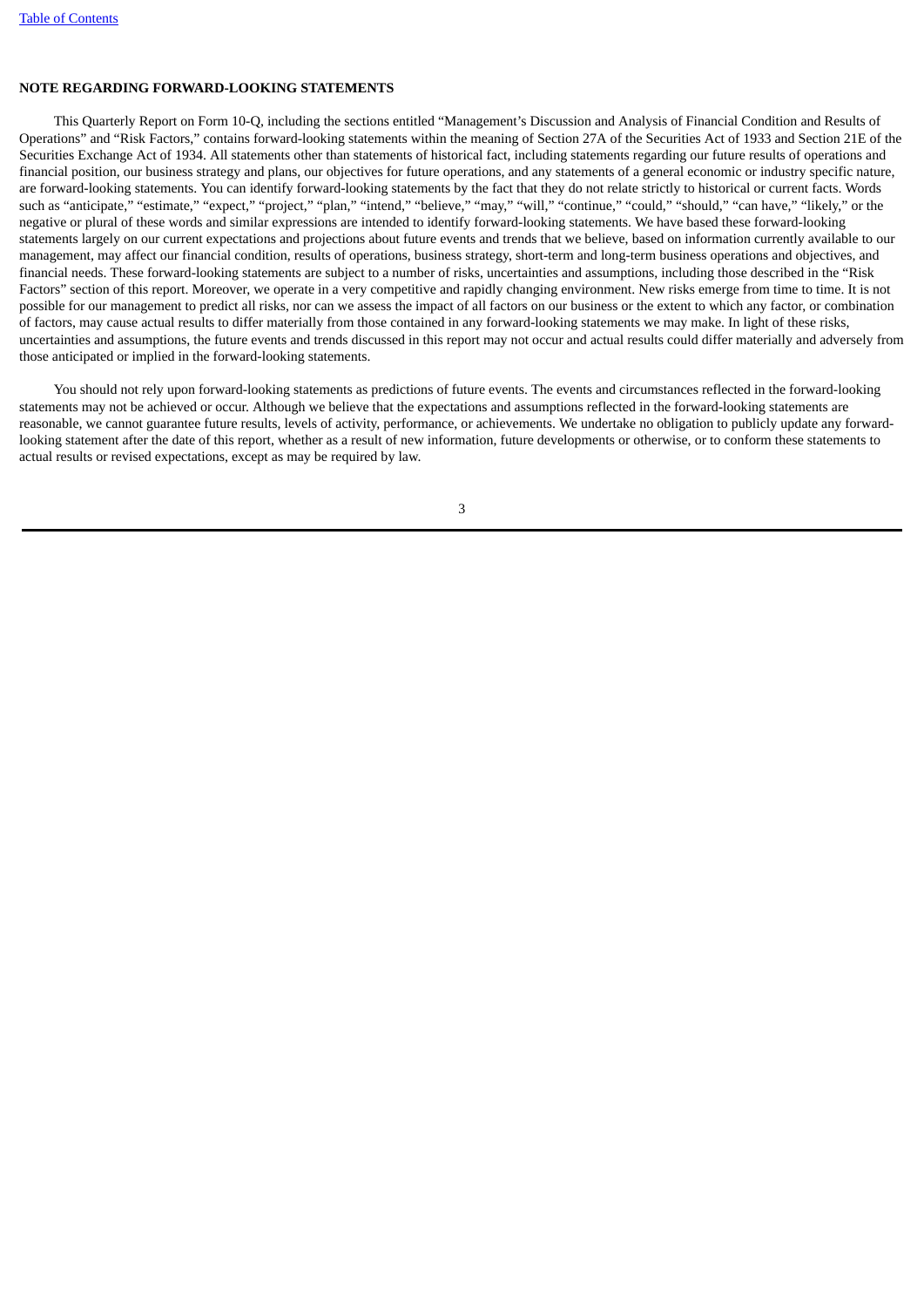## **NOTE REGARDING FORWARD-LOOKING STATEMENTS**

This Quarterly Report on Form 10-Q, including the sections entitled "Management's Discussion and Analysis of Financial Condition and Results of Operations" and "Risk Factors," contains forward-looking statements within the meaning of Section 27A of the Securities Act of 1933 and Section 21E of the Securities Exchange Act of 1934. All statements other than statements of historical fact, including statements regarding our future results of operations and financial position, our business strategy and plans, our objectives for future operations, and any statements of a general economic or industry specific nature, are forward-looking statements. You can identify forward-looking statements by the fact that they do not relate strictly to historical or current facts. Words such as "anticipate," "estimate," "expect," "project," "plan," "intend," "believe," "may," "will," "continue," "could," "should," "can have," "likely," or the negative or plural of these words and similar expressions are intended to identify forward-looking statements. We have based these forward-looking statements largely on our current expectations and projections about future events and trends that we believe, based on information currently available to our management, may affect our financial condition, results of operations, business strategy, short-term and long-term business operations and objectives, and financial needs. These forward-looking statements are subject to a number of risks, uncertainties and assumptions, including those described in the "Risk Factors" section of this report. Moreover, we operate in a very competitive and rapidly changing environment. New risks emerge from time to time. It is not possible for our management to predict all risks, nor can we assess the impact of all factors on our business or the extent to which any factor, or combination of factors, may cause actual results to differ materially from those contained in any forward-looking statements we may make. In light of these risks, uncertainties and assumptions, the future events and trends discussed in this report may not occur and actual results could differ materially and adversely from those anticipated or implied in the forward-looking statements.

You should not rely upon forward-looking statements as predictions of future events. The events and circumstances reflected in the forward-looking statements may not be achieved or occur. Although we believe that the expectations and assumptions reflected in the forward-looking statements are reasonable, we cannot guarantee future results, levels of activity, performance, or achievements. We undertake no obligation to publicly update any forwardlooking statement after the date of this report, whether as a result of new information, future developments or otherwise, or to conform these statements to actual results or revised expectations, except as may be required by law.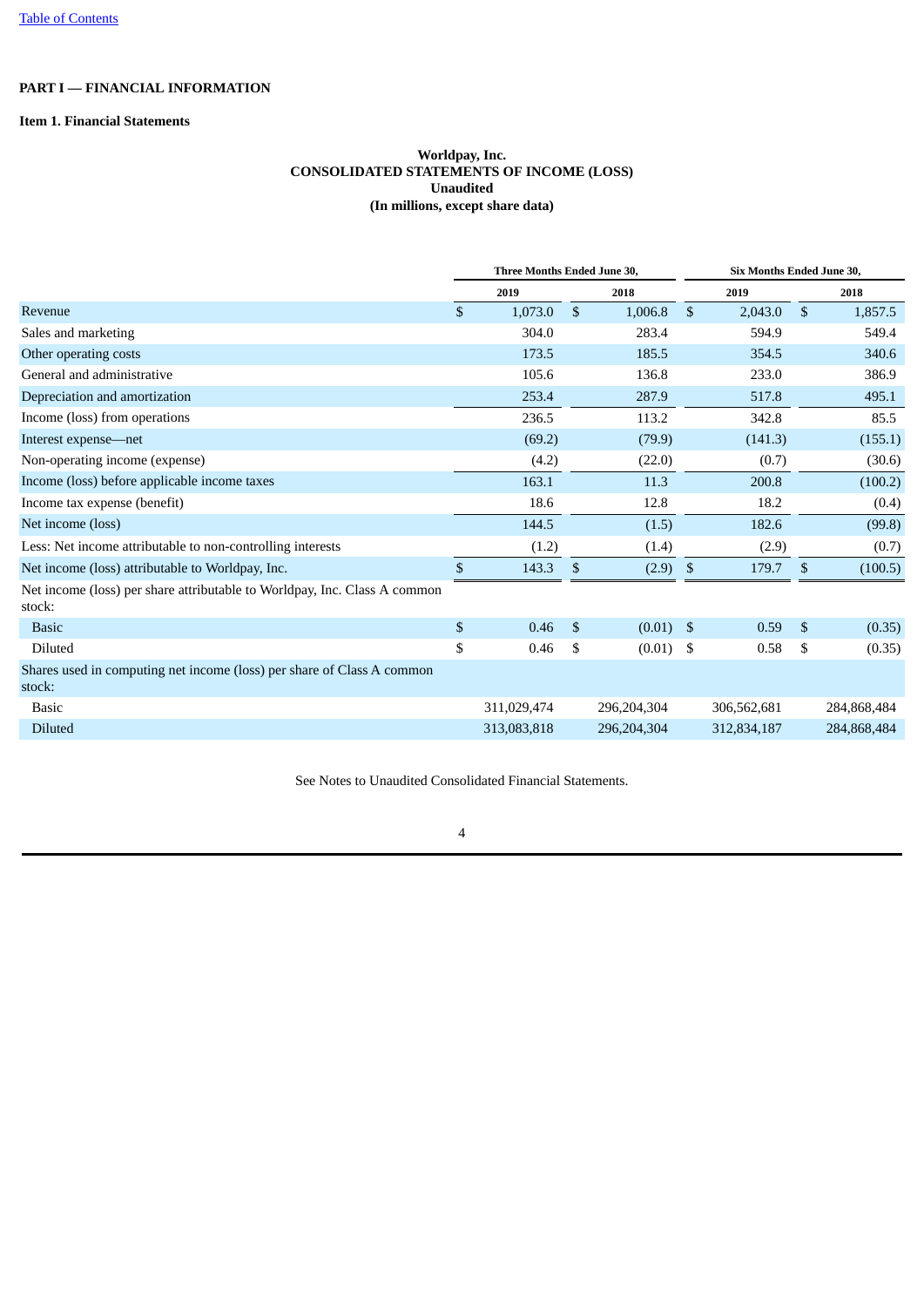## <span id="page-3-0"></span>**PART I — FINANCIAL INFORMATION**

## <span id="page-3-2"></span><span id="page-3-1"></span>**Item 1. Financial Statements**

## **Worldpay, Inc. CONSOLIDATED STATEMENTS OF INCOME (LOSS) Unaudited (In millions, except share data)**

|                                                                                     |                | Three Months Ended June 30, |                |             | <b>Six Months Ended June 30.</b> |             |                    |             |  |  |  |
|-------------------------------------------------------------------------------------|----------------|-----------------------------|----------------|-------------|----------------------------------|-------------|--------------------|-------------|--|--|--|
|                                                                                     |                | 2019                        |                | 2018        |                                  | 2019        |                    | 2018        |  |  |  |
| Revenue                                                                             | $\mathbb{S}$   | 1,073.0                     | $\mathfrak{S}$ | 1,006.8     | $\mathbb{S}$                     | 2,043.0     | $\mathbf{\hat{S}}$ | 1,857.5     |  |  |  |
| Sales and marketing                                                                 |                | 304.0                       |                | 283.4       |                                  | 594.9       |                    | 549.4       |  |  |  |
| Other operating costs                                                               |                | 173.5                       |                | 185.5       |                                  | 354.5       |                    | 340.6       |  |  |  |
| General and administrative                                                          |                | 105.6                       |                | 136.8       |                                  | 233.0       |                    | 386.9       |  |  |  |
| Depreciation and amortization                                                       |                | 253.4                       |                | 287.9       |                                  | 517.8       |                    | 495.1       |  |  |  |
| Income (loss) from operations                                                       |                | 236.5                       |                | 113.2       |                                  | 342.8       |                    | 85.5        |  |  |  |
| Interest expense-net                                                                |                | (69.2)                      |                | (79.9)      |                                  | (141.3)     |                    | (155.1)     |  |  |  |
| Non-operating income (expense)                                                      |                | (4.2)                       |                | (22.0)      |                                  | (0.7)       |                    | (30.6)      |  |  |  |
| Income (loss) before applicable income taxes                                        |                | 163.1                       |                | 11.3        |                                  | 200.8       |                    | (100.2)     |  |  |  |
| Income tax expense (benefit)                                                        |                | 18.6                        |                | 12.8        |                                  | 18.2        |                    | (0.4)       |  |  |  |
| Net income (loss)                                                                   |                | 144.5                       |                | (1.5)       |                                  | 182.6       |                    | (99.8)      |  |  |  |
| Less: Net income attributable to non-controlling interests                          |                | (1.2)                       |                | (1.4)       |                                  | (2.9)       |                    | (0.7)       |  |  |  |
| Net income (loss) attributable to Worldpay, Inc.                                    | $\mathfrak{S}$ | 143.3                       | $\mathbb{S}$   | (2.9)       | \$                               | 179.7       | \$                 | (100.5)     |  |  |  |
| Net income (loss) per share attributable to Worldpay, Inc. Class A common<br>stock: |                |                             |                |             |                                  |             |                    |             |  |  |  |
| <b>Basic</b>                                                                        | $\sqrt{3}$     | 0.46                        | $\mathfrak{S}$ | $(0.01)$ \$ |                                  | 0.59        | $\mathbb{S}$       | (0.35)      |  |  |  |
| <b>Diluted</b>                                                                      | \$             | 0.46                        | \$             | (0.01)      | \$                               | 0.58        | \$                 | (0.35)      |  |  |  |
| Shares used in computing net income (loss) per share of Class A common<br>stock:    |                |                             |                |             |                                  |             |                    |             |  |  |  |
| <b>Basic</b>                                                                        |                | 311,029,474                 |                | 296,204,304 |                                  | 306,562,681 |                    | 284,868,484 |  |  |  |
| <b>Diluted</b>                                                                      |                | 313,083,818                 |                | 296,204,304 |                                  | 312,834,187 |                    | 284,868,484 |  |  |  |

See Notes to Unaudited Consolidated Financial Statements.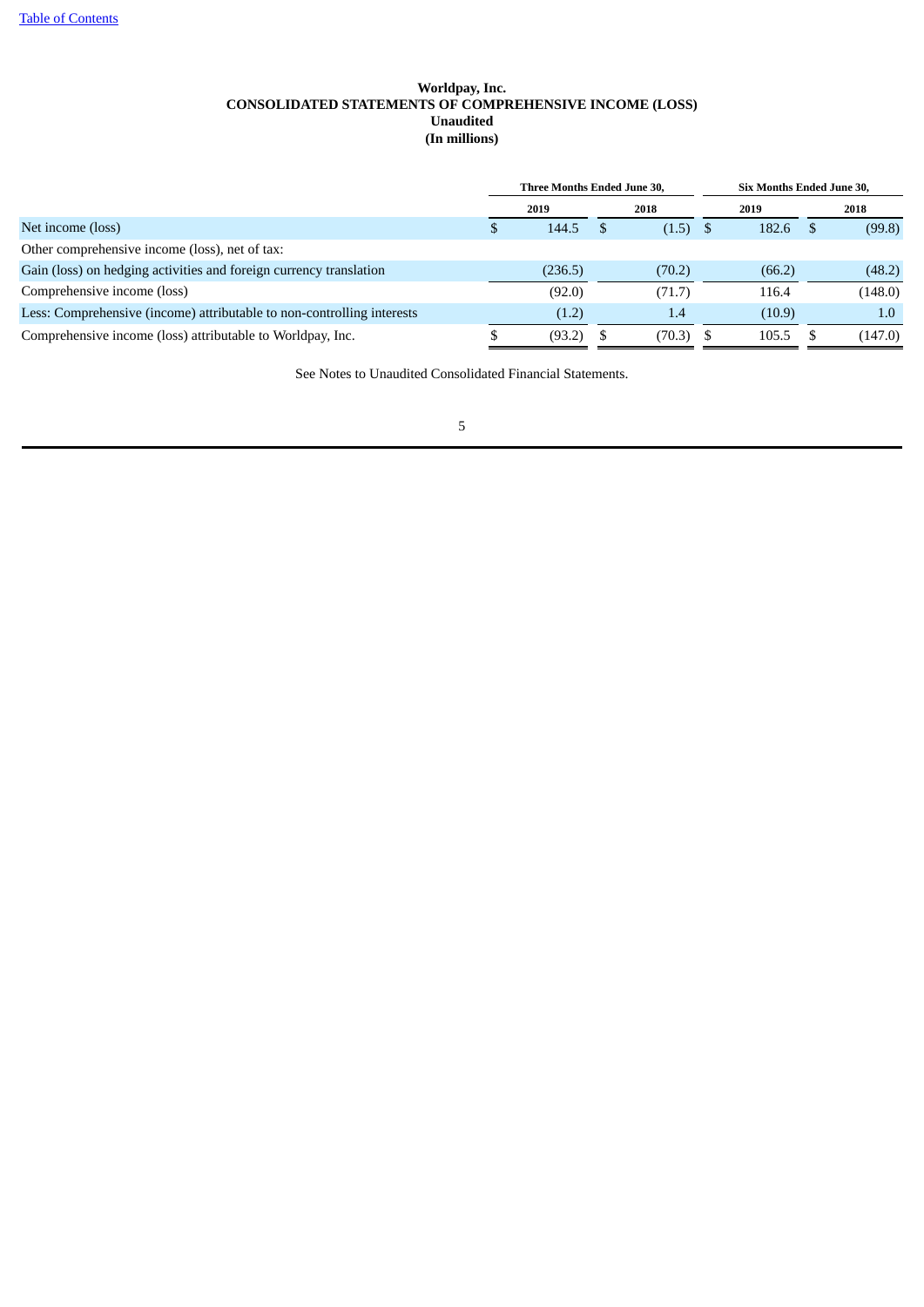## **Worldpay, Inc. CONSOLIDATED STATEMENTS OF COMPREHENSIVE INCOME (LOSS) Unaudited (In millions)**

<span id="page-4-0"></span>

|                                                                        | <b>Three Months Ended June 30,</b> |         |  |            |  | Six Months Ended June 30, |  |         |  |  |
|------------------------------------------------------------------------|------------------------------------|---------|--|------------|--|---------------------------|--|---------|--|--|
|                                                                        | 2019<br>2018                       |         |  |            |  | 2019                      |  | 2018    |  |  |
| Net income (loss)                                                      |                                    | 144.5   |  | $(1.5)$ \$ |  | 182.6                     |  | (99.8)  |  |  |
| Other comprehensive income (loss), net of tax:                         |                                    |         |  |            |  |                           |  |         |  |  |
| Gain (loss) on hedging activities and foreign currency translation     |                                    | (236.5) |  | (70.2)     |  | (66.2)                    |  | (48.2)  |  |  |
| Comprehensive income (loss)                                            |                                    | (92.0)  |  | (71.7)     |  | 116.4                     |  | (148.0) |  |  |
| Less: Comprehensive (income) attributable to non-controlling interests |                                    | (1.2)   |  | 1.4        |  | (10.9)                    |  | 1.0     |  |  |
| Comprehensive income (loss) attributable to Worldpay, Inc.             |                                    | (93.2)  |  | (70.3)     |  | 105.5                     |  | (147.0) |  |  |

See Notes to Unaudited Consolidated Financial Statements.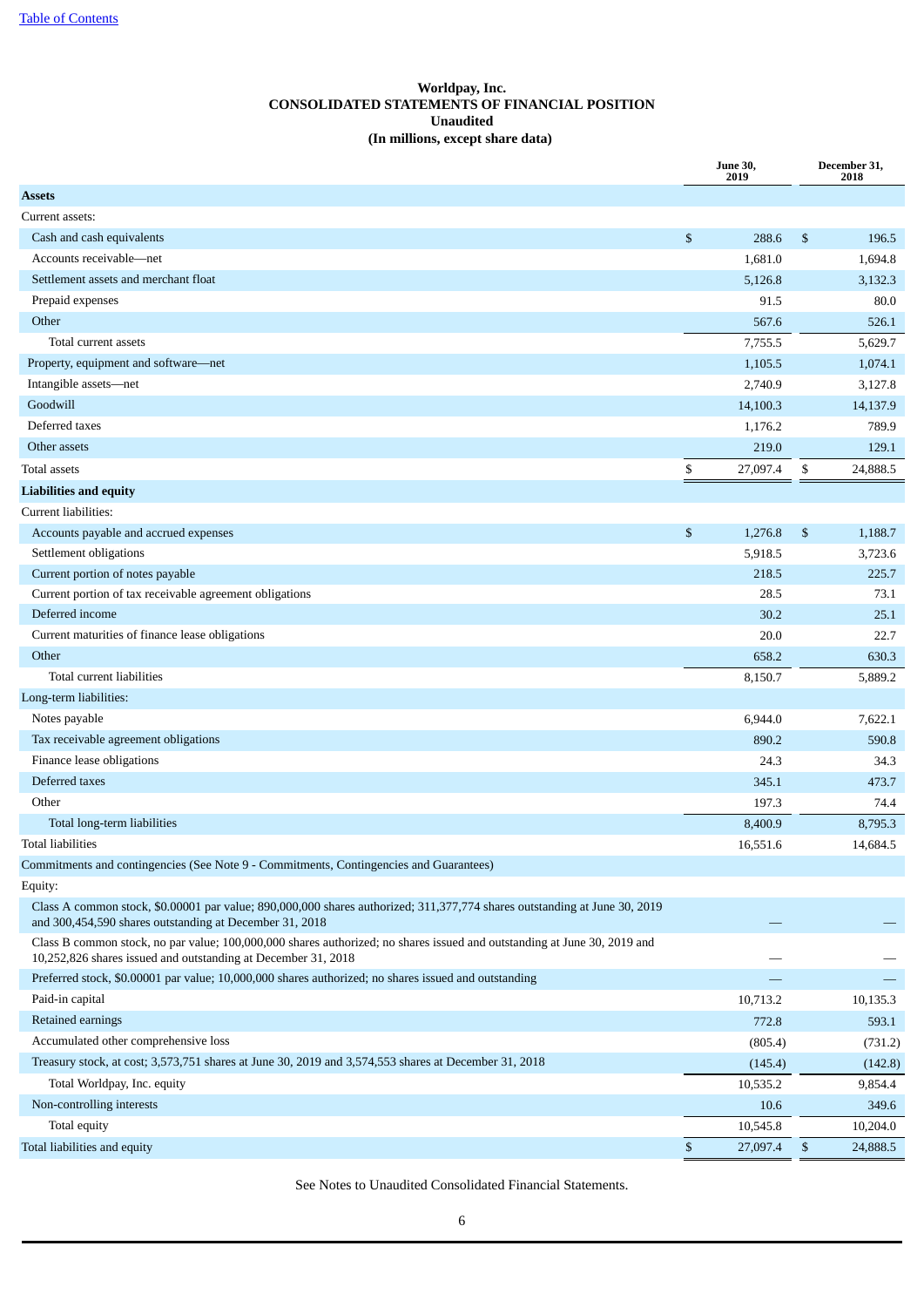## **Worldpay, Inc. CONSOLIDATED STATEMENTS OF FINANCIAL POSITION Unaudited (In millions, except share data)**

<span id="page-5-0"></span>

|                                                                                                                                                                                           | <b>June 30,</b><br>2019 | December 31,<br>2018 |
|-------------------------------------------------------------------------------------------------------------------------------------------------------------------------------------------|-------------------------|----------------------|
| <b>Assets</b>                                                                                                                                                                             |                         |                      |
| Current assets:                                                                                                                                                                           |                         |                      |
| Cash and cash equivalents                                                                                                                                                                 | \$<br>288.6             | \$<br>196.5          |
| Accounts receivable-net                                                                                                                                                                   | 1,681.0                 | 1,694.8              |
| Settlement assets and merchant float                                                                                                                                                      | 5,126.8                 | 3,132.3              |
| Prepaid expenses                                                                                                                                                                          | 91.5                    | 80.0                 |
| Other                                                                                                                                                                                     | 567.6                   | 526.1                |
| Total current assets                                                                                                                                                                      | 7,755.5                 | 5.629.7              |
| Property, equipment and software-net                                                                                                                                                      | 1,105.5                 | 1,074.1              |
| Intangible assets-net                                                                                                                                                                     | 2,740.9                 | 3,127.8              |
| Goodwill                                                                                                                                                                                  | 14,100.3                | 14,137.9             |
| Deferred taxes                                                                                                                                                                            | 1,176.2                 | 789.9                |
| Other assets                                                                                                                                                                              | 219.0                   | 129.1                |
| Total assets                                                                                                                                                                              | \$<br>27,097.4          | \$<br>24,888.5       |
| <b>Liabilities and equity</b>                                                                                                                                                             |                         |                      |
| Current liabilities:                                                                                                                                                                      |                         |                      |
| Accounts payable and accrued expenses                                                                                                                                                     | \$<br>1.276.8           | \$<br>1,188.7        |
| Settlement obligations                                                                                                                                                                    | 5,918.5                 | 3,723.6              |
| Current portion of notes payable                                                                                                                                                          | 218.5                   | 225.7                |
| Current portion of tax receivable agreement obligations                                                                                                                                   | 28.5                    | 73.1                 |
| Deferred income                                                                                                                                                                           | 30.2                    | 25.1                 |
| Current maturities of finance lease obligations                                                                                                                                           | 20.0                    | 22.7                 |
| Other                                                                                                                                                                                     | 658.2                   | 630.3                |
| Total current liabilities                                                                                                                                                                 | 8,150.7                 | 5,889.2              |
| Long-term liabilities:                                                                                                                                                                    |                         |                      |
| Notes payable                                                                                                                                                                             | 6,944.0                 | 7,622.1              |
| Tax receivable agreement obligations                                                                                                                                                      | 890.2                   | 590.8                |
| Finance lease obligations                                                                                                                                                                 | 24.3                    | 34.3                 |
| Deferred taxes                                                                                                                                                                            | 345.1                   | 473.7                |
| Other                                                                                                                                                                                     | 197.3                   | 74.4                 |
| Total long-term liabilities                                                                                                                                                               | 8,400.9                 | 8.795.3              |
| <b>Total liabilities</b>                                                                                                                                                                  | 16,551.6                | 14,684.5             |
| Commitments and contingencies (See Note 9 - Commitments, Contingencies and Guarantees)                                                                                                    |                         |                      |
| Equity:                                                                                                                                                                                   |                         |                      |
| Class A common stock, \$0.00001 par value; 890,000,000 shares authorized; 311,377,774 shares outstanding at June 30, 2019<br>and 300,454,590 shares outstanding at December 31, 2018      |                         |                      |
| Class B common stock, no par value; 100,000,000 shares authorized; no shares issued and outstanding at June 30, 2019 and<br>10,252,826 shares issued and outstanding at December 31, 2018 |                         |                      |
| Preferred stock, \$0.00001 par value; 10,000,000 shares authorized; no shares issued and outstanding                                                                                      |                         |                      |
| Paid-in capital                                                                                                                                                                           | 10,713.2                | 10,135.3             |
| Retained earnings                                                                                                                                                                         | 772.8                   | 593.1                |
| Accumulated other comprehensive loss                                                                                                                                                      | (805.4)                 | (731.2)              |
| Treasury stock, at cost; 3,573,751 shares at June 30, 2019 and 3,574,553 shares at December 31, 2018                                                                                      | (145.4)                 | (142.8)              |
| Total Worldpay, Inc. equity                                                                                                                                                               | 10,535.2                | 9,854.4              |
| Non-controlling interests                                                                                                                                                                 | 10.6                    | 349.6                |
| Total equity                                                                                                                                                                              | 10,545.8                | 10,204.0             |
| Total liabilities and equity                                                                                                                                                              | \$<br>27,097.4          | \$<br>24,888.5       |

See Notes to Unaudited Consolidated Financial Statements.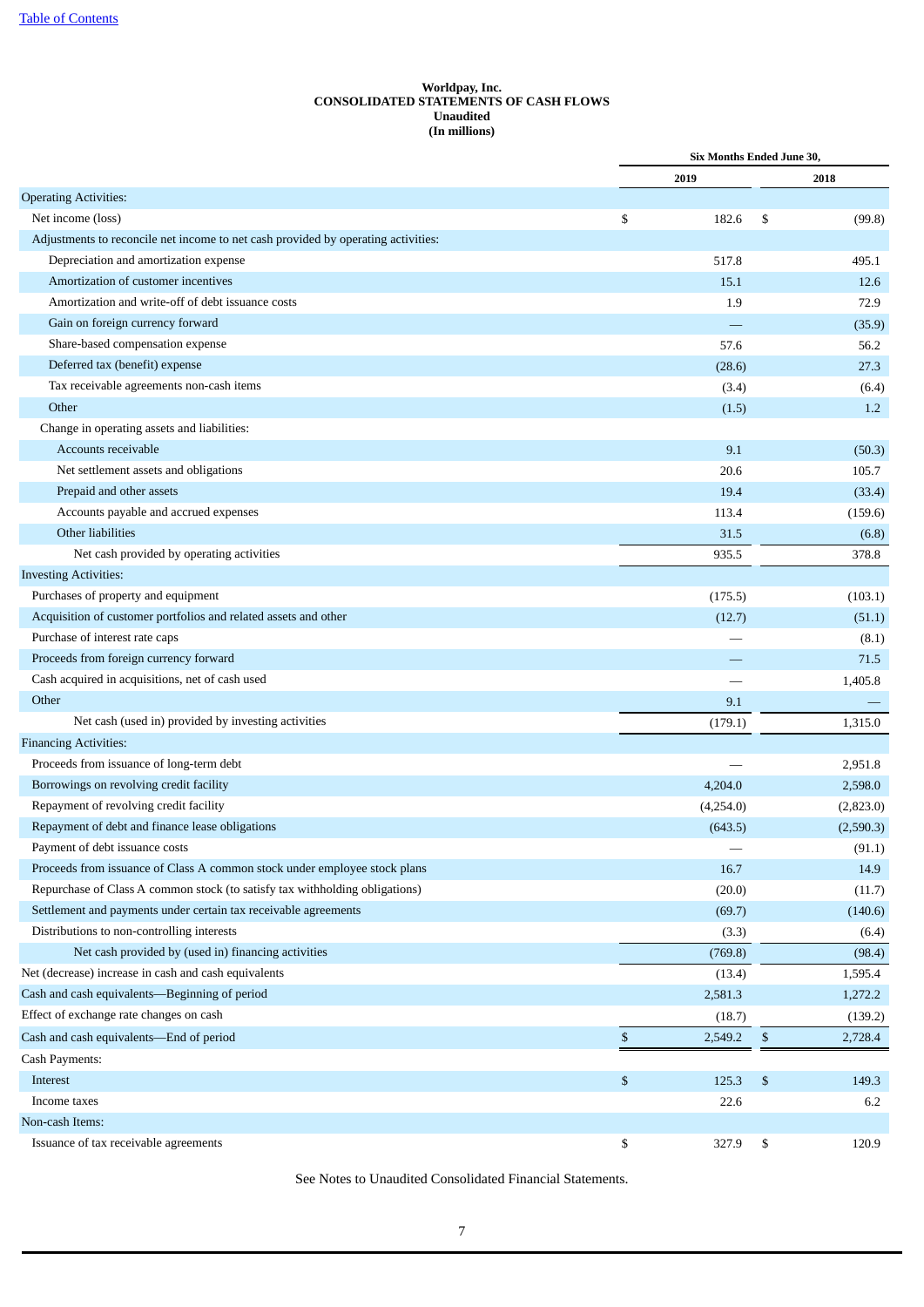#### **Worldpay, Inc. CONSOLIDATED STATEMENTS OF CASH FLOWS Unaudited (In millions)**

<span id="page-6-0"></span>

|                                                                                   | <b>Six Months Ended June 30,</b> |    |           |  |  |
|-----------------------------------------------------------------------------------|----------------------------------|----|-----------|--|--|
|                                                                                   | 2019                             |    | 2018      |  |  |
| <b>Operating Activities:</b>                                                      |                                  |    |           |  |  |
| Net income (loss)                                                                 | \$<br>182.6                      | \$ | (99.8)    |  |  |
| Adjustments to reconcile net income to net cash provided by operating activities: |                                  |    |           |  |  |
| Depreciation and amortization expense                                             | 517.8                            |    | 495.1     |  |  |
| Amortization of customer incentives                                               | 15.1                             |    | 12.6      |  |  |
| Amortization and write-off of debt issuance costs                                 | 1.9                              |    | 72.9      |  |  |
| Gain on foreign currency forward                                                  |                                  |    | (35.9)    |  |  |
| Share-based compensation expense                                                  | 57.6                             |    | 56.2      |  |  |
| Deferred tax (benefit) expense                                                    | (28.6)                           |    | 27.3      |  |  |
| Tax receivable agreements non-cash items                                          | (3.4)                            |    | (6.4)     |  |  |
| Other                                                                             | (1.5)                            |    | 1.2       |  |  |
| Change in operating assets and liabilities:                                       |                                  |    |           |  |  |
| Accounts receivable                                                               | 9.1                              |    | (50.3)    |  |  |
| Net settlement assets and obligations                                             | 20.6                             |    | 105.7     |  |  |
| Prepaid and other assets                                                          | 19.4                             |    | (33.4)    |  |  |
| Accounts payable and accrued expenses                                             | 113.4                            |    | (159.6)   |  |  |
| Other liabilities                                                                 | 31.5                             |    | (6.8)     |  |  |
| Net cash provided by operating activities                                         | 935.5                            |    | 378.8     |  |  |
| <b>Investing Activities:</b>                                                      |                                  |    |           |  |  |
| Purchases of property and equipment                                               | (175.5)                          |    | (103.1)   |  |  |
| Acquisition of customer portfolios and related assets and other                   | (12.7)                           |    | (51.1)    |  |  |
| Purchase of interest rate caps                                                    |                                  |    | (8.1)     |  |  |
| Proceeds from foreign currency forward                                            |                                  |    | 71.5      |  |  |
| Cash acquired in acquisitions, net of cash used                                   |                                  |    | 1,405.8   |  |  |
| Other                                                                             | 9.1                              |    |           |  |  |
| Net cash (used in) provided by investing activities                               | (179.1)                          |    | 1,315.0   |  |  |
| <b>Financing Activities:</b>                                                      |                                  |    |           |  |  |
| Proceeds from issuance of long-term debt                                          |                                  |    | 2,951.8   |  |  |
| Borrowings on revolving credit facility                                           | 4,204.0                          |    | 2,598.0   |  |  |
| Repayment of revolving credit facility                                            | (4,254.0)                        |    | (2,823.0) |  |  |
| Repayment of debt and finance lease obligations                                   | (643.5)                          |    | (2,590.3) |  |  |
| Payment of debt issuance costs                                                    |                                  |    | (91.1)    |  |  |
| Proceeds from issuance of Class A common stock under employee stock plans         | 16.7                             |    | 14.9      |  |  |
| Repurchase of Class A common stock (to satisfy tax withholding obligations)       | (20.0)                           |    | (11.7)    |  |  |
| Settlement and payments under certain tax receivable agreements                   | (69.7)                           |    | (140.6)   |  |  |
| Distributions to non-controlling interests                                        | (3.3)                            |    | (6.4)     |  |  |
| Net cash provided by (used in) financing activities                               | (769.8)                          |    | (98.4)    |  |  |
| Net (decrease) increase in cash and cash equivalents                              | (13.4)                           |    | 1,595.4   |  |  |
| Cash and cash equivalents-Beginning of period                                     | 2,581.3                          |    | 1,272.2   |  |  |
| Effect of exchange rate changes on cash                                           | (18.7)                           |    | (139.2)   |  |  |
| Cash and cash equivalents-End of period                                           | \$<br>2,549.2                    | \$ | 2,728.4   |  |  |
| Cash Payments:                                                                    |                                  |    |           |  |  |
| Interest                                                                          | \$<br>125.3                      | \$ | 149.3     |  |  |
| Income taxes                                                                      | 22.6                             |    | 6.2       |  |  |
| Non-cash Items:                                                                   |                                  |    |           |  |  |
| Issuance of tax receivable agreements                                             | \$<br>327.9                      | \$ | 120.9     |  |  |

See Notes to Unaudited Consolidated Financial Statements.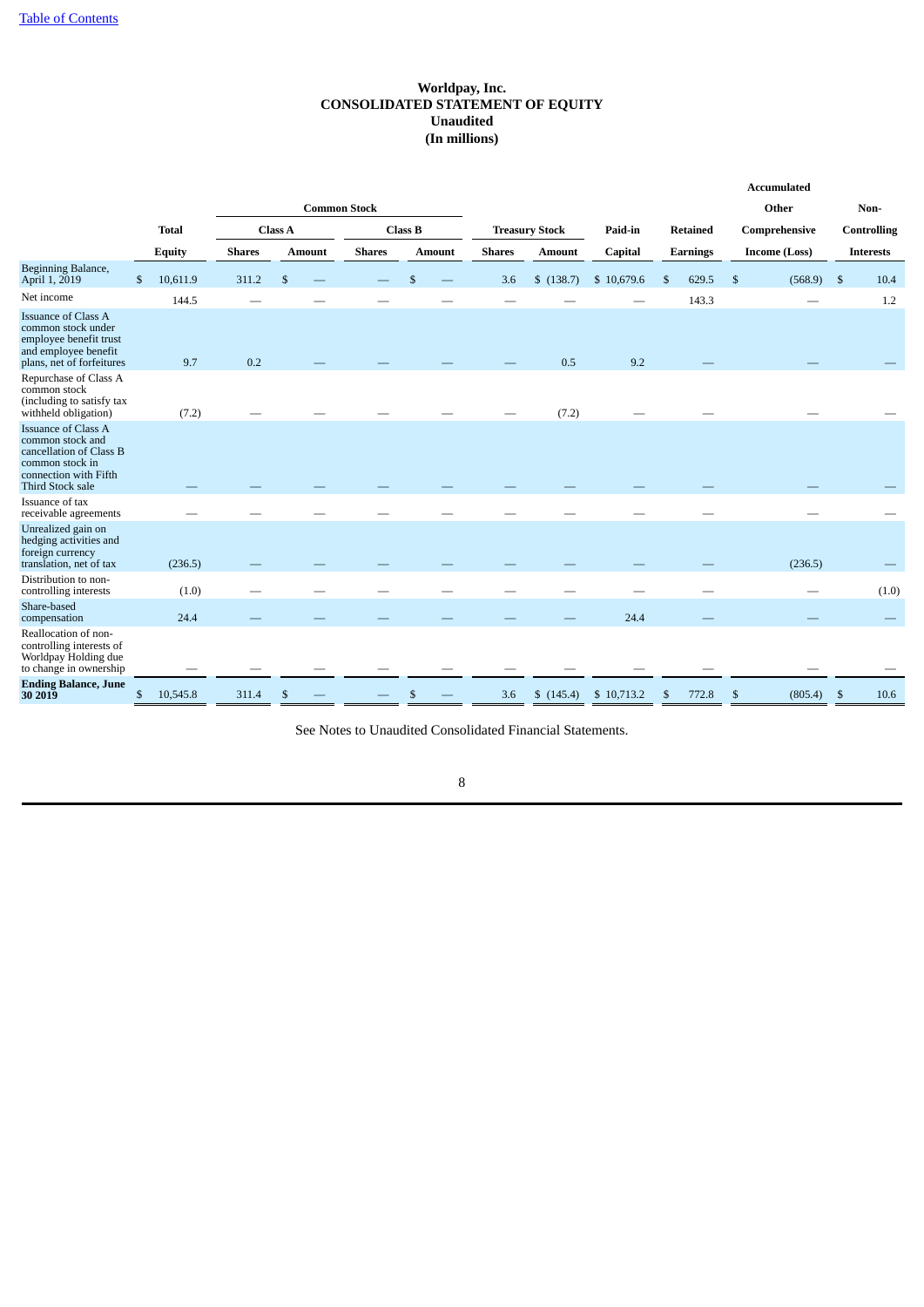<span id="page-7-0"></span>

|                                                                                                                                    |                |               |                |               |                     |                |               |                       |                                                                 |                |                 |                 |      | <b>Accumulated</b> |    |                  |
|------------------------------------------------------------------------------------------------------------------------------------|----------------|---------------|----------------|---------------|---------------------|----------------|---------------|-----------------------|-----------------------------------------------------------------|----------------|-----------------|-----------------|------|--------------------|----|------------------|
|                                                                                                                                    |                |               |                |               | <b>Common Stock</b> |                |               |                       |                                                                 |                |                 |                 |      | Other              |    | Non-             |
|                                                                                                                                    | <b>Total</b>   |               | <b>Class A</b> |               |                     | <b>Class B</b> |               | <b>Treasury Stock</b> |                                                                 | <b>Paid-in</b> | <b>Retained</b> | Comprehensive   |      | <b>Controlling</b> |    |                  |
|                                                                                                                                    | <b>Equity</b>  | <b>Shares</b> |                | <b>Amount</b> | <b>Shares</b>       |                | <b>Amount</b> | <b>Shares</b>         |                                                                 | <b>Amount</b>  | Capital         | <b>Earnings</b> |      | Income (Loss)      |    | <b>Interests</b> |
| Beginning Balance,<br>April 1, 2019                                                                                                | \$<br>10,611.9 | 311.2         | \$             |               |                     |                |               |                       | 3.6<br>\$(138.7)<br>\$10,679.6<br>629.5<br>$\mathfrak{s}$<br>\$ |                | (568.9)         | -\$             | 10.4 |                    |    |                  |
| Net income                                                                                                                         | 144.5          |               |                |               |                     |                |               |                       |                                                                 |                |                 | 143.3           |      |                    |    | 1.2              |
| <b>Issuance of Class A</b><br>common stock under<br>employee benefit trust<br>and employee benefit<br>plans, net of forfeitures    | 9.7            | 0.2           |                |               |                     |                |               |                       |                                                                 | 0.5            | 9.2             |                 |      |                    |    |                  |
| Repurchase of Class A<br>common stock<br>(including to satisfy tax<br>withheld obligation)                                         | (7.2)          |               |                |               |                     |                |               |                       |                                                                 | (7.2)          |                 |                 |      |                    |    |                  |
| Issuance of Class A<br>common stock and<br>cancellation of Class B<br>common stock in<br>connection with Fifth<br>Third Stock sale |                |               |                |               |                     |                |               |                       |                                                                 |                |                 |                 |      |                    |    |                  |
| Issuance of tax<br>receivable agreements                                                                                           |                |               |                |               |                     |                |               |                       |                                                                 |                |                 |                 |      |                    |    |                  |
| Unrealized gain on<br>hedging activities and<br>foreign currency<br>translation, net of tax                                        | (236.5)        |               |                |               |                     |                |               |                       |                                                                 |                |                 |                 |      | (236.5)            |    |                  |
| Distribution to non-<br>controlling interests                                                                                      | (1.0)          |               |                |               |                     |                |               |                       |                                                                 |                |                 |                 |      |                    |    | (1.0)            |
| Share-based<br>compensation                                                                                                        | 24.4           |               |                |               |                     |                |               |                       |                                                                 |                | 24.4            |                 |      |                    |    |                  |
| Reallocation of non-<br>controlling interests of<br>Worldpay Holding due<br>to change in ownership                                 |                |               |                |               |                     |                |               |                       |                                                                 |                |                 |                 |      |                    |    |                  |
| <b>Ending Balance, June</b><br>30 2019                                                                                             | \$<br>10,545.8 | 311.4         | \$.            |               |                     |                |               | 3.6                   |                                                                 | \$(145.4)      | \$10,713.2      | 772.8           | \$   | (805.4)            | \$ | 10.6             |

See Notes to Unaudited Consolidated Financial Statements.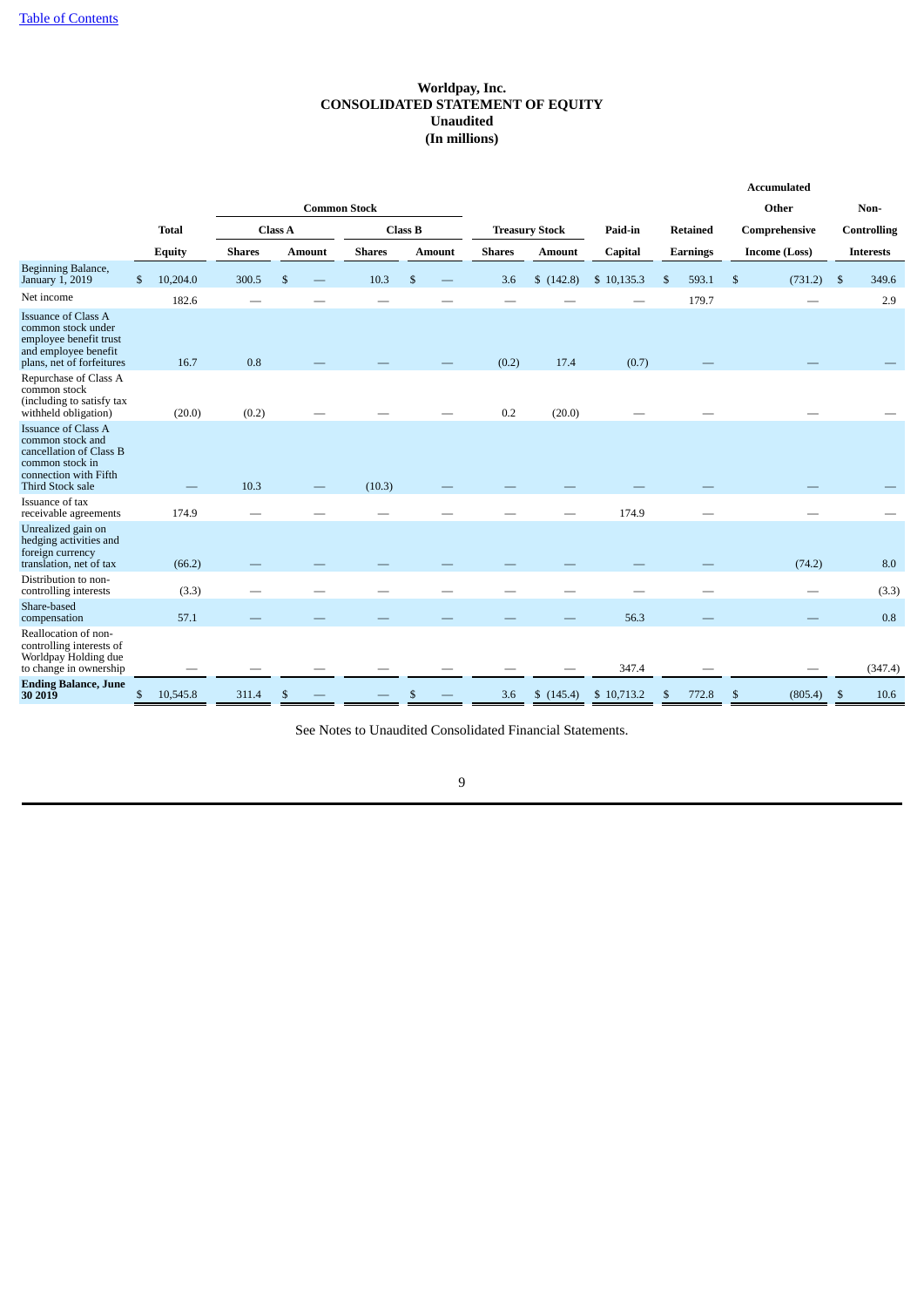<span id="page-8-0"></span>

|                                                                                                                                           |                |               |                |               |                     |                |               |               |                       |                            |                         |                 |               | <b>Accumulated</b> |              |                  |
|-------------------------------------------------------------------------------------------------------------------------------------------|----------------|---------------|----------------|---------------|---------------------|----------------|---------------|---------------|-----------------------|----------------------------|-------------------------|-----------------|---------------|--------------------|--------------|------------------|
|                                                                                                                                           |                |               |                |               | <b>Common Stock</b> |                |               |               |                       |                            |                         |                 |               | Other              |              | Non-             |
|                                                                                                                                           | <b>Total</b>   |               | <b>Class A</b> |               |                     | <b>Class B</b> |               |               | <b>Treasury Stock</b> | Paid-in<br><b>Retained</b> |                         |                 | Comprehensive |                    | Controlling  |                  |
|                                                                                                                                           | <b>Equity</b>  | <b>Shares</b> |                | <b>Amount</b> | <b>Shares</b>       |                | <b>Amount</b> | <b>Shares</b> | Amount                | Capital                    |                         | <b>Earnings</b> |               | Income (Loss)      |              | <b>Interests</b> |
| Beginning Balance,<br>January 1, 2019                                                                                                     | \$<br>10,204.0 | 300.5         | \$             |               | 10.3                | $\mathbb{S}$   |               | 3.6           | \$(142.8)             | \$10,135.3                 | 593.1<br>$\mathfrak{s}$ |                 | \$            | (731.2)            | $\mathbb{S}$ | 349.6            |
| Net income                                                                                                                                | 182.6          |               |                |               |                     |                |               |               |                       |                            |                         | 179.7           |               |                    |              | 2.9              |
| Issuance of Class A<br>common stock under<br>employee benefit trust<br>and employee benefit<br>plans, net of forfeitures                  | 16.7           | 0.8           |                |               |                     |                |               | (0.2)         | 17.4                  | (0.7)                      |                         |                 |               |                    |              |                  |
| Repurchase of Class A<br>common stock<br>(including to satisfy tax<br>withheld obligation)                                                | (20.0)         | (0.2)         |                |               |                     |                |               | 0.2           | (20.0)                |                            |                         |                 |               |                    |              |                  |
| <b>Issuance of Class A</b><br>common stock and<br>cancellation of Class B<br>common stock in<br>connection with Fifth<br>Third Stock sale |                | 10.3          |                |               | (10.3)              |                |               |               |                       |                            |                         |                 |               |                    |              |                  |
| Issuance of tax<br>receivable agreements                                                                                                  | 174.9          |               |                |               |                     |                |               |               |                       | 174.9                      |                         |                 |               |                    |              |                  |
| Unrealized gain on<br>hedging activities and<br>foreign currency<br>translation, net of tax                                               | (66.2)         |               |                |               |                     |                |               |               |                       |                            |                         |                 |               | (74.2)             |              | 8.0              |
| Distribution to non-<br>controlling interests                                                                                             | (3.3)          |               |                |               |                     |                |               |               |                       |                            |                         |                 |               |                    |              | (3.3)            |
| Share-based<br>compensation                                                                                                               | 57.1           |               |                |               |                     |                |               |               |                       | 56.3                       |                         |                 |               |                    |              | 0.8              |
| Reallocation of non-<br>controlling interests of<br>Worldpay Holding due<br>to change in ownership                                        |                |               |                |               |                     |                |               |               |                       | 347.4                      |                         |                 |               |                    |              | (347.4)          |
| <b>Ending Balance, June</b><br>30 2019                                                                                                    | \$<br>10,545.8 | 311.4         | \$             |               |                     |                |               | 3.6           | \$(145.4)             | \$10,713.2                 | \$                      | 772.8           | \$            | (805.4)            | \$           | 10.6             |

See Notes to Unaudited Consolidated Financial Statements.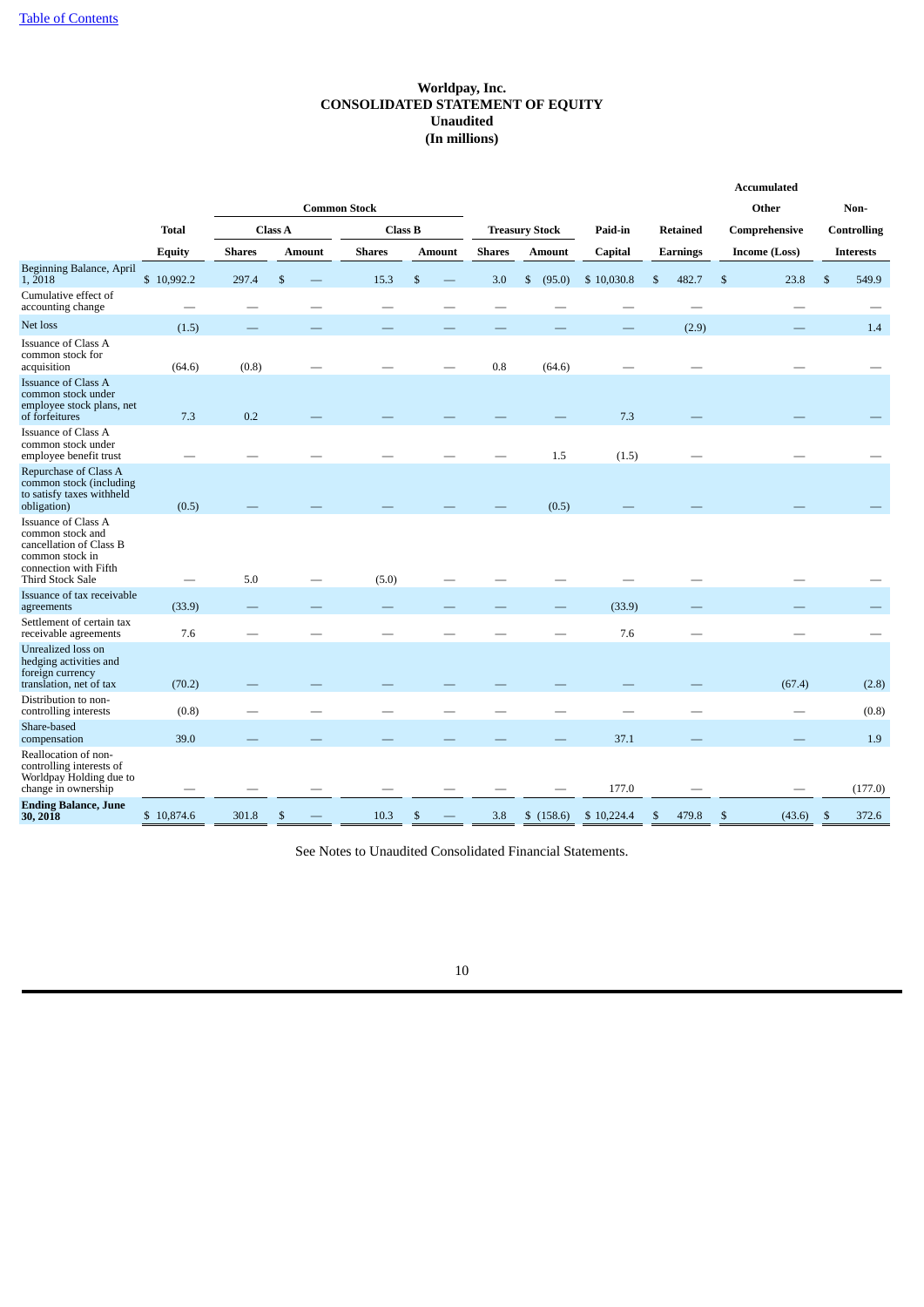<span id="page-9-0"></span>

|                                                                                                                                    |               |               |                |                     |               |               |                       |            |                       | <b>Accumulated</b>   |                       |  |
|------------------------------------------------------------------------------------------------------------------------------------|---------------|---------------|----------------|---------------------|---------------|---------------|-----------------------|------------|-----------------------|----------------------|-----------------------|--|
|                                                                                                                                    |               |               |                | <b>Common Stock</b> |               |               |                       |            |                       | Other                | Non-                  |  |
|                                                                                                                                    | <b>Total</b>  |               | <b>Class A</b> | <b>Class B</b>      |               |               | <b>Treasury Stock</b> | Paid-in    | <b>Retained</b>       | Comprehensive        | Controlling           |  |
|                                                                                                                                    | <b>Equity</b> | <b>Shares</b> | Amount         | <b>Shares</b>       | <b>Amount</b> | <b>Shares</b> | <b>Amount</b>         | Capital    | <b>Earnings</b>       | <b>Income (Loss)</b> | <b>Interests</b>      |  |
| Beginning Balance, April<br>1,2018                                                                                                 | \$10,992.2    | 297.4         | \$             | 15.3                | \$            | 3.0           | \$<br>(95.0)          | \$10,030.8 | 482.7<br>$\mathbb{S}$ | \$<br>23.8           | $\mathbb{S}$<br>549.9 |  |
| Cumulative effect of<br>accounting change                                                                                          |               |               |                |                     |               |               |                       |            |                       |                      |                       |  |
| Net loss                                                                                                                           | (1.5)         |               |                |                     |               |               |                       |            | (2.9)                 |                      | 1.4                   |  |
| <b>Issuance of Class A</b><br>common stock for<br>acquisition                                                                      | (64.6)        | (0.8)         |                |                     |               | 0.8           | (64.6)                |            |                       |                      |                       |  |
| Issuance of Class A<br>common stock under<br>employee stock plans, net<br>of forfeitures                                           | 7.3           | 0.2           |                |                     |               |               |                       | 7.3        |                       |                      |                       |  |
| <b>Issuance of Class A</b><br>common stock under<br>employee benefit trust                                                         |               |               |                |                     |               |               | 1.5                   | (1.5)      |                       |                      |                       |  |
| Repurchase of Class A<br>common stock (including<br>to satisfy taxes withheld<br>obligation)                                       | (0.5)         |               |                |                     |               |               | (0.5)                 |            |                       |                      |                       |  |
| Issuance of Class A<br>common stock and<br>cancellation of Class B<br>common stock in<br>connection with Fifth<br>Third Stock Sale |               | 5.0           |                | (5.0)               |               |               |                       |            |                       |                      |                       |  |
| Issuance of tax receivable<br>agreements                                                                                           | (33.9)        |               |                |                     |               |               |                       | (33.9)     |                       |                      |                       |  |
| Settlement of certain tax<br>receivable agreements                                                                                 | 7.6           |               |                |                     |               |               |                       | 7.6        |                       |                      |                       |  |
| Unrealized loss on<br>hedging activities and<br>foreign currency<br>translation, net of tax                                        | (70.2)        |               |                |                     |               |               |                       |            |                       | (67.4)               | (2.8)                 |  |
| Distribution to non-<br>controlling interests                                                                                      | (0.8)         |               |                |                     |               |               |                       |            | ÷.                    |                      | (0.8)                 |  |
| Share-based<br>compensation                                                                                                        | 39.0          |               |                |                     |               |               |                       | 37.1       |                       |                      | 1.9                   |  |
| Reallocation of non-<br>controlling interests of<br>Worldpay Holding due to<br>change in ownership                                 |               |               |                |                     |               |               |                       | 177.0      |                       |                      | (177.0)               |  |
| <b>Ending Balance, June</b><br>30, 2018                                                                                            | \$10,874.6    | 301.8         |                | 10.3                | £.            | 3.8           | \$(158.6)             | \$10,224.4 | 479.8<br>\$           | \$<br>(43.6)         | $\mathbb{S}$<br>372.6 |  |

See Notes to Unaudited Consolidated Financial Statements.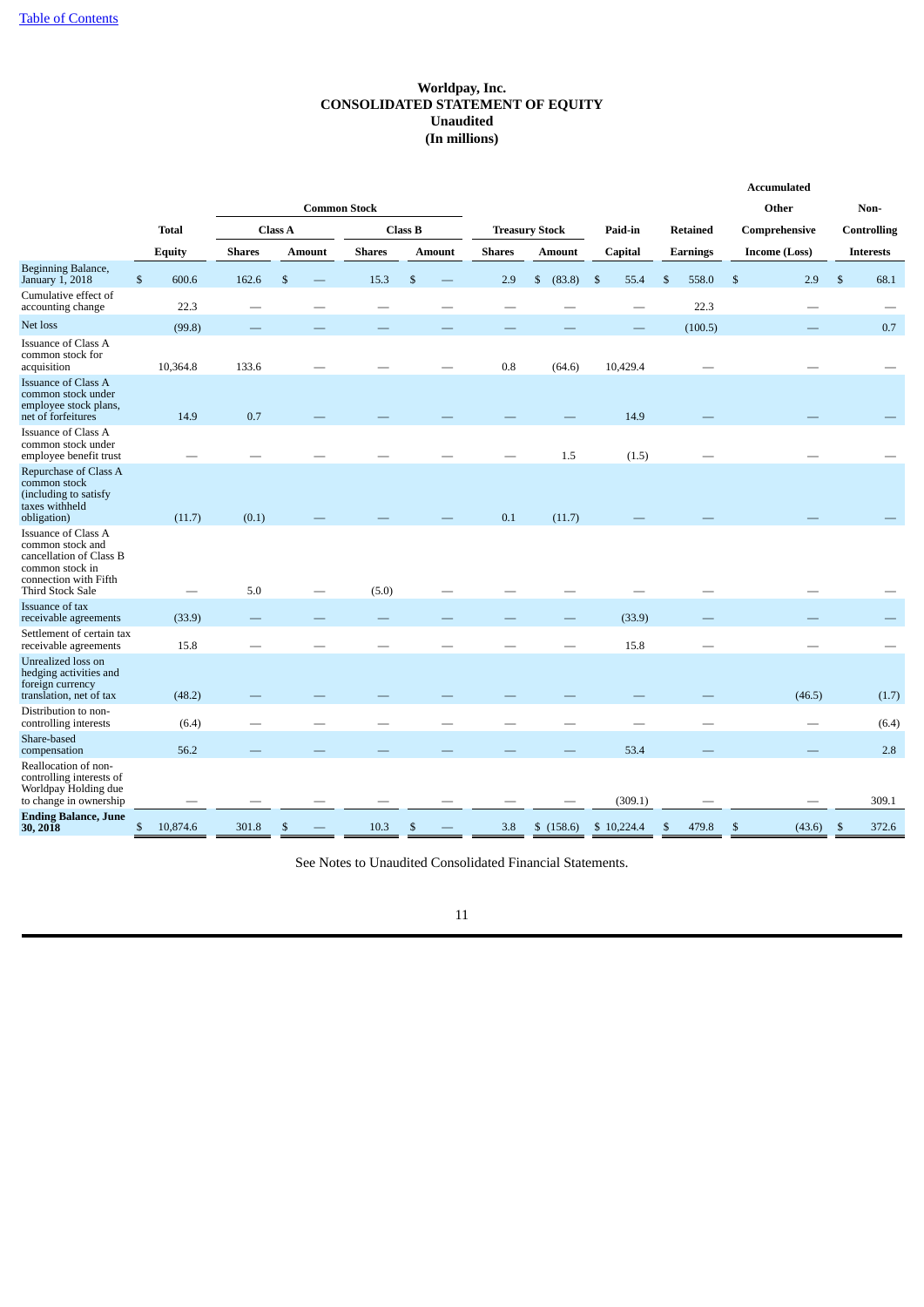<span id="page-10-0"></span>

|                                                                                                                                    |              |               |               |                |                     |                |               |                       |                      |                         | <b>Accumulated</b>    |                         |  |
|------------------------------------------------------------------------------------------------------------------------------------|--------------|---------------|---------------|----------------|---------------------|----------------|---------------|-----------------------|----------------------|-------------------------|-----------------------|-------------------------|--|
|                                                                                                                                    |              |               |               |                | <b>Common Stock</b> |                |               |                       |                      |                         | Other                 | Non-                    |  |
|                                                                                                                                    |              | <b>Total</b>  |               | <b>Class A</b> |                     | <b>Class B</b> |               | <b>Treasury Stock</b> | Paid-in              | <b>Retained</b>         | Comprehensive         | Controlling             |  |
|                                                                                                                                    |              | <b>Equity</b> | <b>Shares</b> | <b>Amount</b>  | <b>Shares</b>       | <b>Amount</b>  | <b>Shares</b> | <b>Amount</b>         | Capital              | <b>Earnings</b>         | Income (Loss)         | <b>Interests</b>        |  |
| Beginning Balance,<br>January 1, 2018                                                                                              | $\mathbb{S}$ | 600.6         | 162.6         | $\mathbb{S}$   | 15.3                | $\mathfrak{s}$ | 2.9           | (83.8)<br>\$          | $\mathbf{s}$<br>55.4 | $\mathfrak{S}$<br>558.0 | $\mathfrak{s}$<br>2.9 | $\mathfrak{s}$<br>68.1  |  |
| Cumulative effect of<br>accounting change                                                                                          |              | 22.3          |               |                |                     |                |               |                       |                      | 22.3                    |                       |                         |  |
| Net loss                                                                                                                           |              | (99.8)        |               |                |                     |                |               |                       |                      | (100.5)                 |                       | 0.7                     |  |
| <b>Issuance of Class A</b><br>common stock for<br>acquisition                                                                      |              | 10,364.8      | 133.6         |                |                     |                | 0.8           | (64.6)                | 10,429.4             |                         |                       |                         |  |
| <b>Issuance of Class A</b><br>common stock under<br>employee stock plans,<br>net of forfeitures                                    |              | 14.9          | 0.7           |                |                     |                |               |                       | 14.9                 |                         |                       |                         |  |
| Issuance of Class A<br>common stock under<br>employee benefit trust                                                                |              |               |               |                |                     |                |               | 1.5                   | (1.5)                |                         |                       |                         |  |
| Repurchase of Class A<br>common stock<br>(including to satisfy<br>taxes withheld<br>obligation)                                    |              | (11.7)        | (0.1)         |                |                     |                | 0.1           | (11.7)                |                      |                         |                       |                         |  |
| Issuance of Class A<br>common stock and<br>cancellation of Class B<br>common stock in<br>connection with Fifth<br>Third Stock Sale |              |               | 5.0           |                | (5.0)               |                |               |                       |                      |                         |                       |                         |  |
| Issuance of tax<br>receivable agreements                                                                                           |              | (33.9)        |               |                |                     |                |               |                       | (33.9)               |                         |                       |                         |  |
| Settlement of certain tax<br>receivable agreements                                                                                 |              | 15.8          |               |                |                     |                |               |                       | 15.8                 |                         |                       |                         |  |
| Unrealized loss on<br>hedging activities and<br>foreign currency<br>translation, net of tax                                        |              | (48.2)        |               |                |                     |                |               |                       |                      |                         | (46.5)                | (1.7)                   |  |
| Distribution to non-<br>controlling interests                                                                                      |              | (6.4)         |               |                |                     |                |               |                       |                      |                         |                       | (6.4)                   |  |
| Share-based<br>compensation                                                                                                        |              | 56.2          |               |                |                     |                |               |                       | 53.4                 |                         |                       | 2.8                     |  |
| Reallocation of non-<br>controlling interests of<br>Worldpay Holding due<br>to change in ownership                                 |              |               |               |                |                     |                |               |                       | (309.1)              |                         |                       | 309.1                   |  |
| <b>Ending Balance, June</b><br>30, 2018                                                                                            | \$           | 10,874.6      | 301.8         | \$             | 10.3                | \$             | 3.8           | \$(158.6)             | \$10,224.4           | 479.8<br>$\mathfrak{s}$ | (43.6)<br>\$          | $\mathfrak{S}$<br>372.6 |  |

See Notes to Unaudited Consolidated Financial Statements.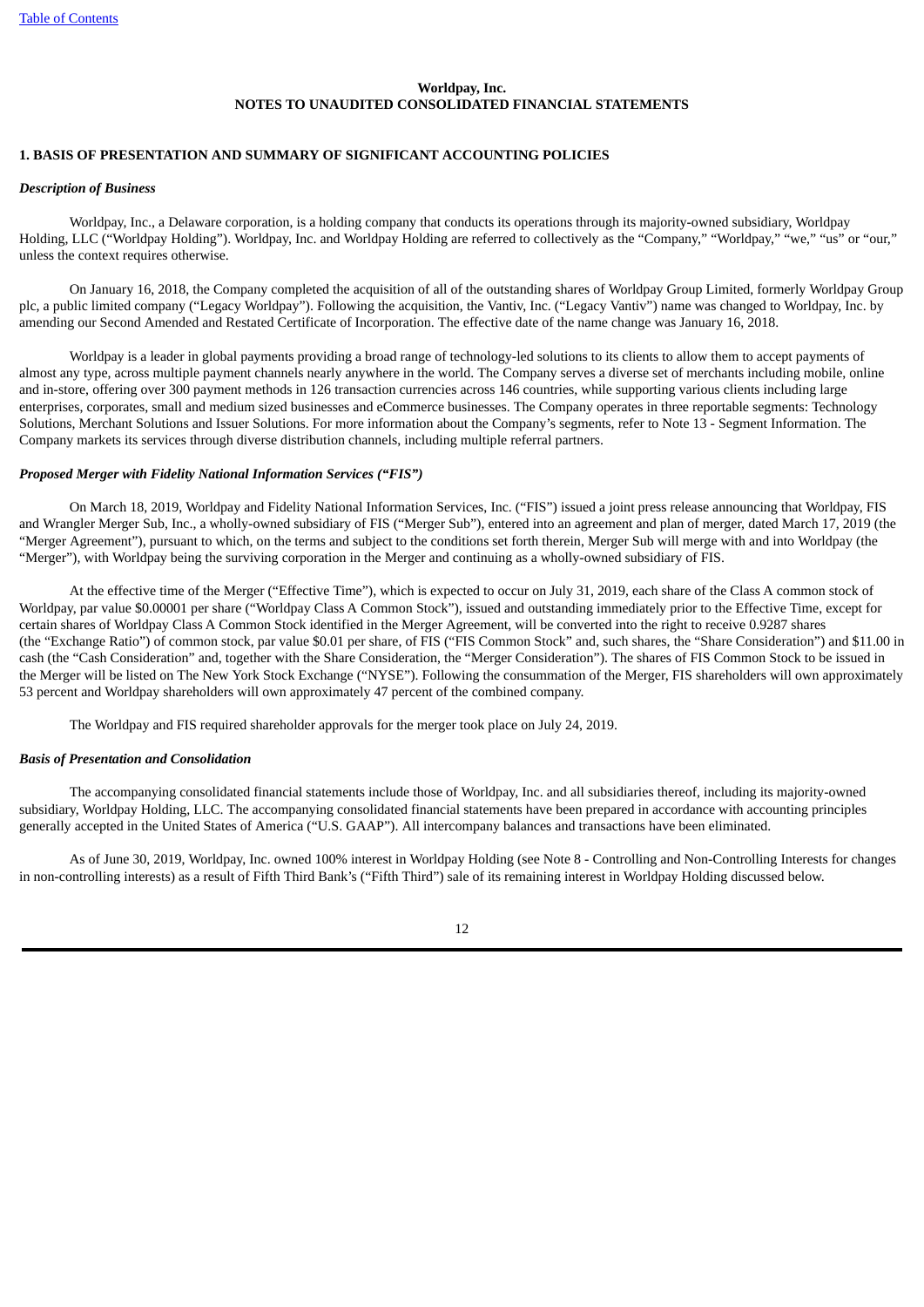## <span id="page-11-0"></span>**1. BASIS OF PRESENTATION AND SUMMARY OF SIGNIFICANT ACCOUNTING POLICIES**

## *Description of Business*

Worldpay, Inc., a Delaware corporation, is a holding company that conducts its operations through its majority-owned subsidiary, Worldpay Holding, LLC ("Worldpay Holding"). Worldpay, Inc. and Worldpay Holding are referred to collectively as the "Company," "Worldpay," "we," "us" or "our," unless the context requires otherwise.

On January 16, 2018, the Company completed the acquisition of all of the outstanding shares of Worldpay Group Limited, formerly Worldpay Group plc, a public limited company ("Legacy Worldpay"). Following the acquisition, the Vantiv, Inc. ("Legacy Vantiv") name was changed to Worldpay, Inc. by amending our Second Amended and Restated Certificate of Incorporation. The effective date of the name change was January 16, 2018.

Worldpay is a leader in global payments providing a broad range of technology-led solutions to its clients to allow them to accept payments of almost any type, across multiple payment channels nearly anywhere in the world. The Company serves a diverse set of merchants including mobile, online and in-store, offering over 300 payment methods in 126 transaction currencies across 146 countries, while supporting various clients including large enterprises, corporates, small and medium sized businesses and eCommerce businesses. The Company operates in three reportable segments: Technology Solutions, Merchant Solutions and Issuer Solutions. For more information about the Company's segments, refer to Note 13 - Segment Information. The Company markets its services through diverse distribution channels, including multiple referral partners.

### *Proposed Merger with Fidelity National Information Services ("FIS")*

On March 18, 2019, Worldpay and Fidelity National Information Services, Inc. ("FIS") issued a joint press release announcing that Worldpay, FIS and Wrangler Merger Sub, Inc., a wholly-owned subsidiary of FIS ("Merger Sub"), entered into an agreement and plan of merger, dated March 17, 2019 (the "Merger Agreement"), pursuant to which, on the terms and subject to the conditions set forth therein, Merger Sub will merge with and into Worldpay (the "Merger"), with Worldpay being the surviving corporation in the Merger and continuing as a wholly-owned subsidiary of FIS.

At the effective time of the Merger ("Effective Time"), which is expected to occur on July 31, 2019, each share of the Class A common stock of Worldpay, par value \$0.00001 per share ("Worldpay Class A Common Stock"), issued and outstanding immediately prior to the Effective Time, except for certain shares of Worldpay Class A Common Stock identified in the Merger Agreement, will be converted into the right to receive 0.9287 shares (the "Exchange Ratio") of common stock, par value \$0.01 per share, of FIS ("FIS Common Stock" and, such shares, the "Share Consideration") and \$11.00 in cash (the "Cash Consideration" and, together with the Share Consideration, the "Merger Consideration"). The shares of FIS Common Stock to be issued in the Merger will be listed on The New York Stock Exchange ("NYSE"). Following the consummation of the Merger, FIS shareholders will own approximately 53 percent and Worldpay shareholders will own approximately 47 percent of the combined company.

The Worldpay and FIS required shareholder approvals for the merger took place on July 24, 2019.

### *Basis of Presentation and Consolidation*

The accompanying consolidated financial statements include those of Worldpay, Inc. and all subsidiaries thereof, including its majority-owned subsidiary, Worldpay Holding, LLC. The accompanying consolidated financial statements have been prepared in accordance with accounting principles generally accepted in the United States of America ("U.S. GAAP"). All intercompany balances and transactions have been eliminated.

As of June 30, 2019, Worldpay, Inc. owned 100% interest in Worldpay Holding (see Note 8 - Controlling and Non-Controlling Interests for changes in non-controlling interests) as a result of Fifth Third Bank's ("Fifth Third") sale of its remaining interest in Worldpay Holding discussed below.

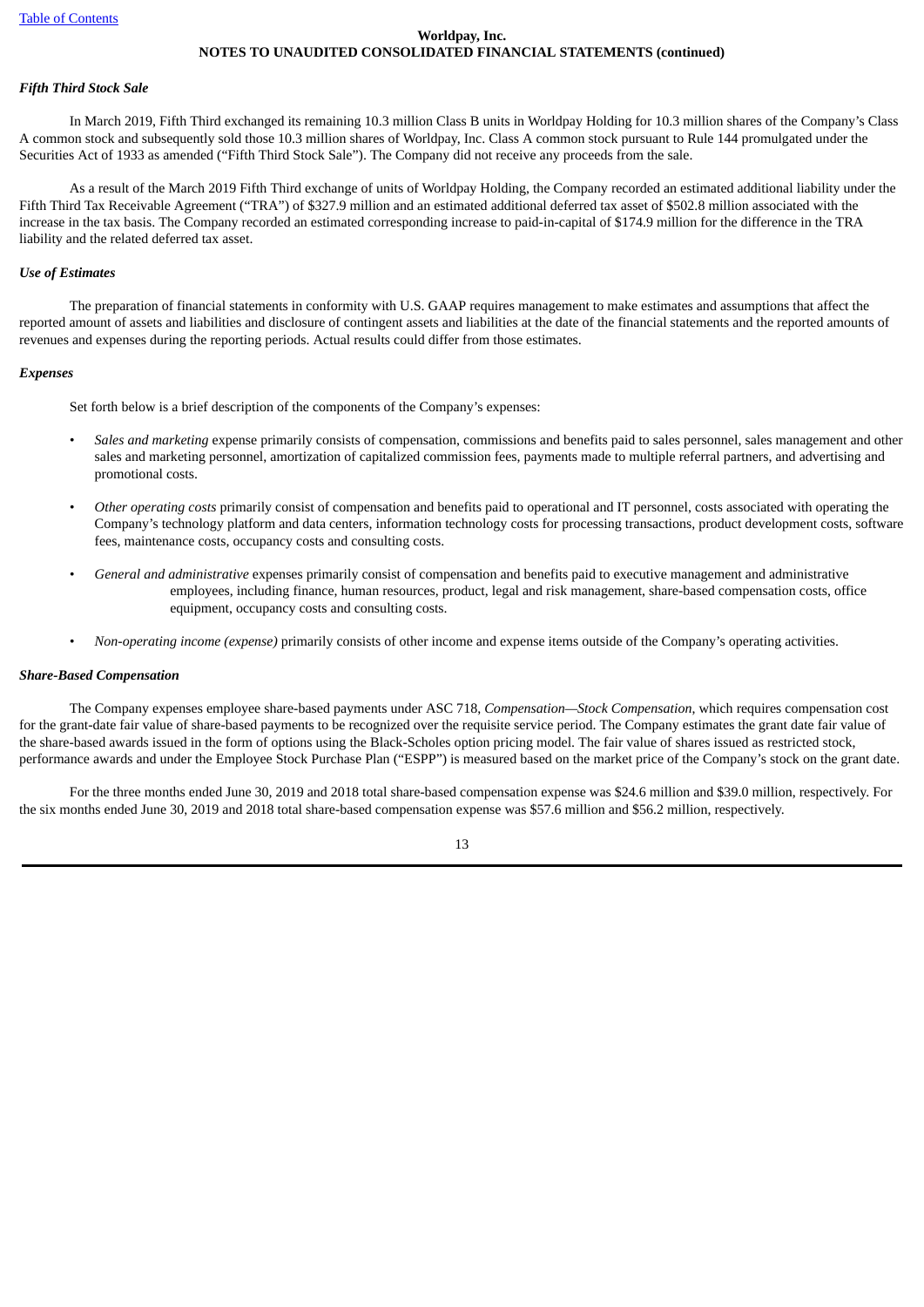## *Fifth Third Stock Sale*

In March 2019, Fifth Third exchanged its remaining 10.3 million Class B units in Worldpay Holding for 10.3 million shares of the Company's Class A common stock and subsequently sold those 10.3 million shares of Worldpay, Inc. Class A common stock pursuant to Rule 144 promulgated under the Securities Act of 1933 as amended ("Fifth Third Stock Sale"). The Company did not receive any proceeds from the sale.

As a result of the March 2019 Fifth Third exchange of units of Worldpay Holding, the Company recorded an estimated additional liability under the Fifth Third Tax Receivable Agreement ("TRA") of \$327.9 million and an estimated additional deferred tax asset of \$502.8 million associated with the increase in the tax basis. The Company recorded an estimated corresponding increase to paid-in-capital of \$174.9 million for the difference in the TRA liability and the related deferred tax asset.

## *Use of Estimates*

The preparation of financial statements in conformity with U.S. GAAP requires management to make estimates and assumptions that affect the reported amount of assets and liabilities and disclosure of contingent assets and liabilities at the date of the financial statements and the reported amounts of revenues and expenses during the reporting periods. Actual results could differ from those estimates.

### *Expenses*

Set forth below is a brief description of the components of the Company's expenses:

- *• Sales and marketing* expense primarily consists of compensation, commissions and benefits paid to sales personnel, sales management and other sales and marketing personnel, amortization of capitalized commission fees, payments made to multiple referral partners, and advertising and promotional costs.
- *• Other operating costs* primarily consist of compensation and benefits paid to operational and IT personnel, costs associated with operating the Company's technology platform and data centers, information technology costs for processing transactions, product development costs, software fees, maintenance costs, occupancy costs and consulting costs.
- *• General and administrative* expenses primarily consist of compensation and benefits paid to executive management and administrative employees, including finance, human resources, product, legal and risk management, share-based compensation costs, office equipment, occupancy costs and consulting costs.
- *• Non-operating income (expense)* primarily consists of other income and expense items outside of the Company's operating activities.

## *Share-Based Compensation*

The Company expenses employee share-based payments under ASC 718, *Compensation—Stock Compensation*, which requires compensation cost for the grant-date fair value of share-based payments to be recognized over the requisite service period. The Company estimates the grant date fair value of the share-based awards issued in the form of options using the Black-Scholes option pricing model. The fair value of shares issued as restricted stock, performance awards and under the Employee Stock Purchase Plan ("ESPP") is measured based on the market price of the Company's stock on the grant date.

For the three months ended June 30, 2019 and 2018 total share-based compensation expense was \$24.6 million and \$39.0 million, respectively. For the six months ended June 30, 2019 and 2018 total share-based compensation expense was \$57.6 million and \$56.2 million, respectively.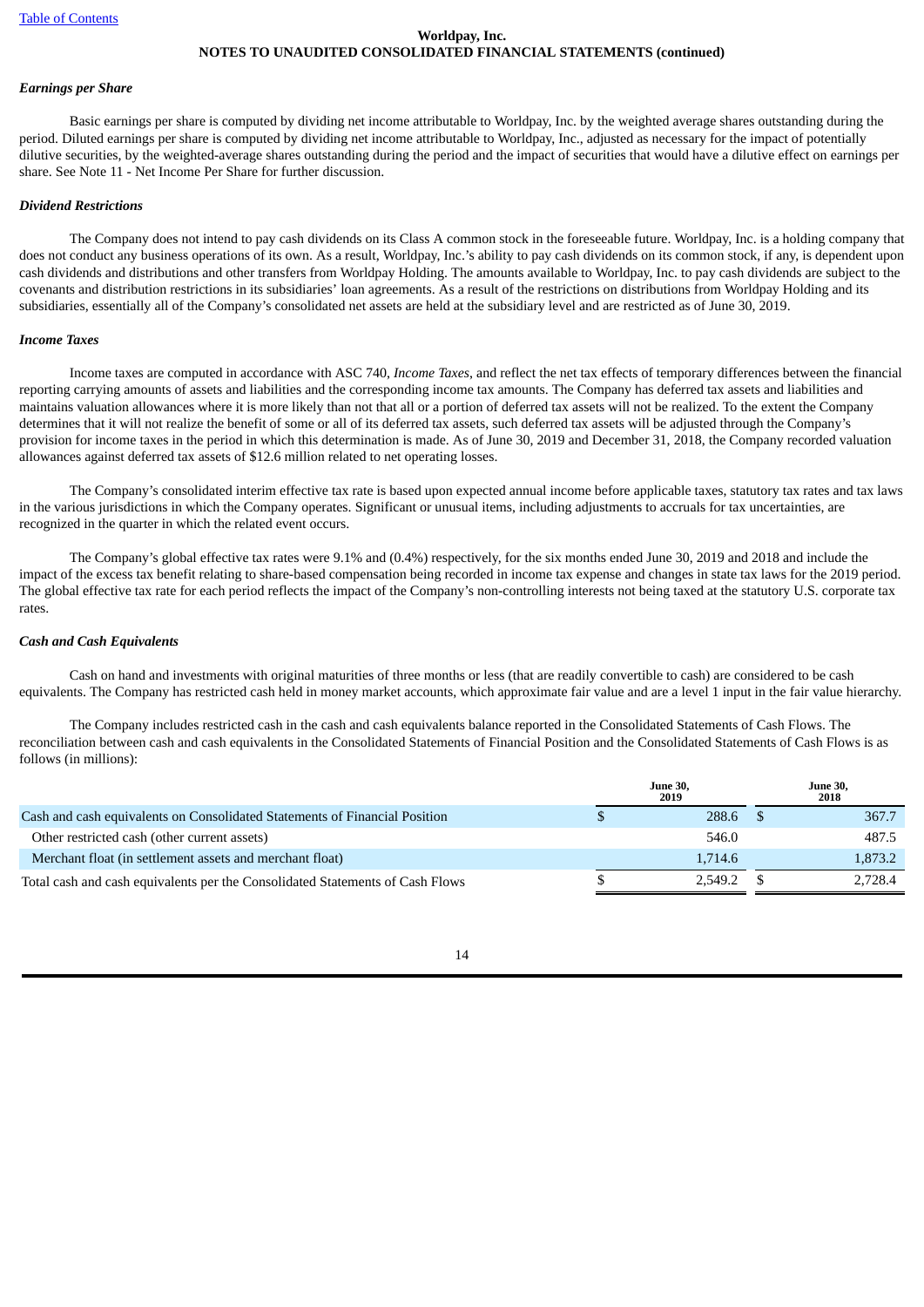#### *Earnings per Share*

Basic earnings per share is computed by dividing net income attributable to Worldpay, Inc. by the weighted average shares outstanding during the period. Diluted earnings per share is computed by dividing net income attributable to Worldpay, Inc., adjusted as necessary for the impact of potentially dilutive securities, by the weighted-average shares outstanding during the period and the impact of securities that would have a dilutive effect on earnings per share. See Note 11 - Net Income Per Share for further discussion.

### *Dividend Restrictions*

The Company does not intend to pay cash dividends on its Class A common stock in the foreseeable future. Worldpay, Inc. is a holding company that does not conduct any business operations of its own. As a result, Worldpay, Inc.'s ability to pay cash dividends on its common stock, if any, is dependent upon cash dividends and distributions and other transfers from Worldpay Holding. The amounts available to Worldpay, Inc. to pay cash dividends are subject to the covenants and distribution restrictions in its subsidiaries' loan agreements. As a result of the restrictions on distributions from Worldpay Holding and its subsidiaries, essentially all of the Company's consolidated net assets are held at the subsidiary level and are restricted as of June 30, 2019.

### *Income Taxes*

Income taxes are computed in accordance with ASC 740, *Income Taxes*, and reflect the net tax effects of temporary differences between the financial reporting carrying amounts of assets and liabilities and the corresponding income tax amounts. The Company has deferred tax assets and liabilities and maintains valuation allowances where it is more likely than not that all or a portion of deferred tax assets will not be realized. To the extent the Company determines that it will not realize the benefit of some or all of its deferred tax assets, such deferred tax assets will be adjusted through the Company's provision for income taxes in the period in which this determination is made. As of June 30, 2019 and December 31, 2018, the Company recorded valuation allowances against deferred tax assets of \$12.6 million related to net operating losses.

The Company's consolidated interim effective tax rate is based upon expected annual income before applicable taxes, statutory tax rates and tax laws in the various jurisdictions in which the Company operates. Significant or unusual items, including adjustments to accruals for tax uncertainties, are recognized in the quarter in which the related event occurs.

The Company's global effective tax rates were 9.1% and (0.4%) respectively, for the six months ended June 30, 2019 and 2018 and include the impact of the excess tax benefit relating to share-based compensation being recorded in income tax expense and changes in state tax laws for the 2019 period. The global effective tax rate for each period reflects the impact of the Company's non-controlling interests not being taxed at the statutory U.S. corporate tax rates.

### *Cash and Cash Equivalents*

Cash on hand and investments with original maturities of three months or less (that are readily convertible to cash) are considered to be cash equivalents. The Company has restricted cash held in money market accounts, which approximate fair value and are a level 1 input in the fair value hierarchy.

The Company includes restricted cash in the cash and cash equivalents balance reported in the Consolidated Statements of Cash Flows. The reconciliation between cash and cash equivalents in the Consolidated Statements of Financial Position and the Consolidated Statements of Cash Flows is as follows (in millions):

|                                                                               | <b>June 30.</b><br>2019 | <b>June 30,</b><br>2018 |
|-------------------------------------------------------------------------------|-------------------------|-------------------------|
| Cash and cash equivalents on Consolidated Statements of Financial Position    | 288.6                   | 367.7                   |
| Other restricted cash (other current assets)                                  | 546.0                   | 487.5                   |
| Merchant float (in settlement assets and merchant float)                      | 1.714.6                 | 1,873.2                 |
| Total cash and cash equivalents per the Consolidated Statements of Cash Flows | 2.549.2                 | 2.728.4                 |

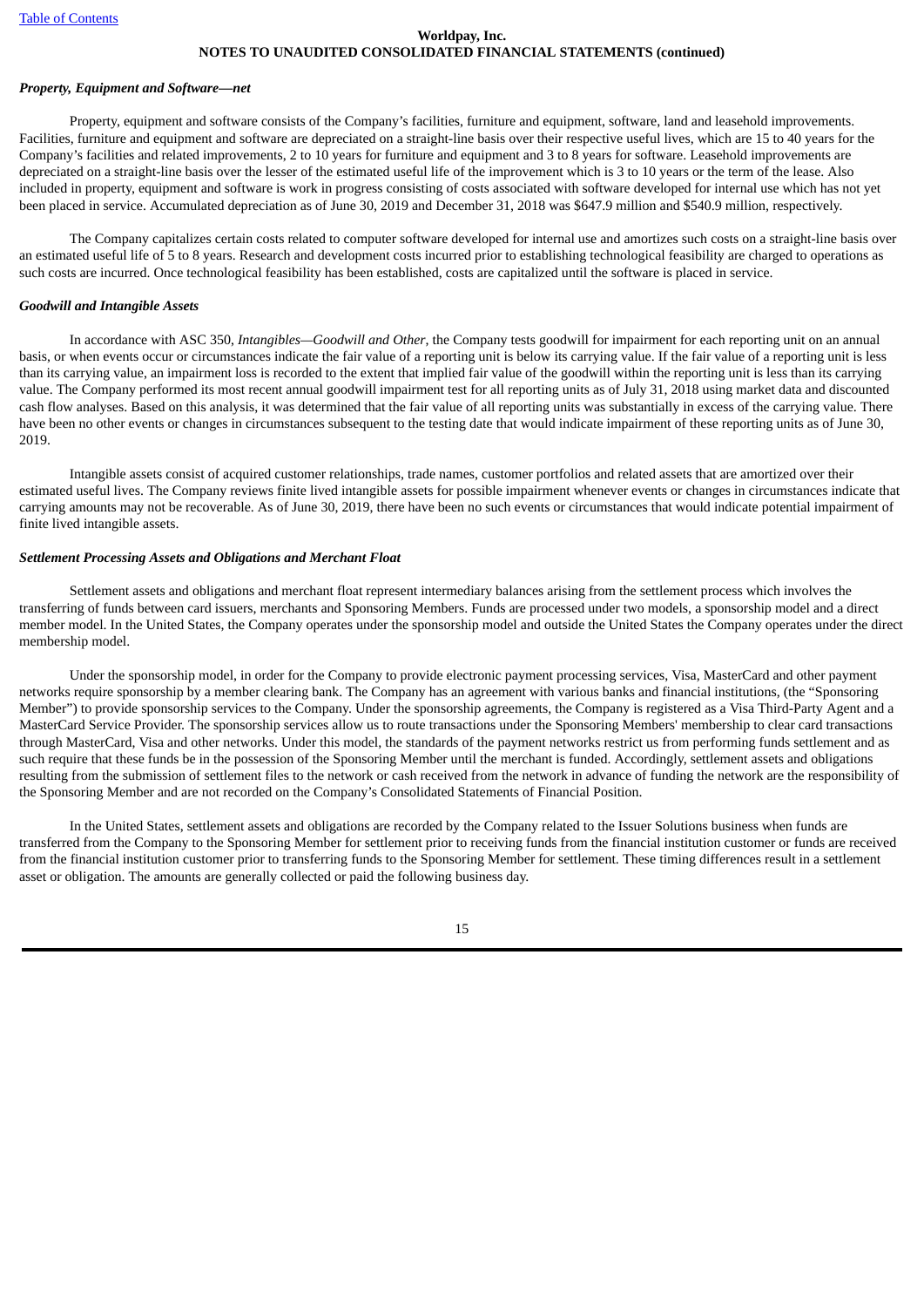### *Property, Equipment and Software—net*

Property, equipment and software consists of the Company's facilities, furniture and equipment, software, land and leasehold improvements. Facilities, furniture and equipment and software are depreciated on a straight-line basis over their respective useful lives, which are 15 to 40 years for the Company's facilities and related improvements, 2 to 10 years for furniture and equipment and 3 to 8 years for software. Leasehold improvements are depreciated on a straight-line basis over the lesser of the estimated useful life of the improvement which is 3 to 10 years or the term of the lease. Also included in property, equipment and software is work in progress consisting of costs associated with software developed for internal use which has not yet been placed in service. Accumulated depreciation as of June 30, 2019 and December 31, 2018 was \$647.9 million and \$540.9 million, respectively.

The Company capitalizes certain costs related to computer software developed for internal use and amortizes such costs on a straight-line basis over an estimated useful life of 5 to 8 years. Research and development costs incurred prior to establishing technological feasibility are charged to operations as such costs are incurred. Once technological feasibility has been established, costs are capitalized until the software is placed in service.

### *Goodwill and Intangible Assets*

In accordance with ASC 350, *Intangibles—Goodwill and Other*, the Company tests goodwill for impairment for each reporting unit on an annual basis, or when events occur or circumstances indicate the fair value of a reporting unit is below its carrying value. If the fair value of a reporting unit is less than its carrying value, an impairment loss is recorded to the extent that implied fair value of the goodwill within the reporting unit is less than its carrying value. The Company performed its most recent annual goodwill impairment test for all reporting units as of July 31, 2018 using market data and discounted cash flow analyses. Based on this analysis, it was determined that the fair value of all reporting units was substantially in excess of the carrying value. There have been no other events or changes in circumstances subsequent to the testing date that would indicate impairment of these reporting units as of June 30, 2019.

Intangible assets consist of acquired customer relationships, trade names, customer portfolios and related assets that are amortized over their estimated useful lives. The Company reviews finite lived intangible assets for possible impairment whenever events or changes in circumstances indicate that carrying amounts may not be recoverable. As of June 30, 2019, there have been no such events or circumstances that would indicate potential impairment of finite lived intangible assets.

### *Settlement Processing Assets and Obligations and Merchant Float*

Settlement assets and obligations and merchant float represent intermediary balances arising from the settlement process which involves the transferring of funds between card issuers, merchants and Sponsoring Members. Funds are processed under two models, a sponsorship model and a direct member model. In the United States, the Company operates under the sponsorship model and outside the United States the Company operates under the direct membership model.

Under the sponsorship model, in order for the Company to provide electronic payment processing services, Visa, MasterCard and other payment networks require sponsorship by a member clearing bank. The Company has an agreement with various banks and financial institutions, (the "Sponsoring Member") to provide sponsorship services to the Company. Under the sponsorship agreements, the Company is registered as a Visa Third-Party Agent and a MasterCard Service Provider. The sponsorship services allow us to route transactions under the Sponsoring Members' membership to clear card transactions through MasterCard, Visa and other networks. Under this model, the standards of the payment networks restrict us from performing funds settlement and as such require that these funds be in the possession of the Sponsoring Member until the merchant is funded. Accordingly, settlement assets and obligations resulting from the submission of settlement files to the network or cash received from the network in advance of funding the network are the responsibility of the Sponsoring Member and are not recorded on the Company's Consolidated Statements of Financial Position.

In the United States, settlement assets and obligations are recorded by the Company related to the Issuer Solutions business when funds are transferred from the Company to the Sponsoring Member for settlement prior to receiving funds from the financial institution customer or funds are received from the financial institution customer prior to transferring funds to the Sponsoring Member for settlement. These timing differences result in a settlement asset or obligation. The amounts are generally collected or paid the following business day.

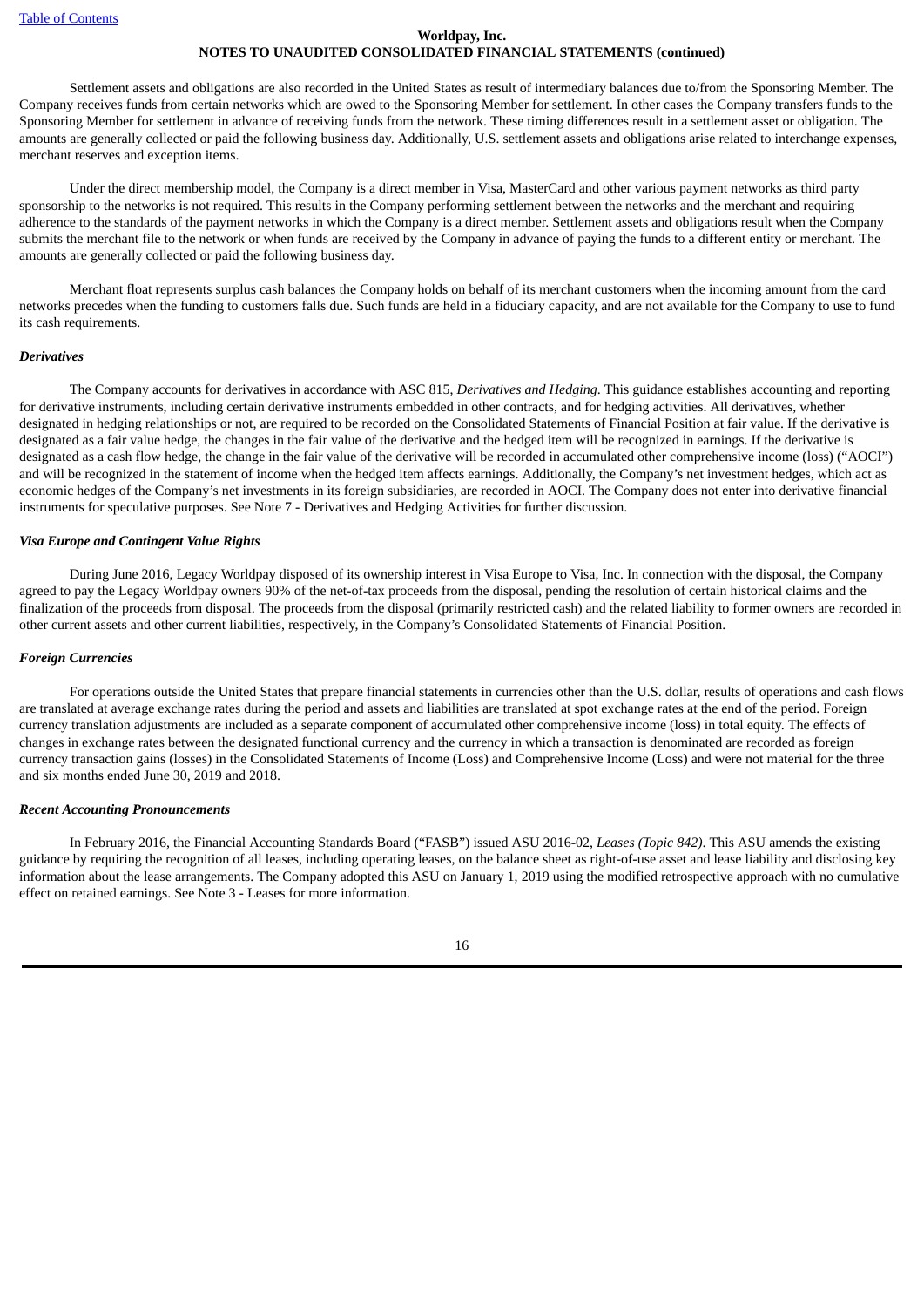Settlement assets and obligations are also recorded in the United States as result of intermediary balances due to/from the Sponsoring Member. The Company receives funds from certain networks which are owed to the Sponsoring Member for settlement. In other cases the Company transfers funds to the Sponsoring Member for settlement in advance of receiving funds from the network. These timing differences result in a settlement asset or obligation. The amounts are generally collected or paid the following business day. Additionally, U.S. settlement assets and obligations arise related to interchange expenses, merchant reserves and exception items.

Under the direct membership model, the Company is a direct member in Visa, MasterCard and other various payment networks as third party sponsorship to the networks is not required. This results in the Company performing settlement between the networks and the merchant and requiring adherence to the standards of the payment networks in which the Company is a direct member. Settlement assets and obligations result when the Company submits the merchant file to the network or when funds are received by the Company in advance of paying the funds to a different entity or merchant. The amounts are generally collected or paid the following business day.

Merchant float represents surplus cash balances the Company holds on behalf of its merchant customers when the incoming amount from the card networks precedes when the funding to customers falls due. Such funds are held in a fiduciary capacity, and are not available for the Company to use to fund its cash requirements.

### *Derivatives*

The Company accounts for derivatives in accordance with ASC 815, *Derivatives and Hedging*. This guidance establishes accounting and reporting for derivative instruments, including certain derivative instruments embedded in other contracts, and for hedging activities. All derivatives, whether designated in hedging relationships or not, are required to be recorded on the Consolidated Statements of Financial Position at fair value. If the derivative is designated as a fair value hedge, the changes in the fair value of the derivative and the hedged item will be recognized in earnings. If the derivative is designated as a cash flow hedge, the change in the fair value of the derivative will be recorded in accumulated other comprehensive income (loss) ("AOCI") and will be recognized in the statement of income when the hedged item affects earnings. Additionally, the Company's net investment hedges, which act as economic hedges of the Company's net investments in its foreign subsidiaries, are recorded in AOCI. The Company does not enter into derivative financial instruments for speculative purposes. See Note 7 - Derivatives and Hedging Activities for further discussion.

### *Visa Europe and Contingent Value Rights*

During June 2016, Legacy Worldpay disposed of its ownership interest in Visa Europe to Visa, Inc. In connection with the disposal, the Company agreed to pay the Legacy Worldpay owners 90% of the net-of-tax proceeds from the disposal, pending the resolution of certain historical claims and the finalization of the proceeds from disposal. The proceeds from the disposal (primarily restricted cash) and the related liability to former owners are recorded in other current assets and other current liabilities, respectively, in the Company's Consolidated Statements of Financial Position.

### *Foreign Currencies*

For operations outside the United States that prepare financial statements in currencies other than the U.S. dollar, results of operations and cash flows are translated at average exchange rates during the period and assets and liabilities are translated at spot exchange rates at the end of the period. Foreign currency translation adjustments are included as a separate component of accumulated other comprehensive income (loss) in total equity. The effects of changes in exchange rates between the designated functional currency and the currency in which a transaction is denominated are recorded as foreign currency transaction gains (losses) in the Consolidated Statements of Income (Loss) and Comprehensive Income (Loss) and were not material for the three and six months ended June 30, 2019 and 2018.

#### *Recent Accounting Pronouncements*

In February 2016, the Financial Accounting Standards Board ("FASB") issued ASU 2016-02, *Leases (Topic 842)*. This ASU amends the existing guidance by requiring the recognition of all leases, including operating leases, on the balance sheet as right-of-use asset and lease liability and disclosing key information about the lease arrangements. The Company adopted this ASU on January 1, 2019 using the modified retrospective approach with no cumulative effect on retained earnings. See Note 3 - Leases for more information.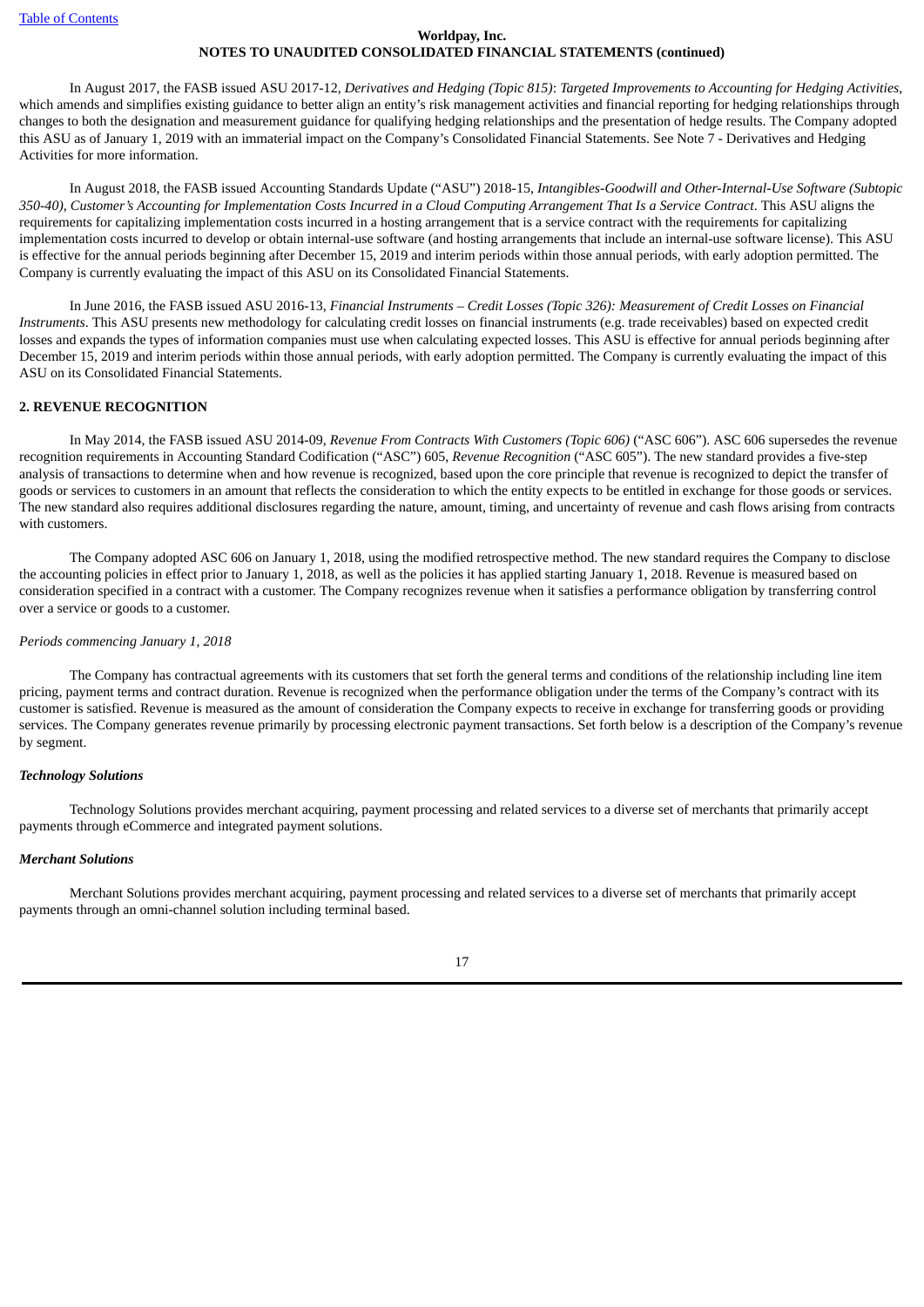In August 2017, the FASB issued ASU 2017-12, Derivatives and Hedging (Topic 815): Targeted Improvements to Accounting for Hedging Activities, which amends and simplifies existing guidance to better align an entity's risk management activities and financial reporting for hedging relationships through changes to both the designation and measurement guidance for qualifying hedging relationships and the presentation of hedge results. The Company adopted this ASU as of January 1, 2019 with an immaterial impact on the Company's Consolidated Financial Statements. See Note 7 - Derivatives and Hedging Activities for more information.

In August 2018, the FASB issued Accounting Standards Update ("ASU") 2018-15, *Intangibles-Goodwill and Other-Internal-Use Software (Subtopic* 350-40). Customer's Accounting for Implementation Costs Incurred in a Cloud Computing Arrangement That Is a Service Contract. This ASU aligns the requirements for capitalizing implementation costs incurred in a hosting arrangement that is a service contract with the requirements for capitalizing implementation costs incurred to develop or obtain internal-use software (and hosting arrangements that include an internal-use software license). This ASU is effective for the annual periods beginning after December 15, 2019 and interim periods within those annual periods, with early adoption permitted. The Company is currently evaluating the impact of this ASU on its Consolidated Financial Statements.

In June 2016, the FASB issued ASU 2016-13, Financial Instruments - Credit Losses (Topic 326): Measurement of Credit Losses on Financial *Instruments*. This ASU presents new methodology for calculating credit losses on financial instruments (e.g. trade receivables) based on expected credit losses and expands the types of information companies must use when calculating expected losses. This ASU is effective for annual periods beginning after December 15, 2019 and interim periods within those annual periods, with early adoption permitted. The Company is currently evaluating the impact of this ASU on its Consolidated Financial Statements.

### **2. REVENUE RECOGNITION**

In May 2014, the FASB issued ASU 2014-09, *Revenue From Contracts With Customers (Topic 606)* ("ASC 606"). ASC 606 supersedes the revenue recognition requirements in Accounting Standard Codification ("ASC") 605, *Revenue Recognition* ("ASC 605"). The new standard provides a five-step analysis of transactions to determine when and how revenue is recognized, based upon the core principle that revenue is recognized to depict the transfer of goods or services to customers in an amount that reflects the consideration to which the entity expects to be entitled in exchange for those goods or services. The new standard also requires additional disclosures regarding the nature, amount, timing, and uncertainty of revenue and cash flows arising from contracts with customers.

The Company adopted ASC 606 on January 1, 2018, using the modified retrospective method. The new standard requires the Company to disclose the accounting policies in effect prior to January 1, 2018, as well as the policies it has applied starting January 1, 2018. Revenue is measured based on consideration specified in a contract with a customer. The Company recognizes revenue when it satisfies a performance obligation by transferring control over a service or goods to a customer.

### *Periods commencing January 1, 2018*

The Company has contractual agreements with its customers that set forth the general terms and conditions of the relationship including line item pricing, payment terms and contract duration. Revenue is recognized when the performance obligation under the terms of the Company's contract with its customer is satisfied. Revenue is measured as the amount of consideration the Company expects to receive in exchange for transferring goods or providing services. The Company generates revenue primarily by processing electronic payment transactions. Set forth below is a description of the Company's revenue by segment.

### *Technology Solutions*

Technology Solutions provides merchant acquiring, payment processing and related services to a diverse set of merchants that primarily accept payments through eCommerce and integrated payment solutions.

### *Merchant Solutions*

Merchant Solutions provides merchant acquiring, payment processing and related services to a diverse set of merchants that primarily accept payments through an omni-channel solution including terminal based.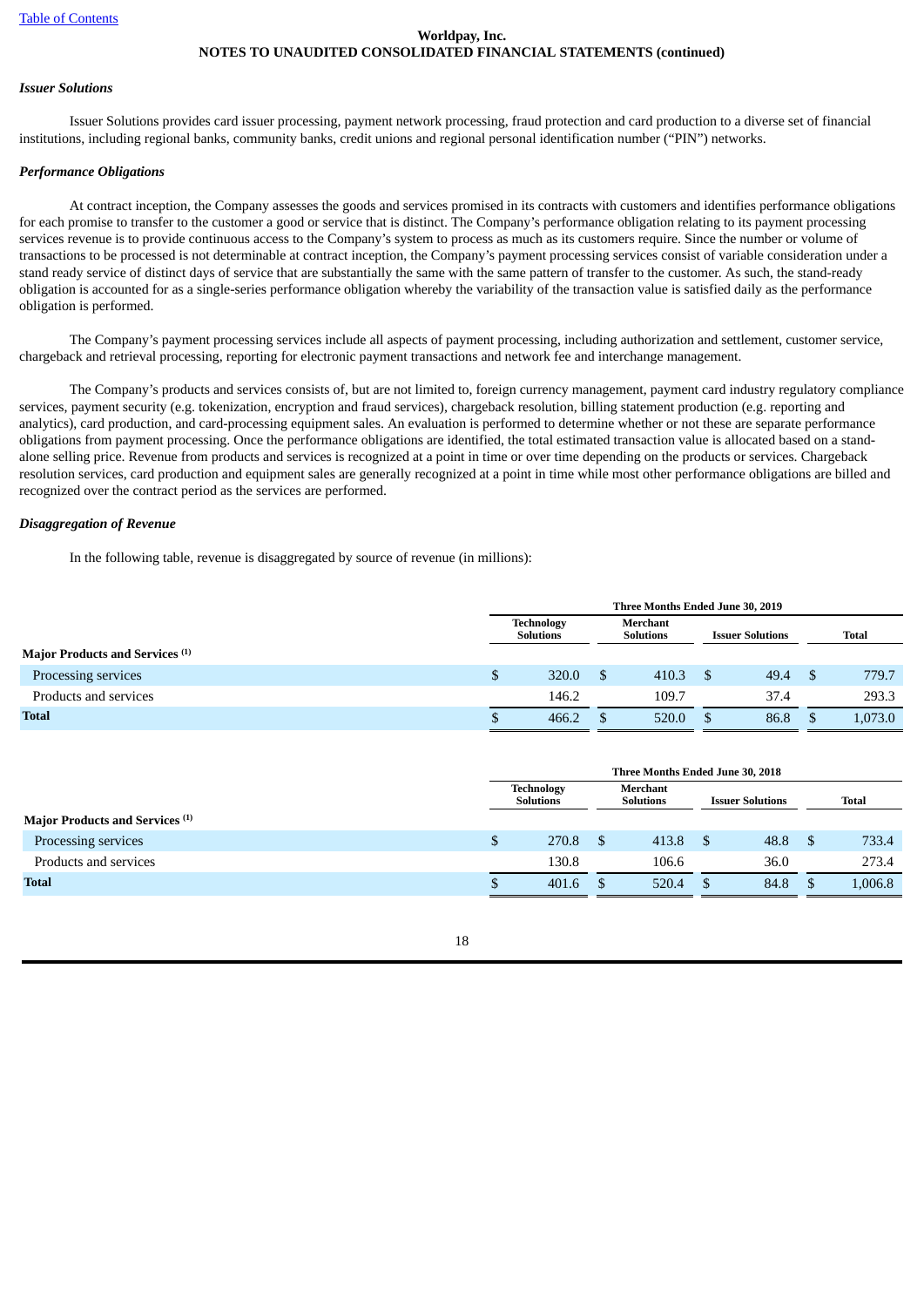### *Issuer Solutions*

Issuer Solutions provides card issuer processing, payment network processing, fraud protection and card production to a diverse set of financial institutions, including regional banks, community banks, credit unions and regional personal identification number ("PIN") networks.

### *Performance Obligations*

At contract inception, the Company assesses the goods and services promised in its contracts with customers and identifies performance obligations for each promise to transfer to the customer a good or service that is distinct. The Company's performance obligation relating to its payment processing services revenue is to provide continuous access to the Company's system to process as much as its customers require. Since the number or volume of transactions to be processed is not determinable at contract inception, the Company's payment processing services consist of variable consideration under a stand ready service of distinct days of service that are substantially the same with the same pattern of transfer to the customer. As such, the stand-ready obligation is accounted for as a single-series performance obligation whereby the variability of the transaction value is satisfied daily as the performance obligation is performed.

The Company's payment processing services include all aspects of payment processing, including authorization and settlement, customer service, chargeback and retrieval processing, reporting for electronic payment transactions and network fee and interchange management.

The Company's products and services consists of, but are not limited to, foreign currency management, payment card industry regulatory compliance services, payment security (e.g. tokenization, encryption and fraud services), chargeback resolution, billing statement production (e.g. reporting and analytics), card production, and card-processing equipment sales. An evaluation is performed to determine whether or not these are separate performance obligations from payment processing. Once the performance obligations are identified, the total estimated transaction value is allocated based on a standalone selling price. Revenue from products and services is recognized at a point in time or over time depending on the products or services. Chargeback resolution services, card production and equipment sales are generally recognized at a point in time while most other performance obligations are billed and recognized over the contract period as the services are performed.

## *Disaggregation of Revenue*

In the following table, revenue is disaggregated by source of revenue (in millions):

|                                            | Three Months Ended June 30, 2019 |                                       |                              |       |                         |      |  |              |  |  |  |
|--------------------------------------------|----------------------------------|---------------------------------------|------------------------------|-------|-------------------------|------|--|--------------|--|--|--|
|                                            |                                  | <b>Technology</b><br><b>Solutions</b> | Merchant<br><b>Solutions</b> |       | <b>Issuer Solutions</b> |      |  | <b>Total</b> |  |  |  |
| Major Products and Services <sup>(1)</sup> |                                  |                                       |                              |       |                         |      |  |              |  |  |  |
| Processing services                        | \$                               | 320.0                                 |                              | 410.3 |                         | 49.4 |  | 779.7        |  |  |  |
| Products and services                      |                                  | 146.2                                 |                              | 109.7 |                         | 37.4 |  | 293.3        |  |  |  |
| <b>Total</b>                               |                                  | 466.2                                 |                              | 520.0 |                         | 86.8 |  | 1,073.0      |  |  |  |

|                                            | Three Months Ended June 30, 2018 |                                       |  |                              |                         |      |  |              |
|--------------------------------------------|----------------------------------|---------------------------------------|--|------------------------------|-------------------------|------|--|--------------|
|                                            |                                  | <b>Technology</b><br><b>Solutions</b> |  | Merchant<br><b>Solutions</b> | <b>Issuer Solutions</b> |      |  | <b>Total</b> |
| Major Products and Services <sup>(1)</sup> |                                  |                                       |  |                              |                         |      |  |              |
| Processing services                        | \$                               | 270.8                                 |  | 413.8                        |                         | 48.8 |  | 733.4        |
| Products and services                      |                                  | 130.8                                 |  | 106.6                        |                         | 36.0 |  | 273.4        |
| <b>Total</b>                               |                                  | 401.6                                 |  | 520.4                        |                         | 84.8 |  | 1,006.8      |

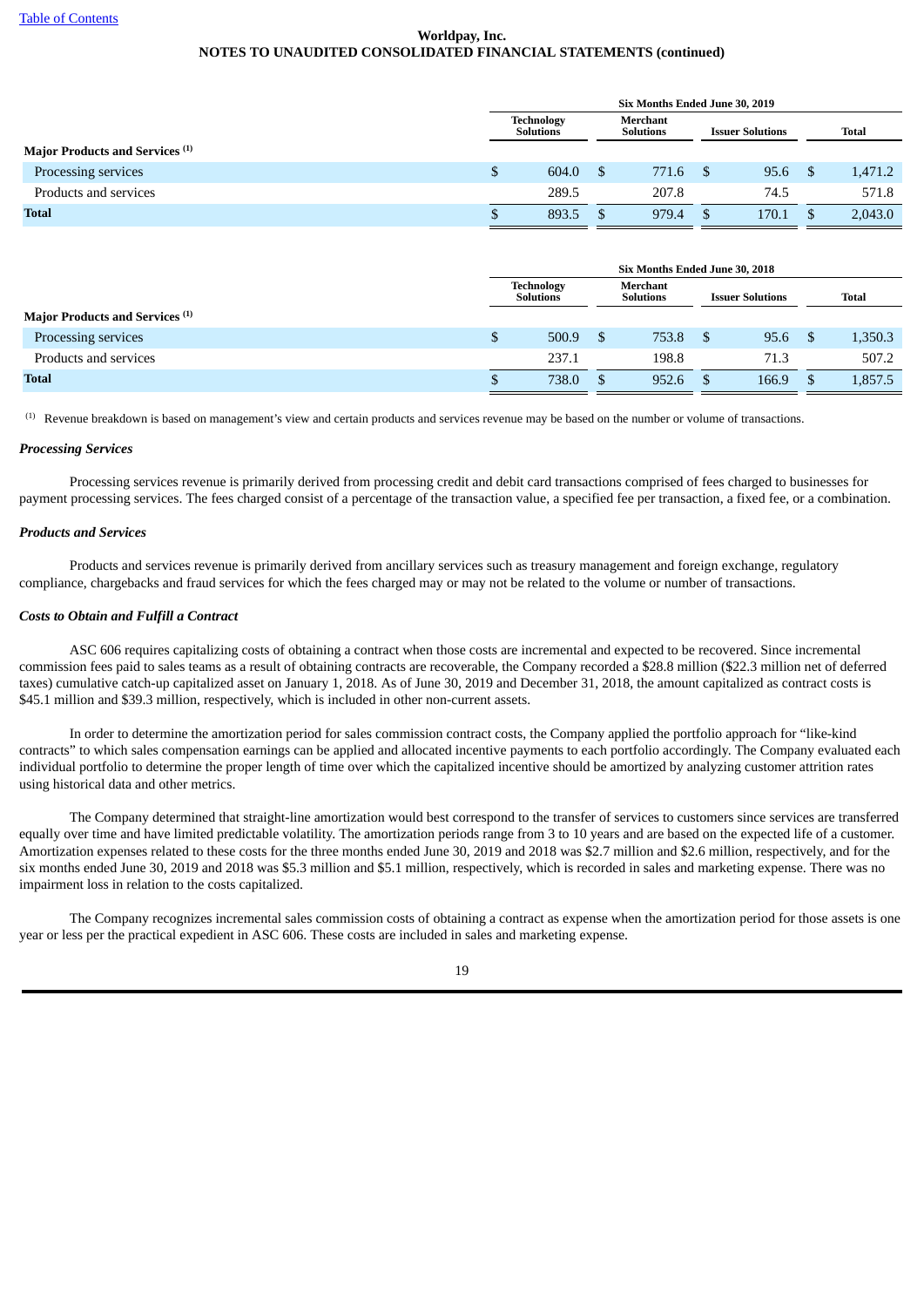|                                                                                                                                                                                                                                                                                                                                    | Six Months Ended June 30, 2019        |                                       |               |                                |                         |                         |               |              |
|------------------------------------------------------------------------------------------------------------------------------------------------------------------------------------------------------------------------------------------------------------------------------------------------------------------------------------|---------------------------------------|---------------------------------------|---------------|--------------------------------|-------------------------|-------------------------|---------------|--------------|
|                                                                                                                                                                                                                                                                                                                                    | <b>Technology</b><br><b>Solutions</b> |                                       |               | Merchant<br><b>Solutions</b>   | <b>Issuer Solutions</b> |                         |               | <b>Total</b> |
| <b>Major Products and Services</b> <sup>(1)</sup>                                                                                                                                                                                                                                                                                  |                                       |                                       |               |                                |                         |                         |               |              |
| Processing services                                                                                                                                                                                                                                                                                                                | \$                                    | 604.0                                 | <sup>\$</sup> | 771.6 \$                       |                         | 95.6                    | <sup>\$</sup> | 1,471.2      |
| Products and services                                                                                                                                                                                                                                                                                                              |                                       | 289.5                                 |               | 207.8                          |                         | 74.5                    |               | 571.8        |
| <b>Total</b>                                                                                                                                                                                                                                                                                                                       |                                       | 893.5                                 | .S            | 979.4                          | S                       | 170.1                   | S             | 2,043.0      |
|                                                                                                                                                                                                                                                                                                                                    |                                       |                                       |               |                                |                         |                         |               |              |
|                                                                                                                                                                                                                                                                                                                                    |                                       |                                       |               | Six Months Ended June 30, 2018 |                         |                         |               |              |
|                                                                                                                                                                                                                                                                                                                                    |                                       | <b>Technology</b><br><b>Solutions</b> |               | Merchant<br><b>Solutions</b>   |                         | <b>Issuer Solutions</b> |               | <b>Total</b> |
| $\mathbf{r}$ $\mathbf{r}$ $\mathbf{r}$ $\mathbf{r}$ $\mathbf{r}$ $\mathbf{r}$ $\mathbf{r}$ $\mathbf{r}$ $\mathbf{r}$ $\mathbf{r}$ $\mathbf{r}$ $\mathbf{r}$ $\mathbf{r}$ $\mathbf{r}$ $\mathbf{r}$ $\mathbf{r}$ $\mathbf{r}$ $\mathbf{r}$ $\mathbf{r}$ $\mathbf{r}$ $\mathbf{r}$ $\mathbf{r}$ $\mathbf{r}$ $\mathbf{r}$ $\mathbf{$ |                                       |                                       |               |                                |                         |                         |               |              |

| Major Products and Services <sup>(1)</sup> |       |       |       |         |
|--------------------------------------------|-------|-------|-------|---------|
| Processing services                        | 500.9 | 753.8 | 95.6  | 1,350.3 |
| Products and services                      | 237.1 | 198.8 | 71.3  | 507.2   |
| <b>Total</b>                               | 738.0 | 952.6 | 166.9 | 1,857.5 |

 $<sup>(1)</sup>$  Revenue breakdown is based on management's view and certain products and services revenue may be based on the number or volume of transactions.</sup>

## *Processing Services*

Processing services revenue is primarily derived from processing credit and debit card transactions comprised of fees charged to businesses for payment processing services. The fees charged consist of a percentage of the transaction value, a specified fee per transaction, a fixed fee, or a combination.

### *Products and Services*

Products and services revenue is primarily derived from ancillary services such as treasury management and foreign exchange, regulatory compliance, chargebacks and fraud services for which the fees charged may or may not be related to the volume or number of transactions.

### *Costs to Obtain and Fulfill a Contract*

ASC 606 requires capitalizing costs of obtaining a contract when those costs are incremental and expected to be recovered. Since incremental commission fees paid to sales teams as a result of obtaining contracts are recoverable, the Company recorded a \$28.8 million (\$22.3 million net of deferred taxes) cumulative catch-up capitalized asset on January 1, 2018. As of June 30, 2019 and December 31, 2018, the amount capitalized as contract costs is \$45.1 million and \$39.3 million, respectively, which is included in other non-current assets.

In order to determine the amortization period for sales commission contract costs, the Company applied the portfolio approach for "like-kind contracts" to which sales compensation earnings can be applied and allocated incentive payments to each portfolio accordingly. The Company evaluated each individual portfolio to determine the proper length of time over which the capitalized incentive should be amortized by analyzing customer attrition rates using historical data and other metrics.

The Company determined that straight-line amortization would best correspond to the transfer of services to customers since services are transferred equally over time and have limited predictable volatility. The amortization periods range from 3 to 10 years and are based on the expected life of a customer. Amortization expenses related to these costs for the three months ended June 30, 2019 and 2018 was \$2.7 million and \$2.6 million, respectively, and for the six months ended June 30, 2019 and 2018 was \$5.3 million and \$5.1 million, respectively, which is recorded in sales and marketing expense. There was no impairment loss in relation to the costs capitalized.

The Company recognizes incremental sales commission costs of obtaining a contract as expense when the amortization period for those assets is one year or less per the practical expedient in ASC 606. These costs are included in sales and marketing expense.

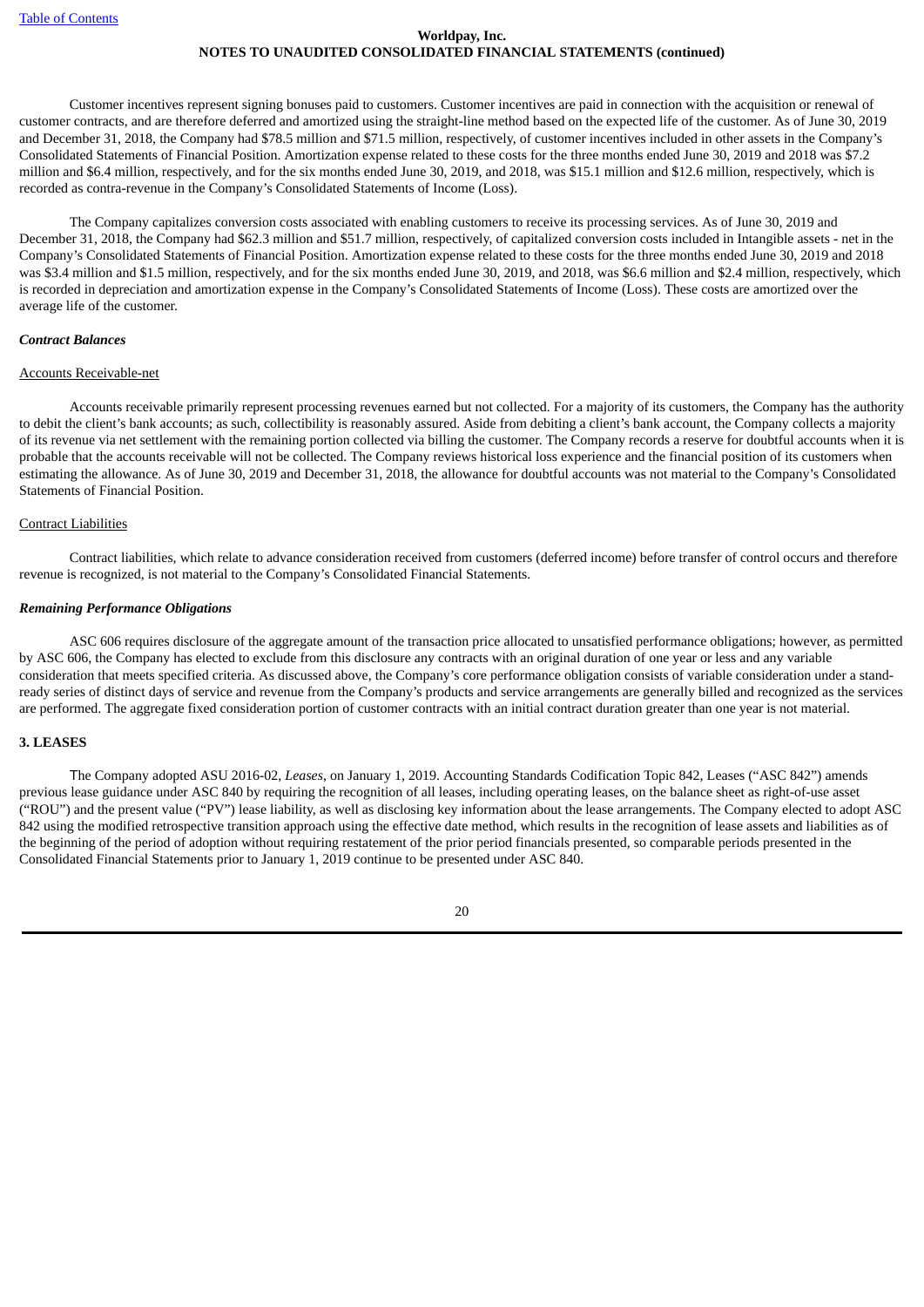Customer incentives represent signing bonuses paid to customers. Customer incentives are paid in connection with the acquisition or renewal of customer contracts, and are therefore deferred and amortized using the straight-line method based on the expected life of the customer. As of June 30, 2019 and December 31, 2018, the Company had \$78.5 million and \$71.5 million, respectively, of customer incentives included in other assets in the Company's Consolidated Statements of Financial Position. Amortization expense related to these costs for the three months ended June 30, 2019 and 2018 was \$7.2 million and \$6.4 million, respectively, and for the six months ended June 30, 2019, and 2018, was \$15.1 million and \$12.6 million, respectively, which is recorded as contra-revenue in the Company's Consolidated Statements of Income (Loss).

The Company capitalizes conversion costs associated with enabling customers to receive its processing services. As of June 30, 2019 and December 31, 2018, the Company had \$62.3 million and \$51.7 million, respectively, of capitalized conversion costs included in Intangible assets - net in the Company's Consolidated Statements of Financial Position. Amortization expense related to these costs for the three months ended June 30, 2019 and 2018 was \$3.4 million and \$1.5 million, respectively, and for the six months ended June 30, 2019, and 2018, was \$6.6 million and \$2.4 million, respectively, which is recorded in depreciation and amortization expense in the Company's Consolidated Statements of Income (Loss). These costs are amortized over the average life of the customer.

### *Contract Balances*

#### Accounts Receivable-net

Accounts receivable primarily represent processing revenues earned but not collected. For a majority of its customers, the Company has the authority to debit the client's bank accounts; as such, collectibility is reasonably assured. Aside from debiting a client's bank account, the Company collects a majority of its revenue via net settlement with the remaining portion collected via billing the customer. The Company records a reserve for doubtful accounts when it is probable that the accounts receivable will not be collected. The Company reviews historical loss experience and the financial position of its customers when estimating the allowance. As of June 30, 2019 and December 31, 2018, the allowance for doubtful accounts was not material to the Company's Consolidated Statements of Financial Position.

### Contract Liabilities

Contract liabilities, which relate to advance consideration received from customers (deferred income) before transfer of control occurs and therefore revenue is recognized, is not material to the Company's Consolidated Financial Statements.

### *Remaining Performance Obligations*

ASC 606 requires disclosure of the aggregate amount of the transaction price allocated to unsatisfied performance obligations; however, as permitted by ASC 606, the Company has elected to exclude from this disclosure any contracts with an original duration of one year or less and any variable consideration that meets specified criteria. As discussed above, the Company's core performance obligation consists of variable consideration under a standready series of distinct days of service and revenue from the Company's products and service arrangements are generally billed and recognized as the services are performed. The aggregate fixed consideration portion of customer contracts with an initial contract duration greater than one year is not material.

## **3. LEASES**

The Company adopted ASU 2016-02, *Leases*, on January 1, 2019. Accounting Standards Codification Topic 842, Leases ("ASC 842") amends previous lease guidance under ASC 840 by requiring the recognition of all leases, including operating leases, on the balance sheet as right-of-use asset ("ROU") and the present value ("PV") lease liability, as well as disclosing key information about the lease arrangements. The Company elected to adopt ASC 842 using the modified retrospective transition approach using the effective date method, which results in the recognition of lease assets and liabilities as of the beginning of the period of adoption without requiring restatement of the prior period financials presented, so comparable periods presented in the Consolidated Financial Statements prior to January 1, 2019 continue to be presented under ASC 840.

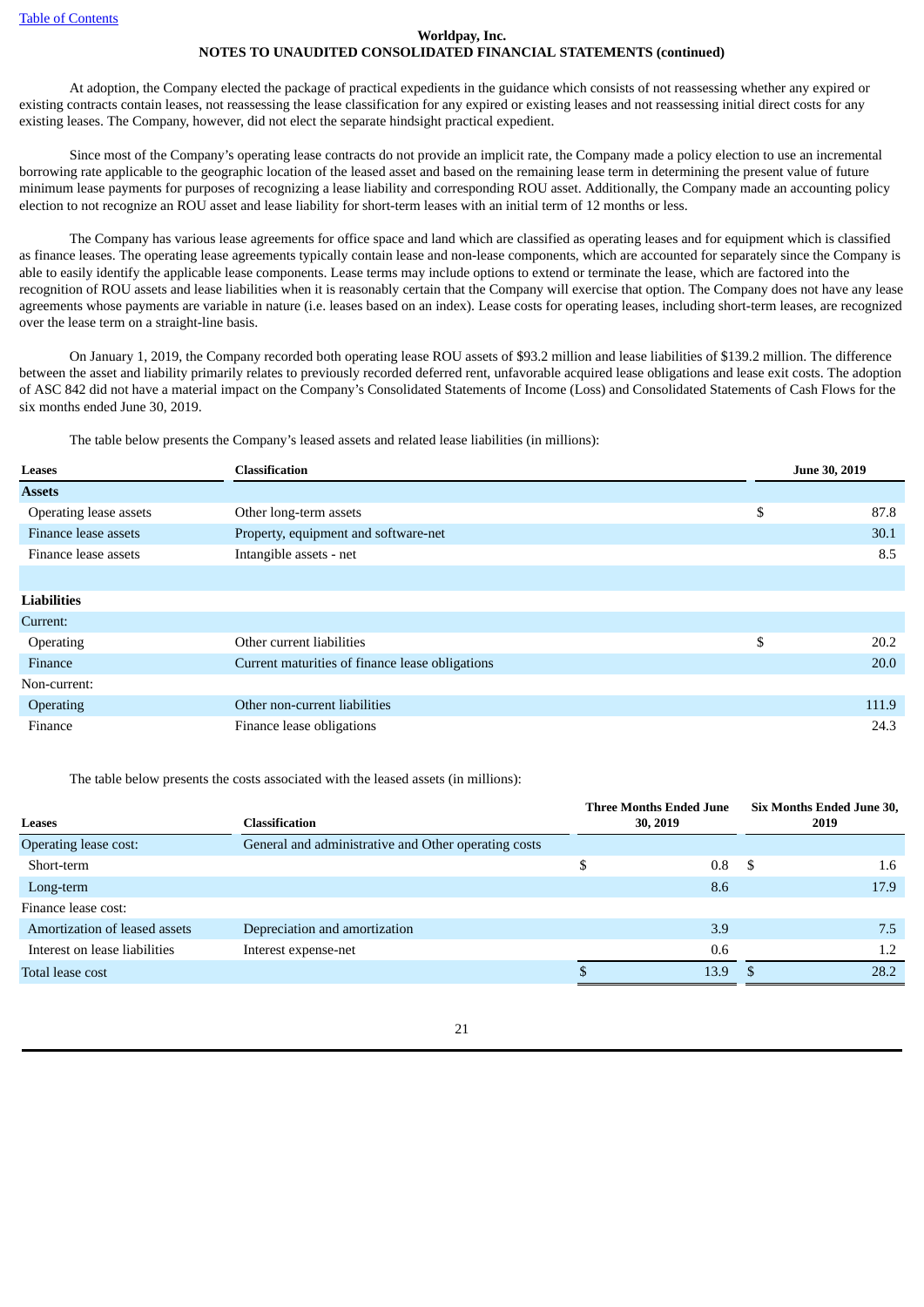At adoption, the Company elected the package of practical expedients in the guidance which consists of not reassessing whether any expired or existing contracts contain leases, not reassessing the lease classification for any expired or existing leases and not reassessing initial direct costs for any existing leases. The Company, however, did not elect the separate hindsight practical expedient.

Since most of the Company's operating lease contracts do not provide an implicit rate, the Company made a policy election to use an incremental borrowing rate applicable to the geographic location of the leased asset and based on the remaining lease term in determining the present value of future minimum lease payments for purposes of recognizing a lease liability and corresponding ROU asset. Additionally, the Company made an accounting policy election to not recognize an ROU asset and lease liability for short-term leases with an initial term of 12 months or less.

The Company has various lease agreements for office space and land which are classified as operating leases and for equipment which is classified as finance leases. The operating lease agreements typically contain lease and non-lease components, which are accounted for separately since the Company is able to easily identify the applicable lease components. Lease terms may include options to extend or terminate the lease, which are factored into the recognition of ROU assets and lease liabilities when it is reasonably certain that the Company will exercise that option. The Company does not have any lease agreements whose payments are variable in nature (i.e. leases based on an index). Lease costs for operating leases, including short-term leases, are recognized over the lease term on a straight-line basis.

On January 1, 2019, the Company recorded both operating lease ROU assets of \$93.2 million and lease liabilities of \$139.2 million. The difference between the asset and liability primarily relates to previously recorded deferred rent, unfavorable acquired lease obligations and lease exit costs. The adoption of ASC 842 did not have a material impact on the Company's Consolidated Statements of Income (Loss) and Consolidated Statements of Cash Flows for the six months ended June 30, 2019.

The table below presents the Company's leased assets and related lease liabilities (in millions):

| Leases                 | <b>Classification</b>                           | June 30, 2019 |
|------------------------|-------------------------------------------------|---------------|
| <b>Assets</b>          |                                                 |               |
| Operating lease assets | Other long-term assets                          | \$<br>87.8    |
| Finance lease assets   | Property, equipment and software-net            | 30.1          |
| Finance lease assets   | Intangible assets - net                         | 8.5           |
|                        |                                                 |               |
| <b>Liabilities</b>     |                                                 |               |
| Current:               |                                                 |               |
| Operating              | Other current liabilities                       | \$<br>20.2    |
| Finance                | Current maturities of finance lease obligations | 20.0          |
| Non-current:           |                                                 |               |
| Operating              | Other non-current liabilities                   | 111.9         |
| Finance                | Finance lease obligations                       | 24.3          |

The table below presents the costs associated with the leased assets (in millions):

| Leases                        | <b>Classification</b>                                | <b>Three Months Ended June</b><br>30, 2019 | Six Months Ended June 30,<br>2019 |      |  |
|-------------------------------|------------------------------------------------------|--------------------------------------------|-----------------------------------|------|--|
| Operating lease cost:         | General and administrative and Other operating costs |                                            |                                   |      |  |
| Short-term                    |                                                      | 0.8                                        | - \$                              | 1.6  |  |
| Long-term                     |                                                      | 8.6                                        |                                   | 17.9 |  |
| Finance lease cost:           |                                                      |                                            |                                   |      |  |
| Amortization of leased assets | Depreciation and amortization                        | 3.9                                        |                                   | 7.5  |  |
| Interest on lease liabilities | Interest expense-net                                 | 0.6                                        |                                   | 1.2  |  |
| Total lease cost              |                                                      | 13.9                                       | - \$                              | 28.2 |  |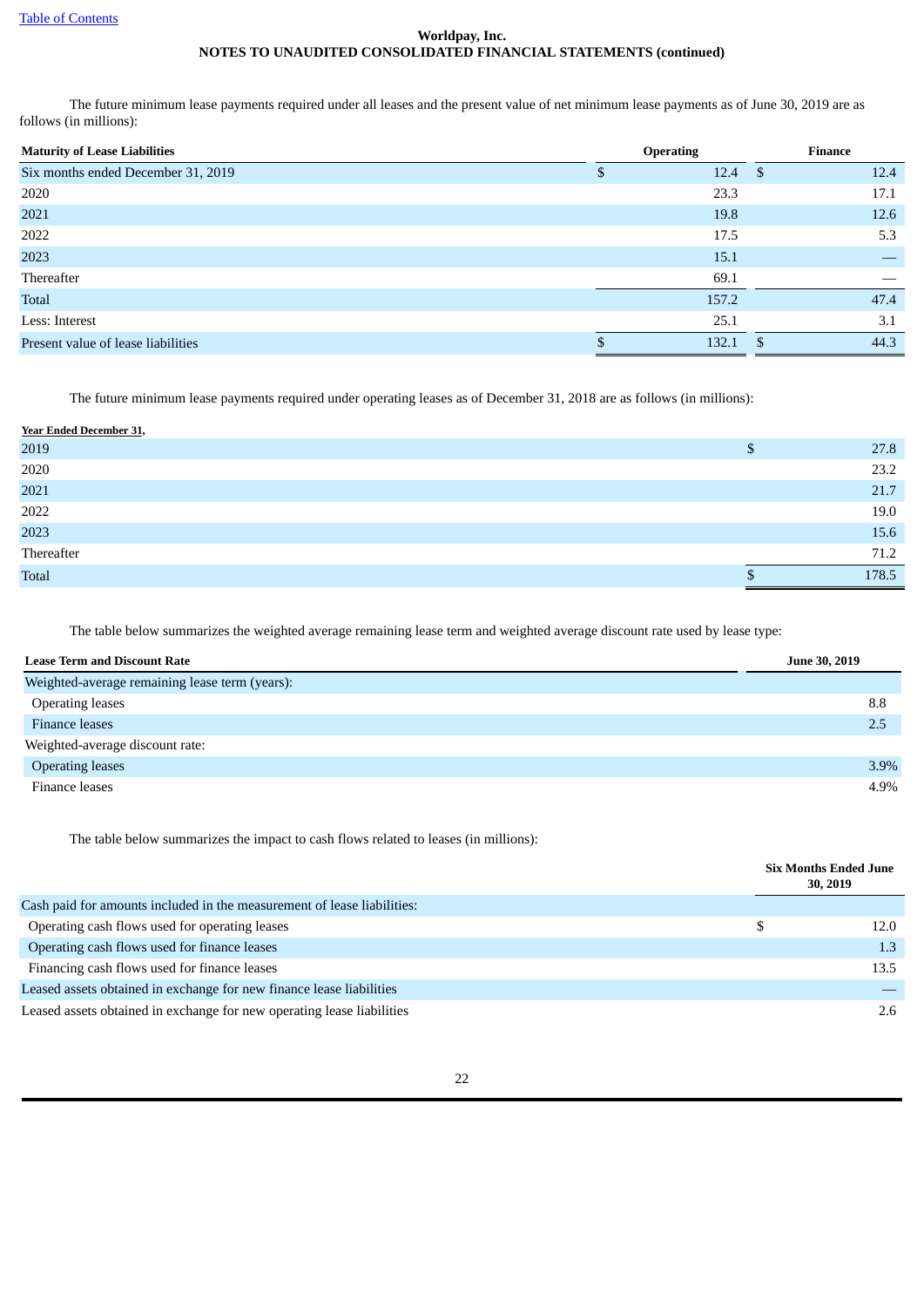The future minimum lease payments required under all leases and the present value of net minimum lease payments as of June 30, 2019 are as follows (in millions):

| <b>Maturity of Lease Liabilities</b> | <b>Operating</b> | Finance |      |      |
|--------------------------------------|------------------|---------|------|------|
| Six months ended December 31, 2019   |                  | 12.4    | - \$ | 12.4 |
| 2020                                 |                  | 23.3    |      | 17.1 |
| 2021                                 |                  | 19.8    |      | 12.6 |
| 2022                                 |                  | 17.5    |      | 5.3  |
| 2023                                 |                  | 15.1    |      |      |
| Thereafter                           |                  | 69.1    |      |      |
| <b>Total</b>                         |                  | 157.2   |      | 47.4 |
| Less: Interest                       |                  | 25.1    |      | 3.1  |
| Present value of lease liabilities   |                  | 132.1   | - \$ | 44.3 |

The future minimum lease payments required under operating leases as of December 31, 2018 are as follows (in millions):

| <b>Year Ended December 31,</b> |            |
|--------------------------------|------------|
| 2019                           | \$<br>27.8 |
| 2020                           | 23.2       |
| 2021                           | 21.7       |
| 2022                           | 19.0       |
| 2023                           | 15.6       |
| Thereafter                     | 71.2       |
| <b>Total</b>                   | 178.5      |

The table below summarizes the weighted average remaining lease term and weighted average discount rate used by lease type:

| <b>Lease Term and Discount Rate</b>            | <b>June 30, 2019</b> |
|------------------------------------------------|----------------------|
| Weighted-average remaining lease term (years): |                      |
| <b>Operating leases</b>                        | 8.8                  |
| <b>Finance leases</b>                          | 2.5                  |
| Weighted-average discount rate:                |                      |
| <b>Operating leases</b>                        | $3.9\%$              |
| Finance leases                                 | 4.9%                 |

The table below summarizes the impact to cash flows related to leases (in millions):

|                                                                         | <b>Six Months Ended June</b><br>30, 2019 |      |  |  |
|-------------------------------------------------------------------------|------------------------------------------|------|--|--|
| Cash paid for amounts included in the measurement of lease liabilities: |                                          |      |  |  |
| Operating cash flows used for operating leases                          |                                          | 12.0 |  |  |
| Operating cash flows used for finance leases                            |                                          | 1.3  |  |  |
| Financing cash flows used for finance leases                            |                                          | 13.5 |  |  |
| Leased assets obtained in exchange for new finance lease liabilities    |                                          |      |  |  |
| Leased assets obtained in exchange for new operating lease liabilities  |                                          | 2.6  |  |  |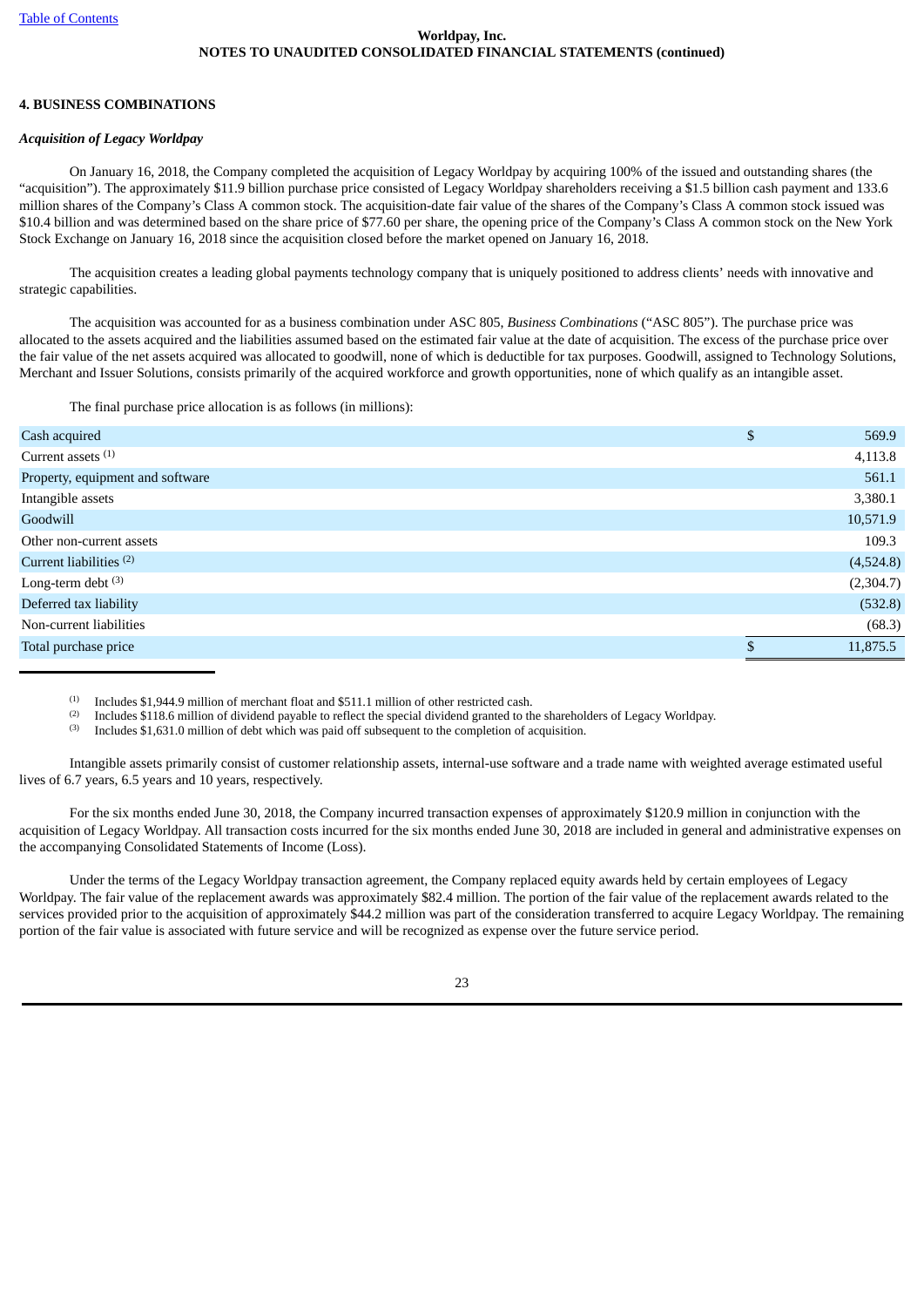### **4. BUSINESS COMBINATIONS**

### *Acquisition of Legacy Worldpay*

On January 16, 2018, the Company completed the acquisition of Legacy Worldpay by acquiring 100% of the issued and outstanding shares (the "acquisition"). The approximately \$11.9 billion purchase price consisted of Legacy Worldpay shareholders receiving a \$1.5 billion cash payment and 133.6 million shares of the Company's Class A common stock. The acquisition-date fair value of the shares of the Company's Class A common stock issued was \$10.4 billion and was determined based on the share price of \$77.60 per share, the opening price of the Company's Class A common stock on the New York Stock Exchange on January 16, 2018 since the acquisition closed before the market opened on January 16, 2018.

The acquisition creates a leading global payments technology company that is uniquely positioned to address clients' needs with innovative and strategic capabilities.

The acquisition was accounted for as a business combination under ASC 805, *Business Combinations* ("ASC 805"). The purchase price was allocated to the assets acquired and the liabilities assumed based on the estimated fair value at the date of acquisition. The excess of the purchase price over the fair value of the net assets acquired was allocated to goodwill, none of which is deductible for tax purposes. Goodwill, assigned to Technology Solutions, Merchant and Issuer Solutions, consists primarily of the acquired workforce and growth opportunities, none of which qualify as an intangible asset.

The final purchase price allocation is as follows (in millions):

| Cash acquired                      | \$<br>569.9 |
|------------------------------------|-------------|
| Current assets $(1)$               | 4,113.8     |
| Property, equipment and software   | 561.1       |
| Intangible assets                  | 3,380.1     |
| Goodwill                           | 10,571.9    |
| Other non-current assets           | 109.3       |
| Current liabilities <sup>(2)</sup> | (4,524.8)   |
| Long-term debt <sup>(3)</sup>      | (2,304.7)   |
| Deferred tax liability             | (532.8)     |
| Non-current liabilities            | (68.3)      |
| Total purchase price               | 11,875.5    |
|                                    |             |

(1) Includes \$1,944.9 million of merchant float and \$511.1 million of other restricted cash.<br>(2) Includes \$118.6 million of dividend payable to reflect the special dividend granted to the

(2) Includes \$118.6 million of dividend payable to reflect the special dividend granted to the shareholders of Legacy Worldpay.<br>(3) Includes \$1.631.0 million of debt which was paid off subsequent to the completion of acqu

(3) Includes \$1,631.0 million of debt which was paid off subsequent to the completion of acquisition.

Intangible assets primarily consist of customer relationship assets, internal-use software and a trade name with weighted average estimated useful lives of 6.7 years, 6.5 years and 10 years, respectively.

For the six months ended June 30, 2018, the Company incurred transaction expenses of approximately \$120.9 million in conjunction with the acquisition of Legacy Worldpay. All transaction costs incurred for the six months ended June 30, 2018 are included in general and administrative expenses on the accompanying Consolidated Statements of Income (Loss).

Under the terms of the Legacy Worldpay transaction agreement, the Company replaced equity awards held by certain employees of Legacy Worldpay. The fair value of the replacement awards was approximately \$82.4 million. The portion of the fair value of the replacement awards related to the services provided prior to the acquisition of approximately \$44.2 million was part of the consideration transferred to acquire Legacy Worldpay. The remaining portion of the fair value is associated with future service and will be recognized as expense over the future service period.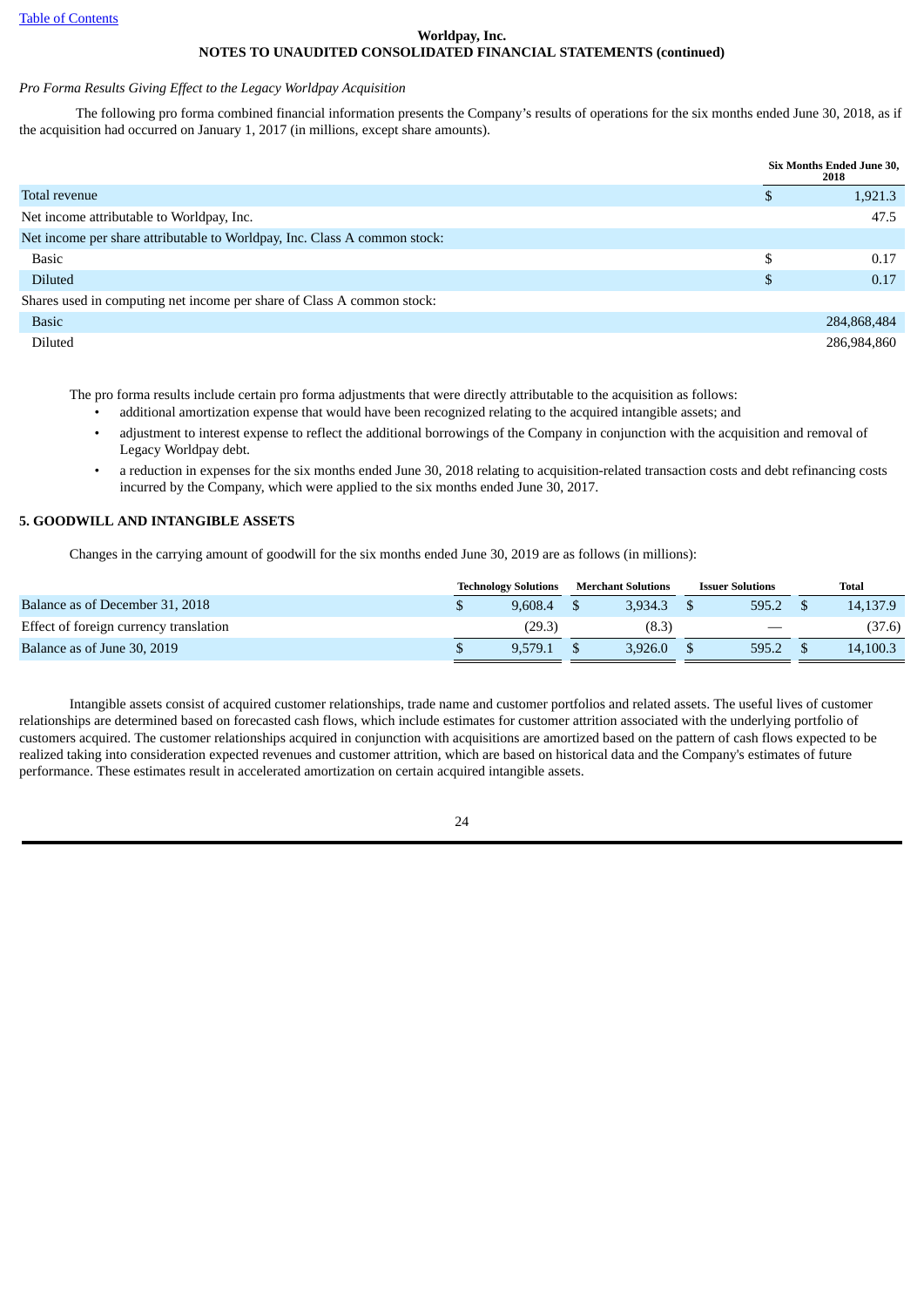## *Pro Forma Results Giving Effect to the Legacy Worldpay Acquisition*

The following pro forma combined financial information presents the Company's results of operations for the six months ended June 30, 2018, as if the acquisition had occurred on January 1, 2017 (in millions, except share amounts).

|                                                                           | Six Months Ended June 30,<br>2018 |
|---------------------------------------------------------------------------|-----------------------------------|
| Total revenue                                                             | 1,921.3                           |
| Net income attributable to Worldpay, Inc.                                 | 47.5                              |
| Net income per share attributable to Worldpay, Inc. Class A common stock: |                                   |
| <b>Basic</b>                                                              | \$<br>0.17                        |
| <b>Diluted</b>                                                            | 0.17                              |
| Shares used in computing net income per share of Class A common stock:    |                                   |
| <b>Basic</b>                                                              | 284,868,484                       |
| Diluted                                                                   | 286,984,860                       |

The pro forma results include certain pro forma adjustments that were directly attributable to the acquisition as follows:

- additional amortization expense that would have been recognized relating to the acquired intangible assets; and
- adjustment to interest expense to reflect the additional borrowings of the Company in conjunction with the acquisition and removal of Legacy Worldpay debt.
- a reduction in expenses for the six months ended June 30, 2018 relating to acquisition-related transaction costs and debt refinancing costs incurred by the Company, which were applied to the six months ended June 30, 2017.

### **5. GOODWILL AND INTANGIBLE ASSETS**

Changes in the carrying amount of goodwill for the six months ended June 30, 2019 are as follows (in millions):

|                                        | <b>Technology Solutions</b> |         | <b>Merchant Solutions</b><br><b>Issuer Solutions</b> |         | Total                           |          |
|----------------------------------------|-----------------------------|---------|------------------------------------------------------|---------|---------------------------------|----------|
| Balance as of December 31, 2018        |                             | 9.608.4 |                                                      | 3.934.3 | 595.2                           | 14.137.9 |
| Effect of foreign currency translation |                             | (29.3)  |                                                      | (8.3)   | $\hspace{0.1mm}-\hspace{0.1mm}$ | (37.6)   |
| Balance as of June 30, 2019            |                             | 9.579.1 |                                                      | 3.926.0 | 595.2                           | 14,100.3 |

Intangible assets consist of acquired customer relationships, trade name and customer portfolios and related assets. The useful lives of customer relationships are determined based on forecasted cash flows, which include estimates for customer attrition associated with the underlying portfolio of customers acquired. The customer relationships acquired in conjunction with acquisitions are amortized based on the pattern of cash flows expected to be realized taking into consideration expected revenues and customer attrition, which are based on historical data and the Company's estimates of future performance. These estimates result in accelerated amortization on certain acquired intangible assets.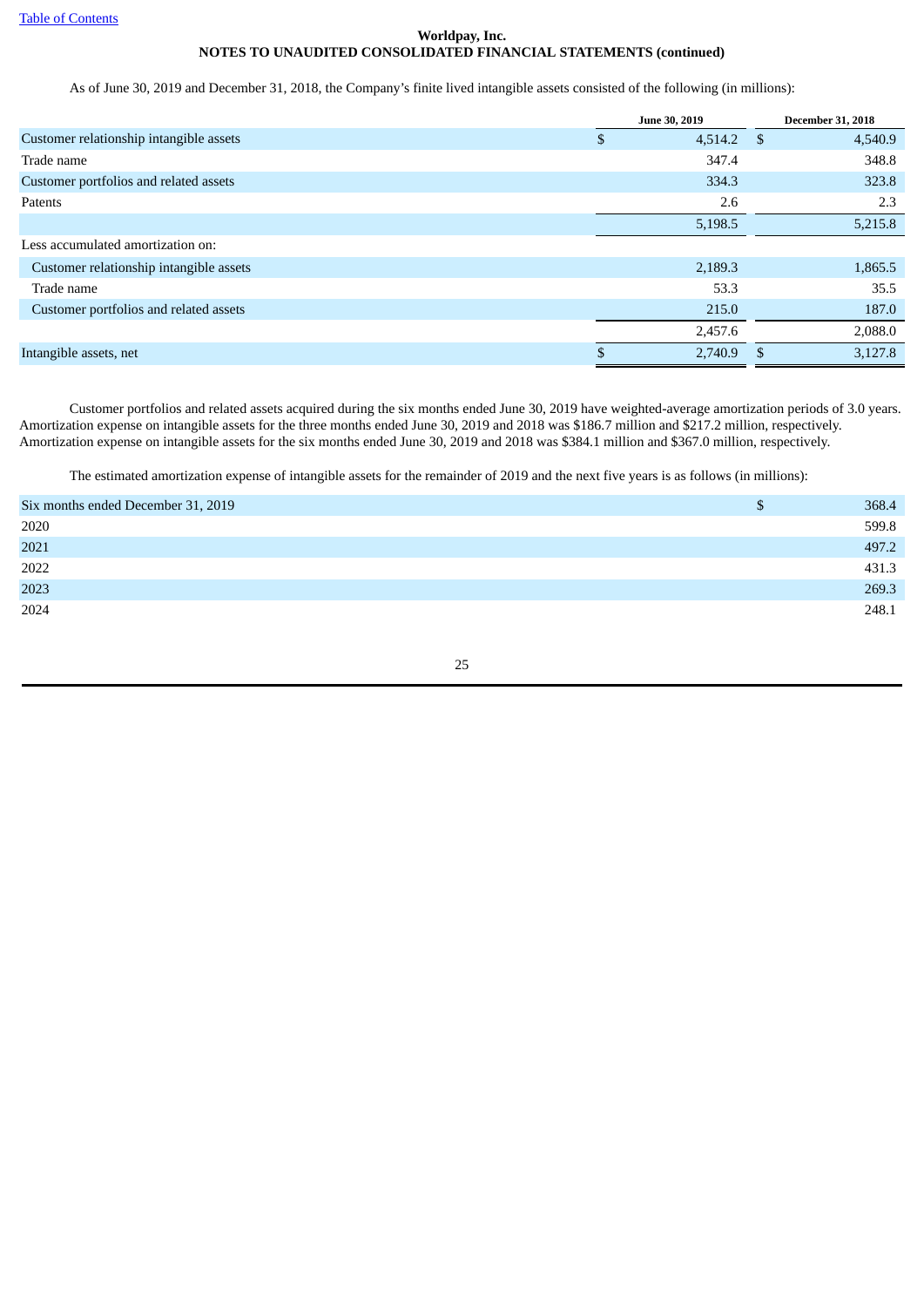As of June 30, 2019 and December 31, 2018, the Company's finite lived intangible assets consisted of the following (in millions):

|                                         | June 30, 2019 |      | <b>December 31, 2018</b> |
|-----------------------------------------|---------------|------|--------------------------|
| Customer relationship intangible assets | 4,514.2       | - \$ | 4,540.9                  |
| Trade name                              | 347.4         |      | 348.8                    |
| Customer portfolios and related assets  | 334.3         |      | 323.8                    |
| Patents                                 | 2.6           |      | 2.3                      |
|                                         | 5,198.5       |      | 5,215.8                  |
| Less accumulated amortization on:       |               |      |                          |
| Customer relationship intangible assets | 2,189.3       |      | 1,865.5                  |
| Trade name                              | 53.3          |      | 35.5                     |
| Customer portfolios and related assets  | 215.0         |      | 187.0                    |
|                                         | 2,457.6       |      | 2,088.0                  |
| Intangible assets, net                  | 2,740.9       | \$.  | 3,127.8                  |

Customer portfolios and related assets acquired during the six months ended June 30, 2019 have weighted-average amortization periods of 3.0 years. Amortization expense on intangible assets for the three months ended June 30, 2019 and 2018 was \$186.7 million and \$217.2 million, respectively. Amortization expense on intangible assets for the six months ended June 30, 2019 and 2018 was \$384.1 million and \$367.0 million, respectively.

The estimated amortization expense of intangible assets for the remainder of 2019 and the next five years is as follows (in millions):

| Six months ended December 31, 2019 | D | 368.4 |
|------------------------------------|---|-------|
| 2020                               |   | 599.8 |
| 2021                               |   | 497.2 |
| 2022                               |   | 431.3 |
| 2023                               |   | 269.3 |
| 2024                               |   | 248.1 |
|                                    |   |       |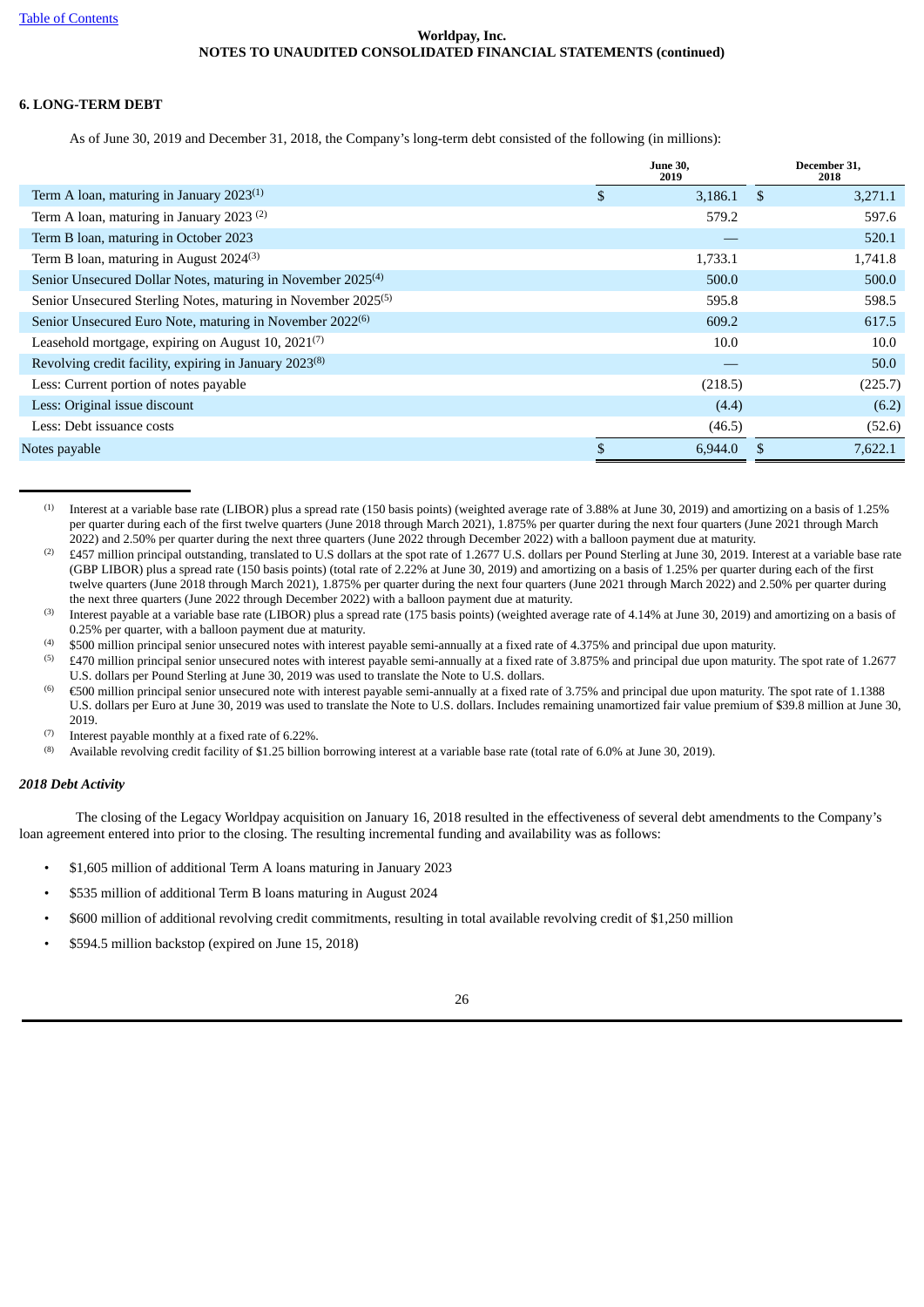## **6. LONG-TERM DEBT**

As of June 30, 2019 and December 31, 2018, the Company's long-term debt consisted of the following (in millions):

|                                                                           | <b>June 30,</b><br>2019 |      | December 31,<br>2018 |
|---------------------------------------------------------------------------|-------------------------|------|----------------------|
| Term A loan, maturing in January $2023^{(1)}$                             | 3,186.1                 | - \$ | 3,271.1              |
| Term A loan, maturing in January 2023 (2)                                 | 579.2                   |      | 597.6                |
| Term B loan, maturing in October 2023                                     |                         |      | 520.1                |
| Term B loan, maturing in August 2024 <sup>(3)</sup>                       | 1,733.1                 |      | 1,741.8              |
| Senior Unsecured Dollar Notes, maturing in November 2025 <sup>(4)</sup>   | 500.0                   |      | 500.0                |
| Senior Unsecured Sterling Notes, maturing in November 2025 <sup>(5)</sup> | 595.8                   |      | 598.5                |
| Senior Unsecured Euro Note, maturing in November 2022 <sup>(6)</sup>      | 609.2                   |      | 617.5                |
| Leasehold mortgage, expiring on August 10, 2021 <sup>(7)</sup>            | 10.0                    |      | 10.0                 |
| Revolving credit facility, expiring in January 2023 <sup>(8)</sup>        |                         |      | 50.0                 |
| Less: Current portion of notes payable                                    | (218.5)                 |      | (225.7)              |
| Less: Original issue discount                                             | (4.4)                   |      | (6.2)                |
| Less: Debt issuance costs                                                 | (46.5)                  |      | (52.6)               |
| Notes payable                                                             | 6.944.0                 |      | 7,622.1              |

- (1) Interest at a variable base rate (LIBOR) plus a spread rate (150 basis points) (weighted average rate of 3.88% at June 30, 2019) and amortizing on a basis of 1.25% per quarter during each of the first twelve quarters (June 2018 through March 2021), 1.875% per quarter during the next four quarters (June 2021 through March 2022) and 2.50% per quarter during the next three quarters (June 2022 through December 2022) with a balloon payment due at maturity.
- (2)  $\epsilon$ 457 million principal outstanding, translated to U.S dollars at the spot rate of 1.2677 U.S. dollars per Pound Sterling at June 30, 2019. Interest at a variable base rate (GBP LIBOR) plus a spread rate (150 basis points) (total rate of 2.22% at June 30, 2019) and amortizing on a basis of 1.25% per quarter during each of the first twelve quarters (June 2018 through March 2021), 1.875% per quarter during the next four quarters (June 2021 through March 2022) and 2.50% per quarter during the next three quarters (June 2022 through December 2022) with a balloon payment due at maturity.
- <sup>(3)</sup> Interest payable at a variable base rate (LIBOR) plus a spread rate (175 basis points) (weighted average rate of 4.14% at June 30, 2019) and amortizing on a basis of 0.25% per quarter, with a balloon payment due at maturity.
- (4) \$500 million principal senior unsecured notes with interest payable semi-annually at a fixed rate of 4.375% and principal due upon maturity.<br>(5)  $6470$  million principal senior unsecured pates with interest payable se
- (5) £470 million principal senior unsecured notes with interest payable semi-annually at a fixed rate of 3.875% and principal due upon maturity. The spot rate of 1.2677 U.S. dollars per Pound Sterling at June 30, 2019 was used to translate the Note to U.S. dollars.
- $60$  €500 million principal senior unsecured note with interest payable semi-annually at a fixed rate of 3.75% and principal due upon maturity. The spot rate of 1.1388 U.S. dollars per Euro at June 30, 2019 was used to translate the Note to U.S. dollars. Includes remaining unamortized fair value premium of \$39.8 million at June 30, 2019.
- (7) Interest payable monthly at a fixed rate of 6.22%.
- <sup>(8)</sup> Available revolving credit facility of \$1.25 billion borrowing interest at a variable base rate (total rate of 6.0% at June 30, 2019).

### *2018 Debt Activity*

The closing of the Legacy Worldpay acquisition on January 16, 2018 resulted in the effectiveness of several debt amendments to the Company's loan agreement entered into prior to the closing. The resulting incremental funding and availability was as follows:

- \$1,605 million of additional Term A loans maturing in January 2023
- \$535 million of additional Term B loans maturing in August 2024
- \$600 million of additional revolving credit commitments, resulting in total available revolving credit of \$1,250 million
- \$594.5 million backstop (expired on June 15, 2018)

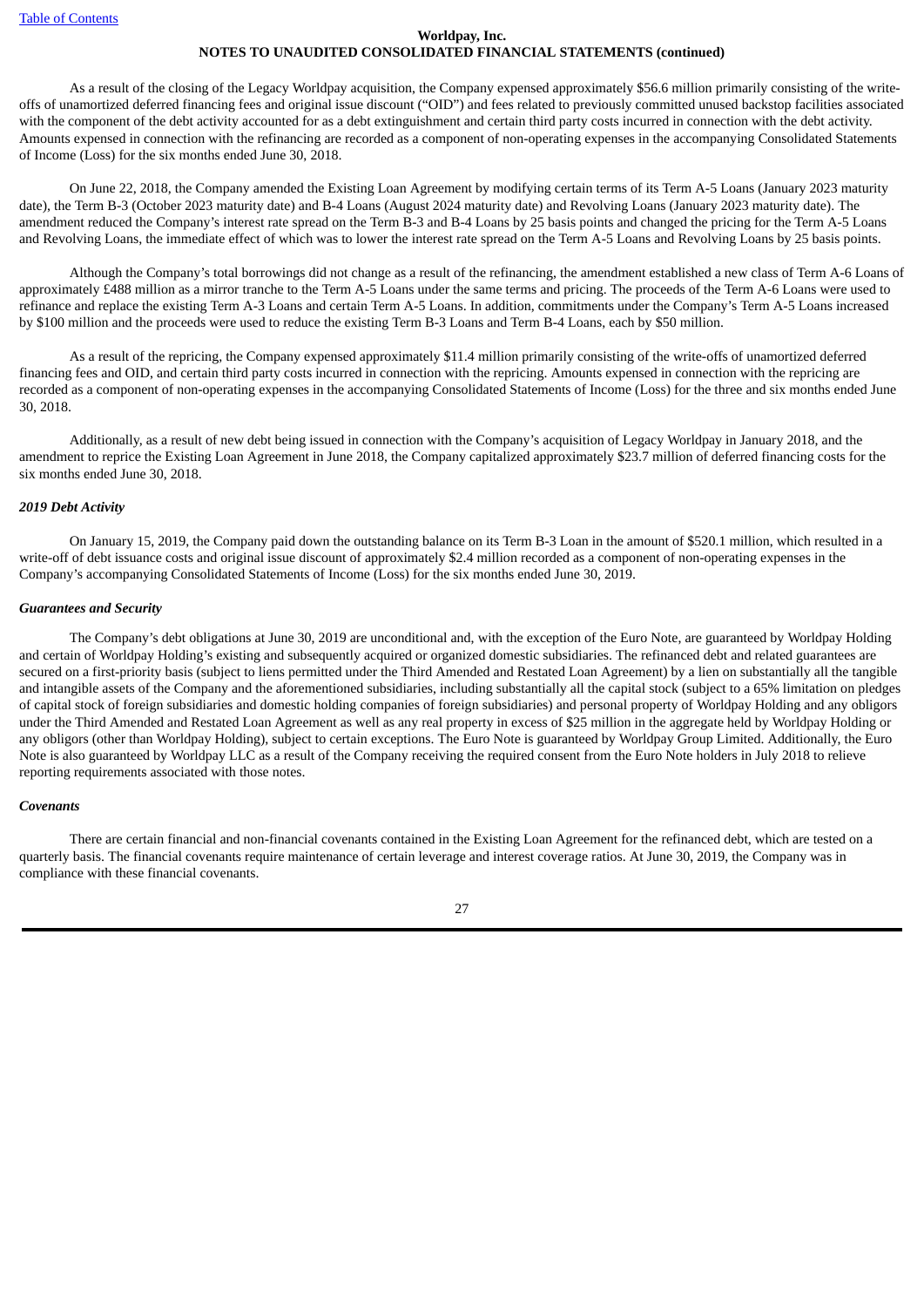As a result of the closing of the Legacy Worldpay acquisition, the Company expensed approximately \$56.6 million primarily consisting of the writeoffs of unamortized deferred financing fees and original issue discount ("OID") and fees related to previously committed unused backstop facilities associated with the component of the debt activity accounted for as a debt extinguishment and certain third party costs incurred in connection with the debt activity. Amounts expensed in connection with the refinancing are recorded as a component of non-operating expenses in the accompanying Consolidated Statements of Income (Loss) for the six months ended June 30, 2018.

On June 22, 2018, the Company amended the Existing Loan Agreement by modifying certain terms of its Term A-5 Loans (January 2023 maturity date), the Term B-3 (October 2023 maturity date) and B-4 Loans (August 2024 maturity date) and Revolving Loans (January 2023 maturity date). The amendment reduced the Company's interest rate spread on the Term B-3 and B-4 Loans by 25 basis points and changed the pricing for the Term A-5 Loans and Revolving Loans, the immediate effect of which was to lower the interest rate spread on the Term A-5 Loans and Revolving Loans by 25 basis points.

Although the Company's total borrowings did not change as a result of the refinancing, the amendment established a new class of Term A-6 Loans of approximately £488 million as a mirror tranche to the Term A-5 Loans under the same terms and pricing. The proceeds of the Term A-6 Loans were used to refinance and replace the existing Term A-3 Loans and certain Term A-5 Loans. In addition, commitments under the Company's Term A-5 Loans increased by \$100 million and the proceeds were used to reduce the existing Term B-3 Loans and Term B-4 Loans, each by \$50 million.

As a result of the repricing, the Company expensed approximately \$11.4 million primarily consisting of the write-offs of unamortized deferred financing fees and OID, and certain third party costs incurred in connection with the repricing. Amounts expensed in connection with the repricing are recorded as a component of non-operating expenses in the accompanying Consolidated Statements of Income (Loss) for the three and six months ended June 30, 2018.

Additionally, as a result of new debt being issued in connection with the Company's acquisition of Legacy Worldpay in January 2018, and the amendment to reprice the Existing Loan Agreement in June 2018, the Company capitalized approximately \$23.7 million of deferred financing costs for the six months ended June 30, 2018.

### *2019 Debt Activity*

On January 15, 2019, the Company paid down the outstanding balance on its Term B-3 Loan in the amount of \$520.1 million, which resulted in a write-off of debt issuance costs and original issue discount of approximately \$2.4 million recorded as a component of non-operating expenses in the Company's accompanying Consolidated Statements of Income (Loss) for the six months ended June 30, 2019.

### *Guarantees and Security*

The Company's debt obligations at June 30, 2019 are unconditional and, with the exception of the Euro Note, are guaranteed by Worldpay Holding and certain of Worldpay Holding's existing and subsequently acquired or organized domestic subsidiaries. The refinanced debt and related guarantees are secured on a first-priority basis (subject to liens permitted under the Third Amended and Restated Loan Agreement) by a lien on substantially all the tangible and intangible assets of the Company and the aforementioned subsidiaries, including substantially all the capital stock (subject to a 65% limitation on pledges of capital stock of foreign subsidiaries and domestic holding companies of foreign subsidiaries) and personal property of Worldpay Holding and any obligors under the Third Amended and Restated Loan Agreement as well as any real property in excess of \$25 million in the aggregate held by Worldpay Holding or any obligors (other than Worldpay Holding), subject to certain exceptions. The Euro Note is guaranteed by Worldpay Group Limited. Additionally, the Euro Note is also guaranteed by Worldpay LLC as a result of the Company receiving the required consent from the Euro Note holders in July 2018 to relieve reporting requirements associated with those notes.

### *Covenants*

There are certain financial and non-financial covenants contained in the Existing Loan Agreement for the refinanced debt, which are tested on a quarterly basis. The financial covenants require maintenance of certain leverage and interest coverage ratios. At June 30, 2019, the Company was in compliance with these financial covenants.

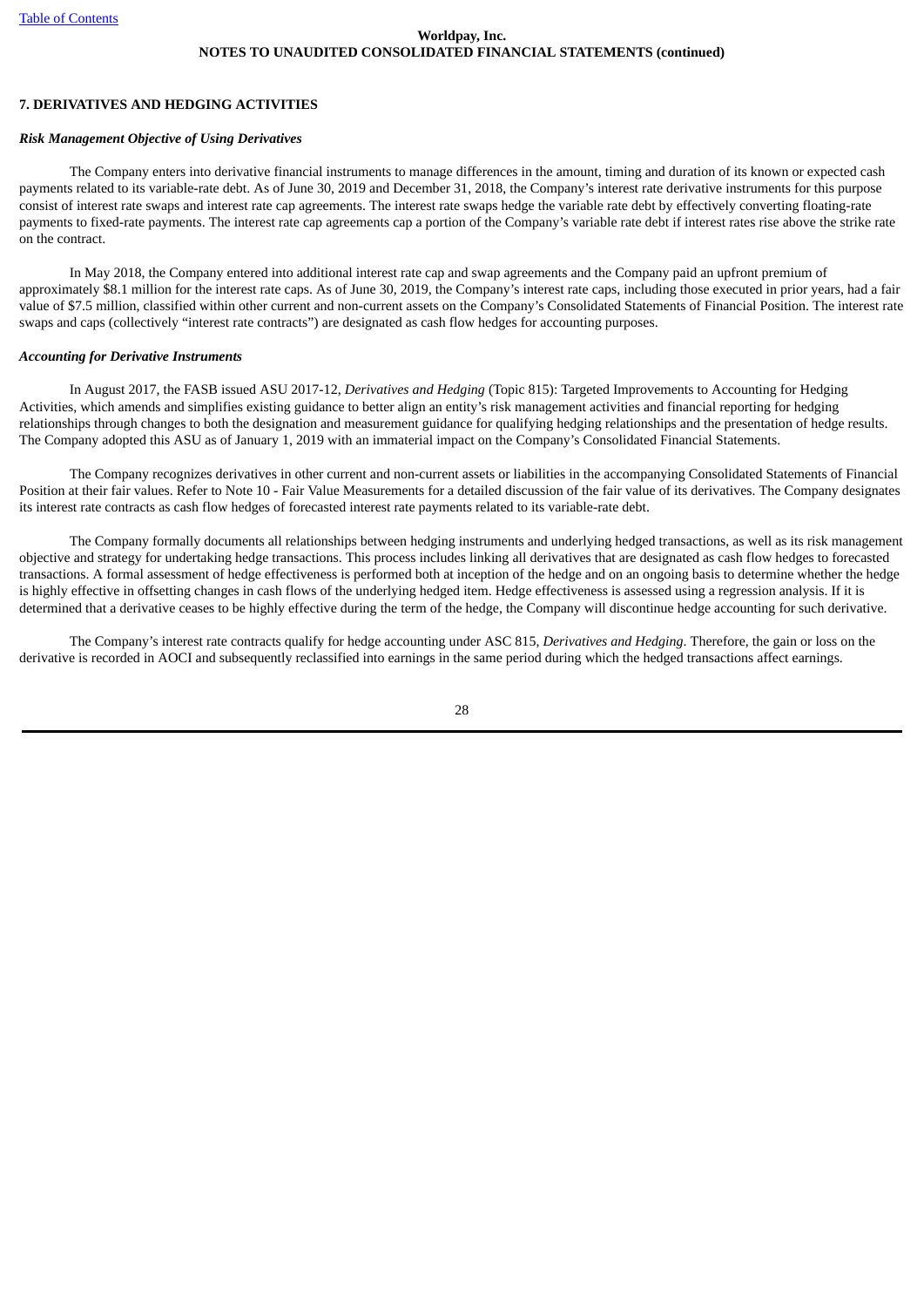### **7. DERIVATIVES AND HEDGING ACTIVITIES**

### *Risk Management Objective of Using Derivatives*

The Company enters into derivative financial instruments to manage differences in the amount, timing and duration of its known or expected cash payments related to its variable-rate debt. As of June 30, 2019 and December 31, 2018, the Company's interest rate derivative instruments for this purpose consist of interest rate swaps and interest rate cap agreements. The interest rate swaps hedge the variable rate debt by effectively converting floating-rate payments to fixed-rate payments. The interest rate cap agreements cap a portion of the Company's variable rate debt if interest rates rise above the strike rate on the contract.

In May 2018, the Company entered into additional interest rate cap and swap agreements and the Company paid an upfront premium of approximately \$8.1 million for the interest rate caps. As of June 30, 2019, the Company's interest rate caps, including those executed in prior years, had a fair value of \$7.5 million, classified within other current and non-current assets on the Company's Consolidated Statements of Financial Position. The interest rate swaps and caps (collectively "interest rate contracts") are designated as cash flow hedges for accounting purposes.

### *Accounting for Derivative Instruments*

In August 2017, the FASB issued ASU 2017-12, *Derivatives and Hedging* (Topic 815): Targeted Improvements to Accounting for Hedging Activities, which amends and simplifies existing guidance to better align an entity's risk management activities and financial reporting for hedging relationships through changes to both the designation and measurement guidance for qualifying hedging relationships and the presentation of hedge results. The Company adopted this ASU as of January 1, 2019 with an immaterial impact on the Company's Consolidated Financial Statements.

The Company recognizes derivatives in other current and non-current assets or liabilities in the accompanying Consolidated Statements of Financial Position at their fair values. Refer to Note 10 - Fair Value Measurements for a detailed discussion of the fair value of its derivatives. The Company designates its interest rate contracts as cash flow hedges of forecasted interest rate payments related to its variable-rate debt.

The Company formally documents all relationships between hedging instruments and underlying hedged transactions, as well as its risk management objective and strategy for undertaking hedge transactions. This process includes linking all derivatives that are designated as cash flow hedges to forecasted transactions. A formal assessment of hedge effectiveness is performed both at inception of the hedge and on an ongoing basis to determine whether the hedge is highly effective in offsetting changes in cash flows of the underlying hedged item. Hedge effectiveness is assessed using a regression analysis. If it is determined that a derivative ceases to be highly effective during the term of the hedge, the Company will discontinue hedge accounting for such derivative.

The Company's interest rate contracts qualify for hedge accounting under ASC 815, *Derivatives and Hedging*. Therefore, the gain or loss on the derivative is recorded in AOCI and subsequently reclassified into earnings in the same period during which the hedged transactions affect earnings.

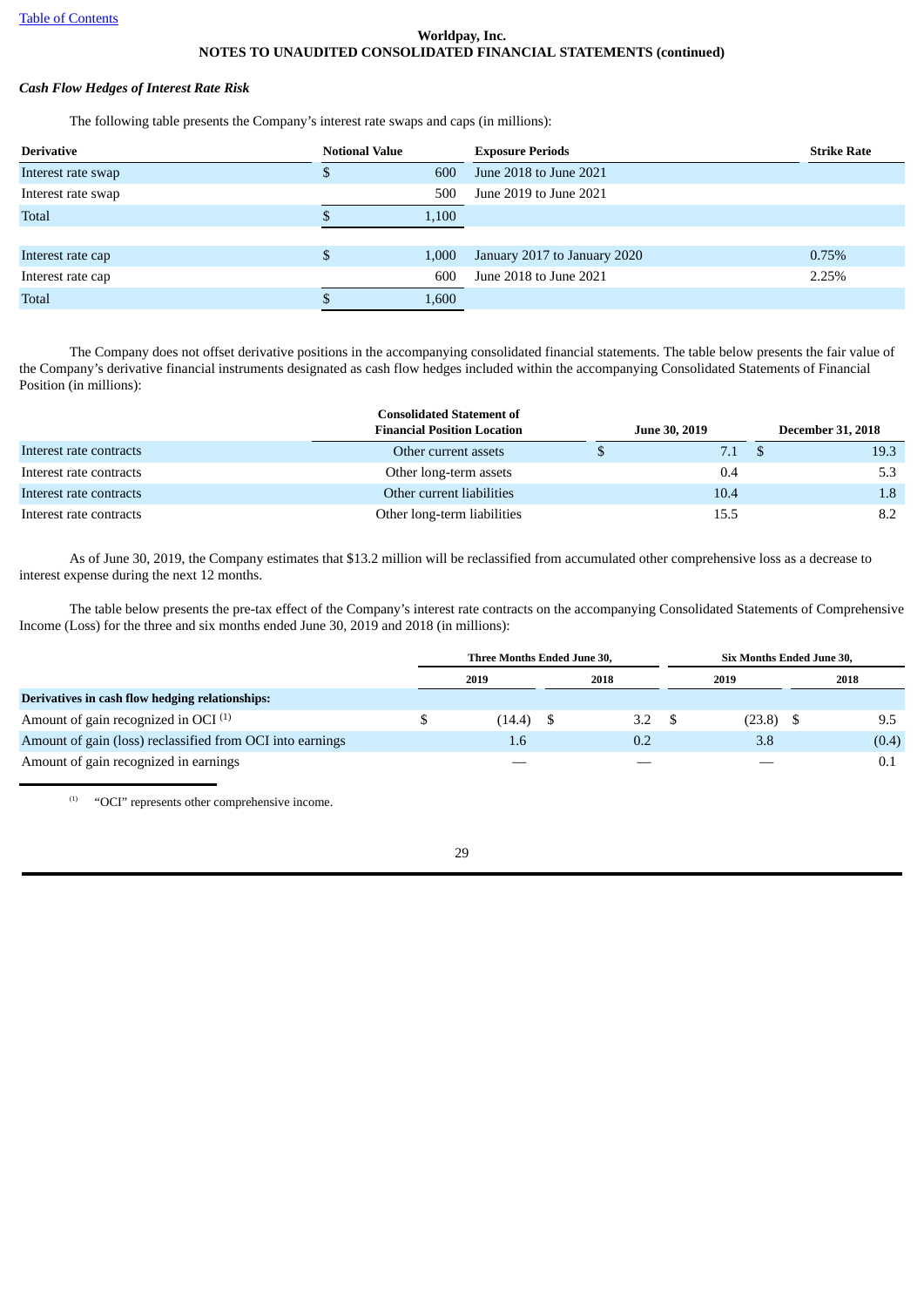## *Cash Flow Hedges of Interest Rate Risk*

The following table presents the Company's interest rate swaps and caps (in millions):

| <b>Derivative</b>  | <b>Notional Value</b> |       | <b>Exposure Periods</b>      | Strike Rate |
|--------------------|-----------------------|-------|------------------------------|-------------|
| Interest rate swap |                       | 600   | June 2018 to June 2021       |             |
| Interest rate swap |                       | 500   | June 2019 to June 2021       |             |
| <b>Total</b>       |                       | 1,100 |                              |             |
|                    |                       |       |                              |             |
| Interest rate cap  |                       | 1,000 | January 2017 to January 2020 | 0.75%       |
| Interest rate cap  |                       | 600   | June 2018 to June 2021       | 2.25%       |
| <b>Total</b>       |                       | 1,600 |                              |             |

The Company does not offset derivative positions in the accompanying consolidated financial statements. The table below presents the fair value of the Company's derivative financial instruments designated as cash flow hedges included within the accompanying Consolidated Statements of Financial Position (in millions):

|                         | <b>Consolidated Statement of</b>   |                      |                          |  |  |
|-------------------------|------------------------------------|----------------------|--------------------------|--|--|
|                         | <b>Financial Position Location</b> | <b>June 30, 2019</b> | <b>December 31, 2018</b> |  |  |
| Interest rate contracts | Other current assets               | 7.1                  | 19.3                     |  |  |
| Interest rate contracts | Other long-term assets             | 0.4                  | 5.3                      |  |  |
| Interest rate contracts | Other current liabilities          | 10.4                 | 1.8                      |  |  |
| Interest rate contracts | Other long-term liabilities        | 15.5                 | 8.2                      |  |  |

As of June 30, 2019, the Company estimates that \$13.2 million will be reclassified from accumulated other comprehensive loss as a decrease to interest expense during the next 12 months.

The table below presents the pre-tax effect of the Company's interest rate contracts on the accompanying Consolidated Statements of Comprehensive Income (Loss) for the three and six months ended June 30, 2019 and 2018 (in millions):

|                                                           |      | Three Months Ended June 30. |  |      | Six Months Ended June 30, |             |  |       |  |
|-----------------------------------------------------------|------|-----------------------------|--|------|---------------------------|-------------|--|-------|--|
|                                                           | 2019 |                             |  | 2018 |                           | 2019        |  | 2018  |  |
| Derivatives in cash flow hedging relationships:           |      |                             |  |      |                           |             |  |       |  |
| Amount of gain recognized in OCI <sup>(1)</sup>           |      | (14.4)                      |  | 3.2  |                           | $(23.8)$ \$ |  | 9.5   |  |
| Amount of gain (loss) reclassified from OCI into earnings |      | 1.6                         |  | 0.2  |                           | 3.8         |  | (0.4) |  |
| Amount of gain recognized in earnings                     |      |                             |  |      |                           |             |  | 0.1   |  |

29

(1) "OCI" represents other comprehensive income.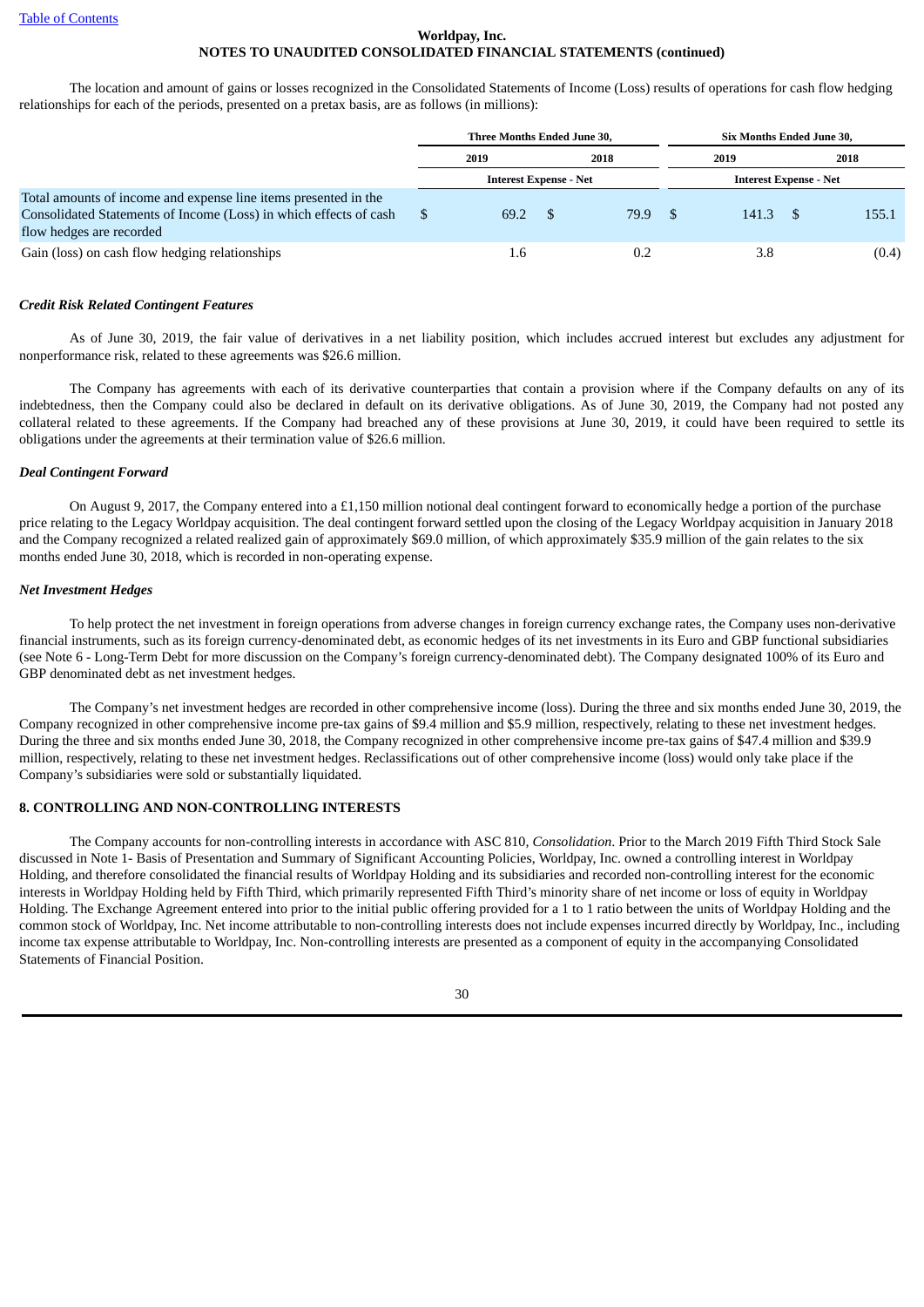The location and amount of gains or losses recognized in the Consolidated Statements of Income (Loss) results of operations for cash flow hedging relationships for each of the periods, presented on a pretax basis, are as follows (in millions):

|                                                                                                                                                                  | Three Months Ended June 30,   |              |  |      |                               | Six Months Ended June 30, |      |       |
|------------------------------------------------------------------------------------------------------------------------------------------------------------------|-------------------------------|--------------|--|------|-------------------------------|---------------------------|------|-------|
|                                                                                                                                                                  |                               | 2019<br>2018 |  |      | 2019                          |                           | 2018 |       |
|                                                                                                                                                                  | <b>Interest Expense - Net</b> |              |  |      | <b>Interest Expense - Net</b> |                           |      |       |
| Total amounts of income and expense line items presented in the<br>Consolidated Statements of Income (Loss) in which effects of cash<br>flow hedges are recorded |                               | 69.2         |  | 79.9 |                               | 141.3                     |      | 155.1 |
| Gain (loss) on cash flow hedging relationships                                                                                                                   |                               | 1.6          |  | 0.2  |                               | 3.8                       |      | (0.4) |

### *Credit Risk Related Contingent Features*

As of June 30, 2019, the fair value of derivatives in a net liability position, which includes accrued interest but excludes any adjustment for nonperformance risk, related to these agreements was \$26.6 million.

The Company has agreements with each of its derivative counterparties that contain a provision where if the Company defaults on any of its indebtedness, then the Company could also be declared in default on its derivative obligations. As of June 30, 2019, the Company had not posted any collateral related to these agreements. If the Company had breached any of these provisions at June 30, 2019, it could have been required to settle its obligations under the agreements at their termination value of \$26.6 million.

### *Deal Contingent Forward*

On August 9, 2017, the Company entered into a £1,150 million notional deal contingent forward to economically hedge a portion of the purchase price relating to the Legacy Worldpay acquisition. The deal contingent forward settled upon the closing of the Legacy Worldpay acquisition in January 2018 and the Company recognized a related realized gain of approximately \$69.0 million, of which approximately \$35.9 million of the gain relates to the six months ended June 30, 2018, which is recorded in non-operating expense.

### *Net Investment Hedges*

To help protect the net investment in foreign operations from adverse changes in foreign currency exchange rates, the Company uses non-derivative financial instruments, such as its foreign currency-denominated debt, as economic hedges of its net investments in its Euro and GBP functional subsidiaries (see Note 6 - Long-Term Debt for more discussion on the Company's foreign currency-denominated debt). The Company designated 100% of its Euro and GBP denominated debt as net investment hedges.

The Company's net investment hedges are recorded in other comprehensive income (loss). During the three and six months ended June 30, 2019, the Company recognized in other comprehensive income pre-tax gains of \$9.4 million and \$5.9 million, respectively, relating to these net investment hedges. During the three and six months ended June 30, 2018, the Company recognized in other comprehensive income pre-tax gains of \$47.4 million and \$39.9 million, respectively, relating to these net investment hedges. Reclassifications out of other comprehensive income (loss) would only take place if the Company's subsidiaries were sold or substantially liquidated.

## **8. CONTROLLING AND NON-CONTROLLING INTERESTS**

The Company accounts for non-controlling interests in accordance with ASC 810, *Consolidation*. Prior to the March 2019 Fifth Third Stock Sale discussed in Note 1- Basis of Presentation and Summary of Significant Accounting Policies, Worldpay, Inc. owned a controlling interest in Worldpay Holding, and therefore consolidated the financial results of Worldpay Holding and its subsidiaries and recorded non-controlling interest for the economic interests in Worldpay Holding held by Fifth Third, which primarily represented Fifth Third's minority share of net income or loss of equity in Worldpay Holding. The Exchange Agreement entered into prior to the initial public offering provided for a 1 to 1 ratio between the units of Worldpay Holding and the common stock of Worldpay, Inc. Net income attributable to non-controlling interests does not include expenses incurred directly by Worldpay, Inc., including income tax expense attributable to Worldpay, Inc. Non-controlling interests are presented as a component of equity in the accompanying Consolidated Statements of Financial Position.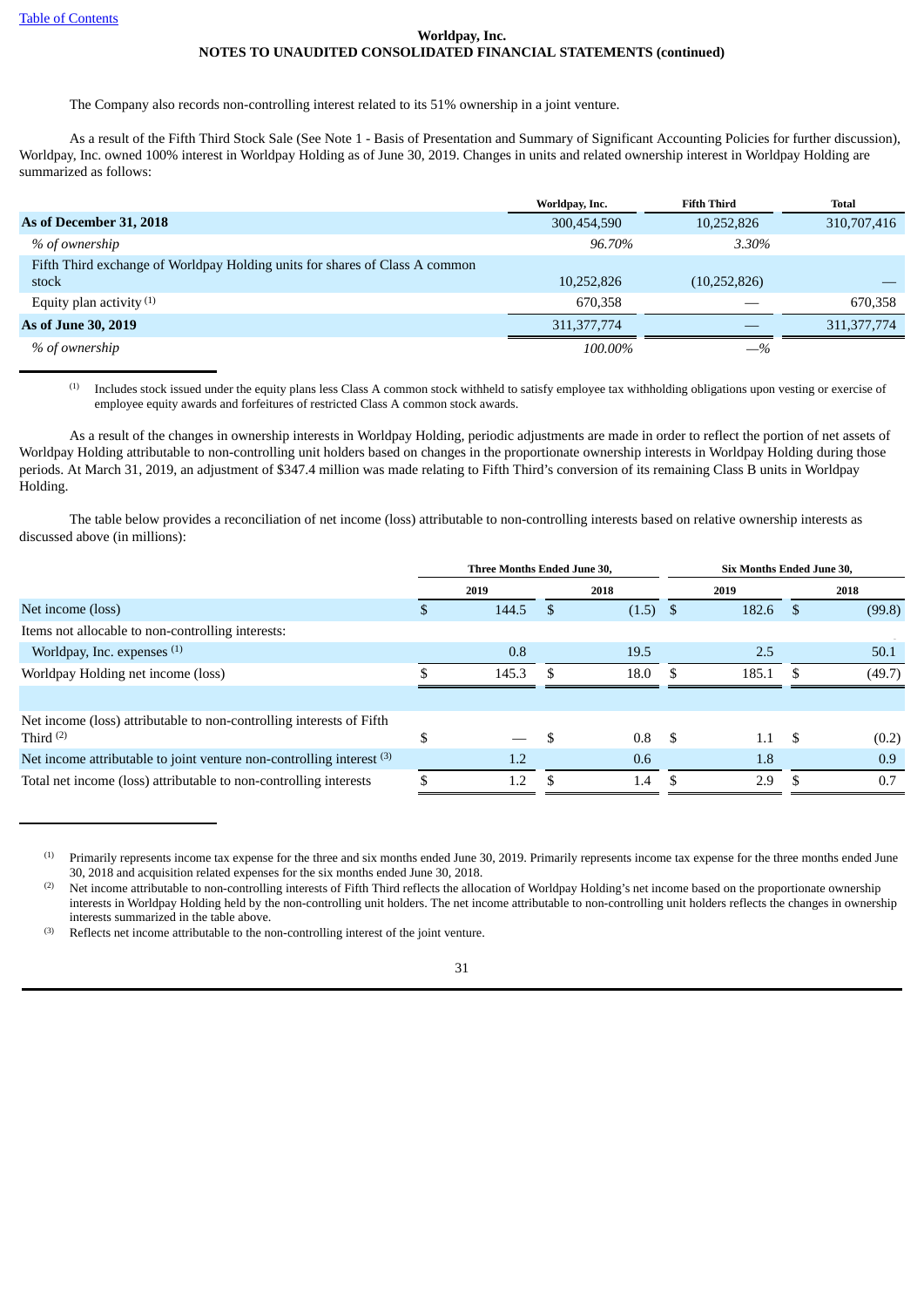The Company also records non-controlling interest related to its 51% ownership in a joint venture.

As a result of the Fifth Third Stock Sale (See Note 1 - Basis of Presentation and Summary of Significant Accounting Policies for further discussion), Worldpay, Inc. owned 100% interest in Worldpay Holding as of June 30, 2019. Changes in units and related ownership interest in Worldpay Holding are summarized as follows:

|                                                                             | Worldpay, Inc. | <b>Fifth Third</b> | Total         |
|-----------------------------------------------------------------------------|----------------|--------------------|---------------|
| As of December 31, 2018                                                     | 300,454,590    | 10,252,826         | 310,707,416   |
| % of ownership                                                              | 96.70%         | 3.30%              |               |
| Fifth Third exchange of Worldpay Holding units for shares of Class A common |                |                    |               |
| stock                                                                       | 10,252,826     | (10, 252, 826)     |               |
| Equity plan activity $(1)$                                                  | 670.358        |                    | 670.358       |
| As of June 30, 2019                                                         | 311, 377, 774  |                    | 311, 377, 774 |
| % of ownership                                                              | 100.00%        | $-\%$              |               |

(1) Includes stock issued under the equity plans less Class A common stock withheld to satisfy employee tax withholding obligations upon vesting or exercise of employee equity awards and forfeitures of restricted Class A common stock awards.

As a result of the changes in ownership interests in Worldpay Holding, periodic adjustments are made in order to reflect the portion of net assets of Worldpay Holding attributable to non-controlling unit holders based on changes in the proportionate ownership interests in Worldpay Holding during those periods. At March 31, 2019, an adjustment of \$347.4 million was made relating to Fifth Third's conversion of its remaining Class B units in Worldpay Holding.

The table below provides a reconciliation of net income (loss) attributable to non-controlling interests based on relative ownership interests as discussed above (in millions):

|                                                                       |   | Three Months Ended June 30, |      | <b>Six Months Ended June 30,</b> |      |       |      |        |
|-----------------------------------------------------------------------|---|-----------------------------|------|----------------------------------|------|-------|------|--------|
|                                                                       |   | 2019                        | 2018 |                                  |      | 2019  | 2018 |        |
| Net income (loss)                                                     |   | 144.5                       |      | (1.5)                            | - \$ | 182.6 | - S  | (99.8) |
| Items not allocable to non-controlling interests:                     |   |                             |      |                                  |      |       |      |        |
| Worldpay, Inc. expenses (1)                                           |   | 0.8                         |      | 19.5                             |      | 2.5   |      | 50.1   |
| Worldpay Holding net income (loss)                                    |   | 145.3                       |      | 18.0                             | .S   | 185.1 | -S   | (49.7) |
|                                                                       |   |                             |      |                                  |      |       |      |        |
| Net income (loss) attributable to non-controlling interests of Fifth  |   |                             |      |                                  |      |       |      |        |
| Third $(2)$                                                           | S |                             |      | 0.8                              | -S   | 1.1   | - \$ | (0.2)  |
| Net income attributable to joint venture non-controlling interest (3) |   | 1.2                         |      | 0.6                              |      | 1.8   |      | 0.9    |
| Total net income (loss) attributable to non-controlling interests     |   | 1.2                         |      | 1.4                              |      | 2.9   |      | 0.7    |
|                                                                       |   |                             |      |                                  |      |       |      |        |

<sup>&</sup>lt;sup>(1)</sup> Primarily represents income tax expense for the three and six months ended June 30, 2019. Primarily represents income tax expense for the three months ended June 30, 2018 and acquisition related expenses for the six months ended June 30, 2018.

<sup>(3)</sup> Reflects net income attributable to the non-controlling interest of the joint venture.



<sup>&</sup>lt;sup>(2)</sup> Net income attributable to non-controlling interests of Fifth Third reflects the allocation of Worldpay Holding's net income based on the proportionate ownership interests in Worldpay Holding held by the non-controlling unit holders. The net income attributable to non-controlling unit holders reflects the changes in ownership interests summarized in the table above.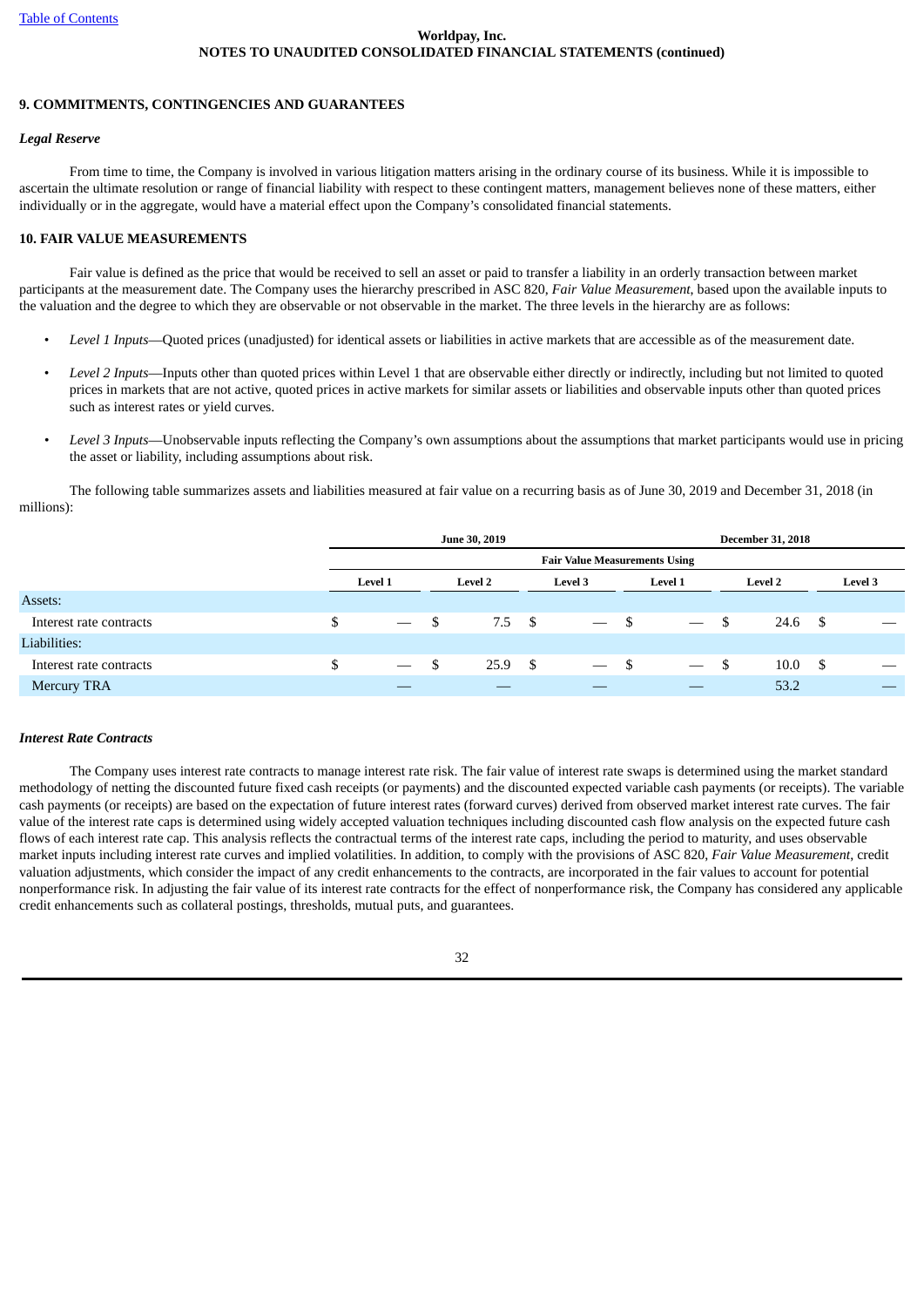### **9. COMMITMENTS, CONTINGENCIES AND GUARANTEES**

### *Legal Reserve*

From time to time, the Company is involved in various litigation matters arising in the ordinary course of its business. While it is impossible to ascertain the ultimate resolution or range of financial liability with respect to these contingent matters, management believes none of these matters, either individually or in the aggregate, would have a material effect upon the Company's consolidated financial statements.

### **10. FAIR VALUE MEASUREMENTS**

Fair value is defined as the price that would be received to sell an asset or paid to transfer a liability in an orderly transaction between market participants at the measurement date. The Company uses the hierarchy prescribed in ASC 820, *Fair Value Measurement*, based upon the available inputs to the valuation and the degree to which they are observable or not observable in the market. The three levels in the hierarchy are as follows:

- *Level 1 Inputs*—Quoted prices (unadjusted) for identical assets or liabilities in active markets that are accessible as of the measurement date.
- *Level 2 Inputs*—Inputs other than quoted prices within Level 1 that are observable either directly or indirectly, including but not limited to quoted prices in markets that are not active, quoted prices in active markets for similar assets or liabilities and observable inputs other than quoted prices such as interest rates or yield curves.
- *• Level 3 Inputs*—Unobservable inputs reflecting the Company's own assumptions about the assumptions that market participants would use in pricing the asset or liability, including assumptions about risk.

The following table summarizes assets and liabilities measured at fair value on a recurring basis as of June 30, 2019 and December 31, 2018 (in millions):

|                         |                                      |    | <b>June 30, 2019</b> |         |                                      | <b>December 31, 2018</b> |                   |    |      |      |  |
|-------------------------|--------------------------------------|----|----------------------|---------|--------------------------------------|--------------------------|-------------------|----|------|------|--|
|                         |                                      |    |                      |         | <b>Fair Value Measurements Using</b> |                          |                   |    |      |      |  |
|                         | Level 1<br>Level 3<br><b>Level 2</b> |    |                      | Level 1 | Level 2                              |                          | <b>Level 3</b>    |    |      |      |  |
| Assets:                 |                                      |    |                      |         |                                      |                          |                   |    |      |      |  |
| Interest rate contracts | \$<br>$\overline{\phantom{a}}$       | S  | $7.5\quad$ \$        |         | $\hspace{0.1mm}-\hspace{0.1mm}$      | -S                       | $\hspace{0.05cm}$ | -S | 24.6 | - \$ |  |
| Liabilities:            |                                      |    |                      |         |                                      |                          |                   |    |      |      |  |
| Interest rate contracts | \$<br>$\overbrace{\phantom{13333}}$  | -S | 25.9                 | - \$    | $\overbrace{\phantom{12333}}$        | -S                       |                   | -S | 10.0 | - \$ |  |
| <b>Mercury TRA</b>      |                                      |    |                      |         |                                      |                          |                   |    | 53.2 |      |  |

### *Interest Rate Contracts*

The Company uses interest rate contracts to manage interest rate risk. The fair value of interest rate swaps is determined using the market standard methodology of netting the discounted future fixed cash receipts (or payments) and the discounted expected variable cash payments (or receipts). The variable cash payments (or receipts) are based on the expectation of future interest rates (forward curves) derived from observed market interest rate curves. The fair value of the interest rate caps is determined using widely accepted valuation techniques including discounted cash flow analysis on the expected future cash flows of each interest rate cap. This analysis reflects the contractual terms of the interest rate caps, including the period to maturity, and uses observable market inputs including interest rate curves and implied volatilities. In addition, to comply with the provisions of ASC 820, *Fair Value Measurement*, credit valuation adjustments, which consider the impact of any credit enhancements to the contracts, are incorporated in the fair values to account for potential nonperformance risk. In adjusting the fair value of its interest rate contracts for the effect of nonperformance risk, the Company has considered any applicable credit enhancements such as collateral postings, thresholds, mutual puts, and guarantees.

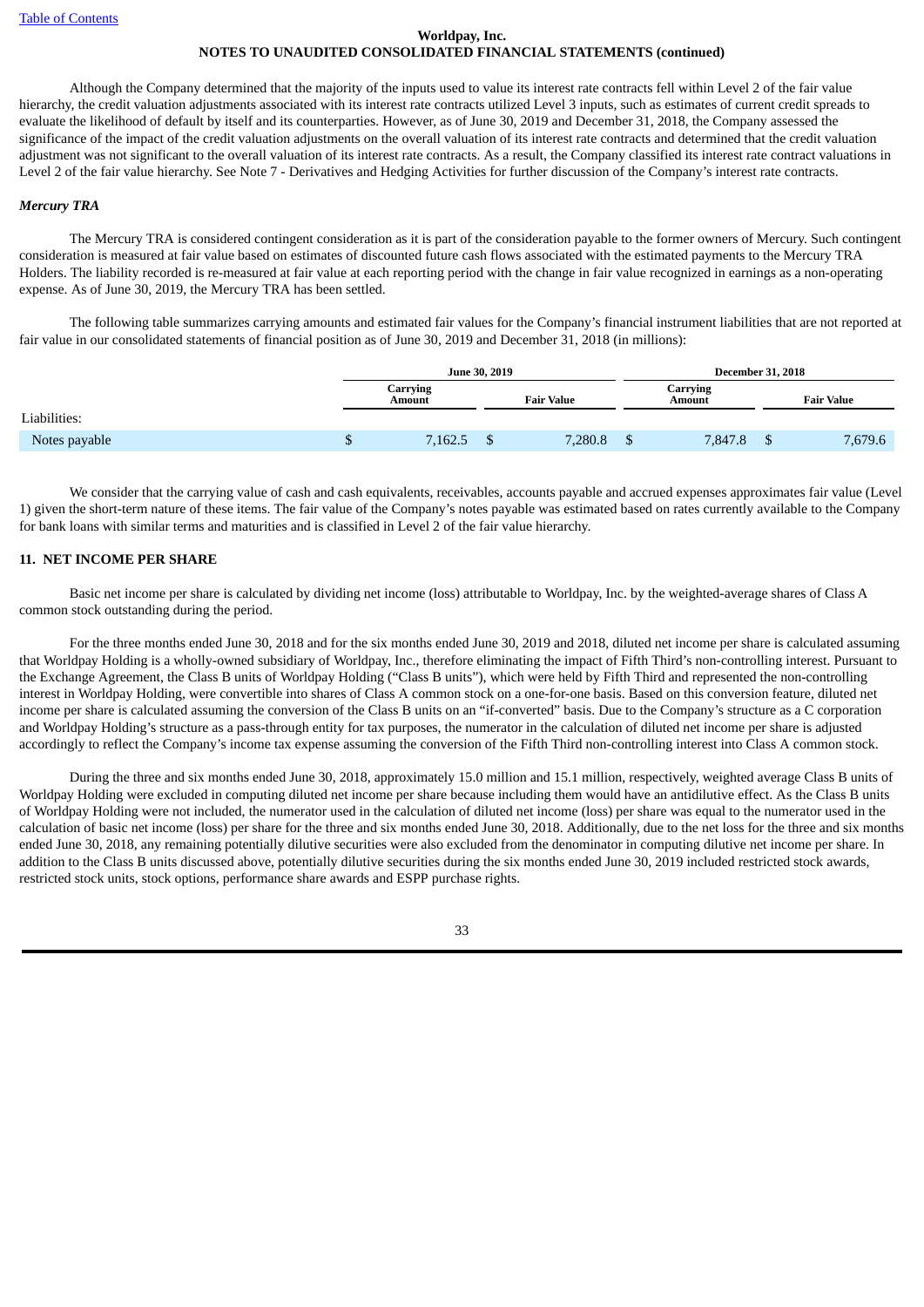Although the Company determined that the majority of the inputs used to value its interest rate contracts fell within Level 2 of the fair value hierarchy, the credit valuation adjustments associated with its interest rate contracts utilized Level 3 inputs, such as estimates of current credit spreads to evaluate the likelihood of default by itself and its counterparties. However, as of June 30, 2019 and December 31, 2018, the Company assessed the significance of the impact of the credit valuation adjustments on the overall valuation of its interest rate contracts and determined that the credit valuation adjustment was not significant to the overall valuation of its interest rate contracts. As a result, the Company classified its interest rate contract valuations in Level 2 of the fair value hierarchy. See Note 7 - Derivatives and Hedging Activities for further discussion of the Company's interest rate contracts.

### *Mercury TRA*

The Mercury TRA is considered contingent consideration as it is part of the consideration payable to the former owners of Mercury. Such contingent consideration is measured at fair value based on estimates of discounted future cash flows associated with the estimated payments to the Mercury TRA Holders. The liability recorded is re-measured at fair value at each reporting period with the change in fair value recognized in earnings as a non-operating expense. As of June 30, 2019, the Mercury TRA has been settled.

The following table summarizes carrying amounts and estimated fair values for the Company's financial instrument liabilities that are not reported at fair value in our consolidated statements of financial position as of June 30, 2019 and December 31, 2018 (in millions):

|               | <b>June 30, 2019</b> |                   |                    | <b>December 31, 2018</b> |                   |  |  |
|---------------|----------------------|-------------------|--------------------|--------------------------|-------------------|--|--|
|               | Carrying<br>Amount   | <b>Fair Value</b> | Carrying<br>Amount |                          | <b>Fair Value</b> |  |  |
| Liabilities:  |                      |                   |                    |                          |                   |  |  |
| Notes payable | 7,162.5              | 7,280.8           | 7,847.8            |                          | 7,679.6           |  |  |

We consider that the carrying value of cash and cash equivalents, receivables, accounts payable and accrued expenses approximates fair value (Level 1) given the short-term nature of these items. The fair value of the Company's notes payable was estimated based on rates currently available to the Company for bank loans with similar terms and maturities and is classified in Level 2 of the fair value hierarchy.

### **11. NET INCOME PER SHARE**

Basic net income per share is calculated by dividing net income (loss) attributable to Worldpay, Inc. by the weighted-average shares of Class A common stock outstanding during the period.

For the three months ended June 30, 2018 and for the six months ended June 30, 2019 and 2018, diluted net income per share is calculated assuming that Worldpay Holding is a wholly-owned subsidiary of Worldpay, Inc., therefore eliminating the impact of Fifth Third's non-controlling interest. Pursuant to the Exchange Agreement, the Class B units of Worldpay Holding ("Class B units"), which were held by Fifth Third and represented the non-controlling interest in Worldpay Holding, were convertible into shares of Class A common stock on a one-for-one basis. Based on this conversion feature, diluted net income per share is calculated assuming the conversion of the Class B units on an "if-converted" basis. Due to the Company's structure as a C corporation and Worldpay Holding's structure as a pass-through entity for tax purposes, the numerator in the calculation of diluted net income per share is adjusted accordingly to reflect the Company's income tax expense assuming the conversion of the Fifth Third non-controlling interest into Class A common stock.

During the three and six months ended June 30, 2018, approximately 15.0 million and 15.1 million, respectively, weighted average Class B units of Worldpay Holding were excluded in computing diluted net income per share because including them would have an antidilutive effect. As the Class B units of Worldpay Holding were not included, the numerator used in the calculation of diluted net income (loss) per share was equal to the numerator used in the calculation of basic net income (loss) per share for the three and six months ended June 30, 2018. Additionally, due to the net loss for the three and six months ended June 30, 2018, any remaining potentially dilutive securities were also excluded from the denominator in computing dilutive net income per share. In addition to the Class B units discussed above, potentially dilutive securities during the six months ended June 30, 2019 included restricted stock awards, restricted stock units, stock options, performance share awards and ESPP purchase rights.

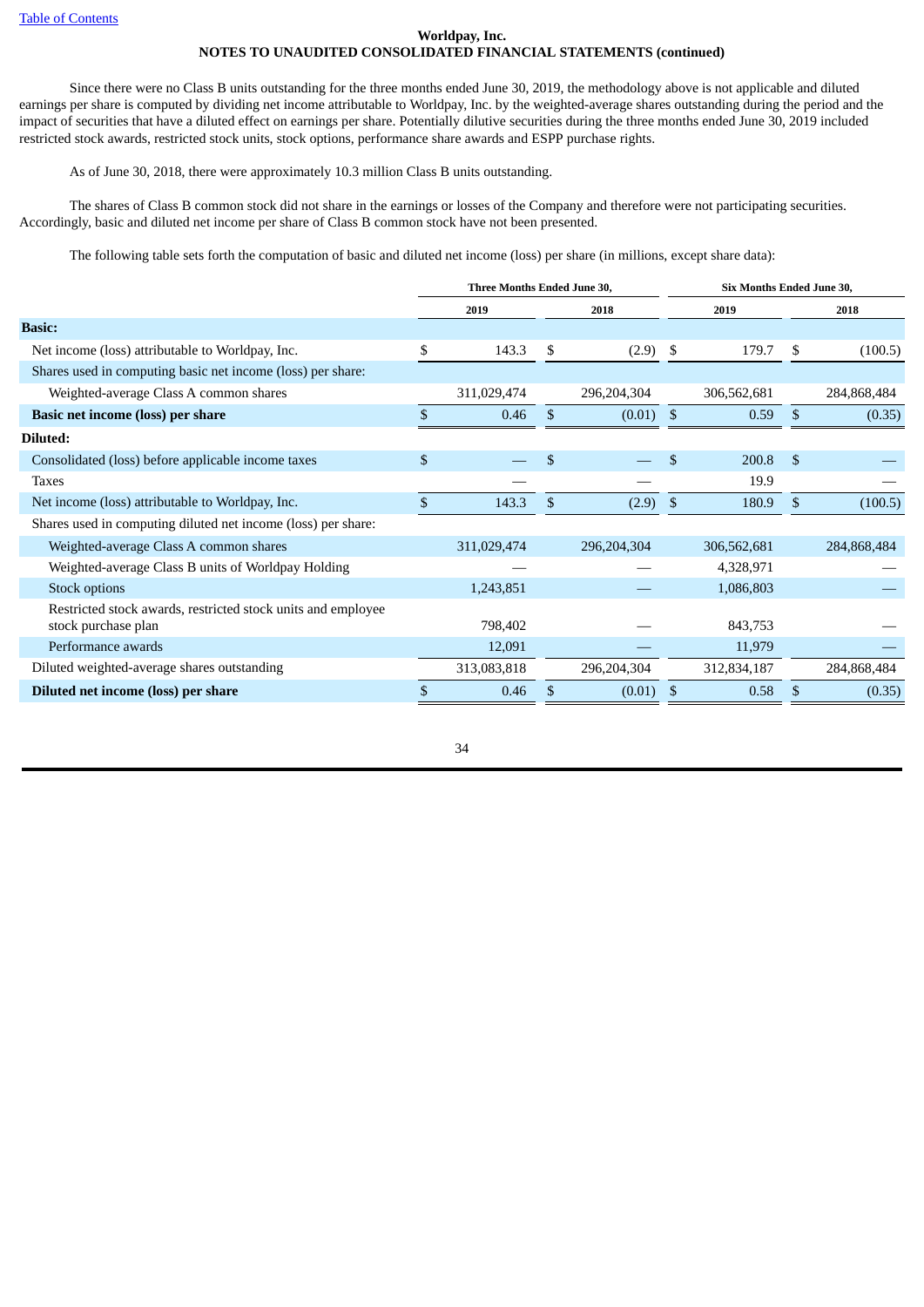Since there were no Class B units outstanding for the three months ended June 30, 2019, the methodology above is not applicable and diluted earnings per share is computed by dividing net income attributable to Worldpay, Inc. by the weighted-average shares outstanding during the period and the impact of securities that have a diluted effect on earnings per share. Potentially dilutive securities during the three months ended June 30, 2019 included restricted stock awards, restricted stock units, stock options, performance share awards and ESPP purchase rights.

As of June 30, 2018, there were approximately 10.3 million Class B units outstanding.

The shares of Class B common stock did not share in the earnings or losses of the Company and therefore were not participating securities. Accordingly, basic and diluted net income per share of Class B common stock have not been presented.

The following table sets forth the computation of basic and diluted net income (loss) per share (in millions, except share data):

|                                                                                     |    | <b>Three Months Ended June 30.</b> |     |             |    | <b>Six Months Ended June 30,</b> |    |             |  |
|-------------------------------------------------------------------------------------|----|------------------------------------|-----|-------------|----|----------------------------------|----|-------------|--|
|                                                                                     |    | 2019                               |     | 2018        |    | 2019                             |    | 2018        |  |
| <b>Basic:</b>                                                                       |    |                                    |     |             |    |                                  |    |             |  |
| Net income (loss) attributable to Worldpay, Inc.                                    | \$ | 143.3                              | \$  | (2.9)       | \$ | 179.7                            | S  | (100.5)     |  |
| Shares used in computing basic net income (loss) per share:                         |    |                                    |     |             |    |                                  |    |             |  |
| Weighted-average Class A common shares                                              |    | 311,029,474                        |     | 296,204,304 |    | 306,562,681                      |    | 284,868,484 |  |
| Basic net income (loss) per share                                                   |    | 0.46                               | \$. | (0.01)      | -S | 0.59                             | -S | (0.35)      |  |
| Diluted:                                                                            |    |                                    |     |             |    |                                  |    |             |  |
| Consolidated (loss) before applicable income taxes                                  | \$ |                                    | \$. |             |    | 200.8                            | \$ |             |  |
| Taxes                                                                               |    |                                    |     |             |    | 19.9                             |    |             |  |
| Net income (loss) attributable to Worldpay, Inc.                                    | \$ | 143.3                              | \$. | (2.9)       | \$ | 180.9                            | S. | (100.5)     |  |
| Shares used in computing diluted net income (loss) per share:                       |    |                                    |     |             |    |                                  |    |             |  |
| Weighted-average Class A common shares                                              |    | 311,029,474                        |     | 296,204,304 |    | 306,562,681                      |    | 284,868,484 |  |
| Weighted-average Class B units of Worldpay Holding                                  |    |                                    |     |             |    | 4,328,971                        |    |             |  |
| Stock options                                                                       |    | 1,243,851                          |     |             |    | 1,086,803                        |    |             |  |
| Restricted stock awards, restricted stock units and employee<br>stock purchase plan |    | 798,402                            |     |             |    | 843,753                          |    |             |  |
| Performance awards                                                                  |    | 12,091                             |     |             |    | 11,979                           |    |             |  |
|                                                                                     |    |                                    |     |             |    |                                  |    |             |  |
| Diluted weighted-average shares outstanding                                         |    | 313,083,818                        |     | 296,204,304 |    | 312,834,187                      |    | 284,868,484 |  |
| Diluted net income (loss) per share                                                 | S  | 0.46                               |     | (0.01)      | \$ | 0.58                             |    | (0.35)      |  |

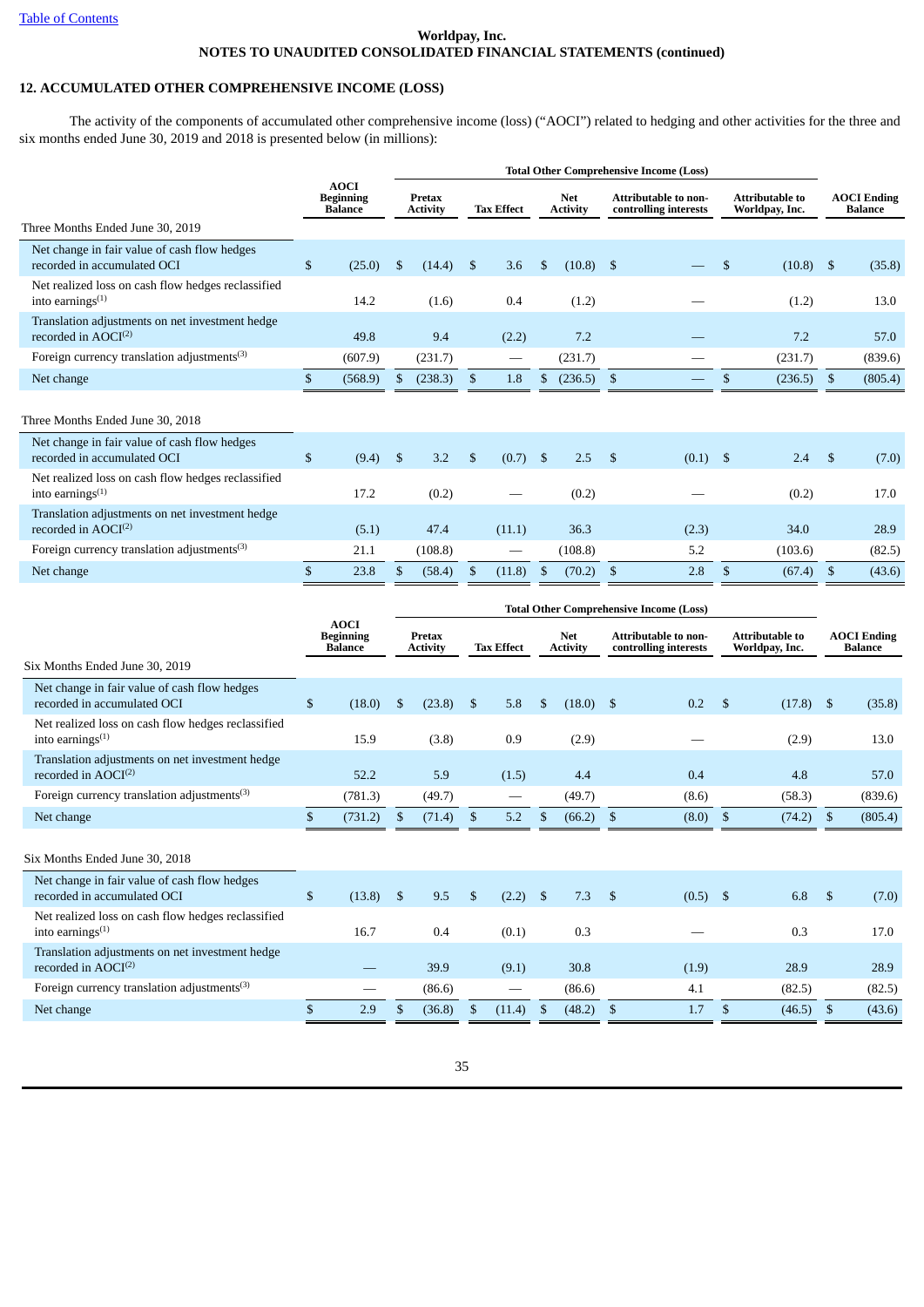# **12. ACCUMULATED OTHER COMPREHENSIVE INCOME (LOSS)**

The activity of the components of accumulated other comprehensive income (loss) ("AOCI") related to hedging and other activities for the three and six months ended June 30, 2019 and 2018 is presented below (in millions):

|                                                                                    |                                                   | <b>Total Other Comprehensive Income (Loss)</b> |                                  |    |                                 |              |                               |                |                                                      |                                          |                                          |                                      |                                      |
|------------------------------------------------------------------------------------|---------------------------------------------------|------------------------------------------------|----------------------------------|----|---------------------------------|--------------|-------------------------------|----------------|------------------------------------------------------|------------------------------------------|------------------------------------------|--------------------------------------|--------------------------------------|
|                                                                                    | <b>AOCI</b><br><b>Beginning</b><br><b>Balance</b> |                                                | Pretax<br><b>Activity</b>        |    | <b>Tax Effect</b>               |              | <b>Net</b><br><b>Activity</b> |                | <b>Attributable to non-</b><br>controlling interests | <b>Attributable to</b><br>Worldpay, Inc. |                                          | <b>AOCI Ending</b><br><b>Balance</b> |                                      |
| Three Months Ended June 30, 2019                                                   |                                                   |                                                |                                  |    |                                 |              |                               |                |                                                      |                                          |                                          |                                      |                                      |
| Net change in fair value of cash flow hedges<br>recorded in accumulated OCI        | \$<br>(25.0)                                      | \$                                             | (14.4)                           | \$ | 3.6                             | $\mathbb{S}$ | $(10.8)$ \$                   |                |                                                      | $\mathbf{s}$                             | (10.8)                                   | \$                                   | (35.8)                               |
| Net realized loss on cash flow hedges reclassified<br>into earnings <sup>(1)</sup> | 14.2                                              |                                                | (1.6)                            |    | 0.4                             |              | (1.2)                         |                |                                                      |                                          | (1.2)                                    |                                      | 13.0                                 |
| Translation adjustments on net investment hedge<br>recorded in $AOCI(2)$           | 49.8                                              |                                                | 9.4                              |    | (2.2)                           |              | 7.2                           |                |                                                      |                                          | 7.2                                      |                                      | 57.0                                 |
| Foreign currency translation adjustments <sup>(3)</sup>                            | (607.9)                                           |                                                | (231.7)                          |    | $\hspace{0.1mm}-\hspace{0.1mm}$ |              | (231.7)                       |                |                                                      |                                          | (231.7)                                  |                                      | (839.6)                              |
| Net change                                                                         | \$<br>(568.9)                                     | \$                                             | (238.3)                          | \$ | 1.8                             | \$           | $(236.5)$ \$                  |                |                                                      | \$                                       | (236.5)                                  | \$                                   | (805.4)                              |
| Three Months Ended June 30, 2018                                                   |                                                   |                                                |                                  |    |                                 |              |                               |                |                                                      |                                          |                                          |                                      |                                      |
| Net change in fair value of cash flow hedges<br>recorded in accumulated OCI        | \$<br>(9.4)                                       | -\$                                            | 3.2                              | \$ | $(0.7)$ \$                      |              | 2.5                           | - \$           | (0.1)                                                | $^{\circ}$                               | 2.4                                      | \$                                   | (7.0)                                |
| Net realized loss on cash flow hedges reclassified<br>into earnings $(1)$          | 17.2                                              |                                                | (0.2)                            |    |                                 |              | (0.2)                         |                |                                                      |                                          | (0.2)                                    |                                      | 17.0                                 |
| Translation adjustments on net investment hedge<br>recorded in $AOCI(2)$           | (5.1)                                             |                                                | 47.4                             |    | (11.1)                          |              | 36.3                          |                | (2.3)                                                |                                          | 34.0                                     |                                      | 28.9                                 |
| Foreign currency translation adjustments <sup>(3)</sup>                            | 21.1                                              |                                                | (108.8)                          |    |                                 |              | (108.8)                       |                | 5.2                                                  |                                          | (103.6)                                  |                                      | (82.5)                               |
| Net change                                                                         | \$<br>23.8                                        | \$                                             | (58.4)                           | \$ | (11.8)                          | \$           | (70.2)                        | $\mathfrak{S}$ | 2.8                                                  | \$                                       | (67.4)                                   | \$                                   | (43.6)                               |
|                                                                                    |                                                   |                                                |                                  |    |                                 |              |                               |                | <b>Total Other Comprehensive Income (Loss)</b>       |                                          |                                          |                                      |                                      |
|                                                                                    | <b>AOCI</b><br><b>Beginning</b><br><b>Balance</b> |                                                | <b>Pretax</b><br><b>Activity</b> |    | <b>Tax Effect</b>               |              | <b>Net</b><br><b>Activity</b> |                | <b>Attributable to non-</b><br>controlling interests |                                          | <b>Attributable to</b><br>Worldpay, Inc. |                                      | <b>AOCI</b> Ending<br><b>Balance</b> |
| Six Months Ended June 30, 2019                                                     |                                                   |                                                |                                  |    |                                 |              |                               |                |                                                      |                                          |                                          |                                      |                                      |
| Net change in fair value of cash flow hedges                                       |                                                   |                                                |                                  |    |                                 |              |                               |                |                                                      |                                          |                                          |                                      |                                      |

| Net change in fair value of cash flow hedges<br>recorded in accumulated OCI | \$<br>(18.0) | (23.8) | S. | 5.8   | <sup>S</sup> | $(18.0)$ \$ | 0.2   | - \$ | $(17.8)$ \$ |              | (35.8)  |
|-----------------------------------------------------------------------------|--------------|--------|----|-------|--------------|-------------|-------|------|-------------|--------------|---------|
| Net realized loss on cash flow hedges reclassified<br>into earnings $(1)$   | 15.9         | (3.8)  |    | 0.9   |              | (2.9)       |       |      | (2.9)       |              | 13.0    |
| Translation adjustments on net investment hedge<br>recorded in $AOCI(2)$    | 52.2         | 5.9    |    | (1.5) |              | 4.4         | 0.4   |      | 4.8         |              | 57.0    |
| Foreign currency translation adjustments $(3)$                              | (781.3)      | (49.7) |    | ---   |              | (49.7)      | (8.6) |      | (58.3)      |              | (839.6) |
| Net change                                                                  | (731.2)      | (71.4) | -S | 5.2   | -S           | $(66.2)$ \$ | (8.0) | - \$ | (74.2)      | $\mathsf{S}$ | (805.4) |
| Six Months Ended June 30, 2018                                              |              |        |    |       |              |             |       |      |             |              |         |
| Net change in fair value of cash flow hedges                                |              |        |    |       |              |             |       |      |             |              |         |

| recorded in accumulated OCI                                                 | (13.8) | 9.5    | (2.2)  |        | (0.5) | 6.8    | (7.0)  |
|-----------------------------------------------------------------------------|--------|--------|--------|--------|-------|--------|--------|
| Net realized loss on cash flow hedges reclassified<br>into earnings $(1)$   | 16.7   | 0.4    | (0.1)  | 0.3    |       | 0.3    | 17.0   |
| Translation adjustments on net investment hedge<br>recorded in $AOCI^{(2)}$ | __     | 39.9   | (9.1)  | 30.8   | (1.9) | 28.9   | 28.9   |
| Foreign currency translation adjustments $(3)$                              |        | (86.6) |        | (86.6) | 4.1   | (82.5) | (82.5) |
| Net change                                                                  | 2.9    | (36.8) | (11.4) | (48.2) |       | (46.5) | (43.6) |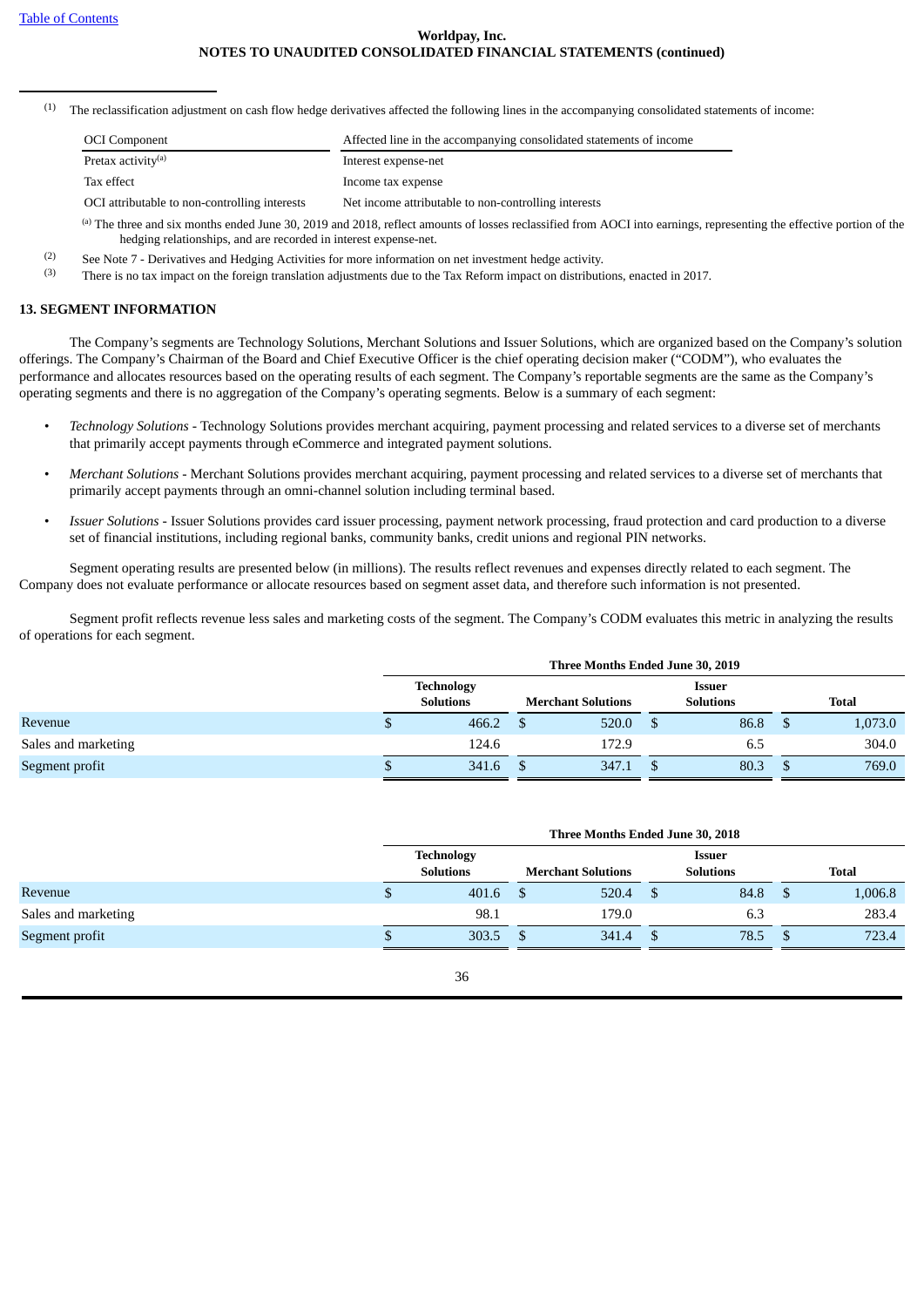(1) The reclassification adjustment on cash flow hedge derivatives affected the following lines in the accompanying consolidated statements of income:

| <b>OCI Component</b>                          | Affected line in the accompanying consolidated statements of income |
|-----------------------------------------------|---------------------------------------------------------------------|
| Pretax activity $(a)$                         | Interest expense-net                                                |
| Tax effect                                    | Income tax expense                                                  |
| OCI attributable to non-controlling interests | Net income attributable to non-controlling interests                |
|                                               |                                                                     |

(a) The three and six months ended June 30, 2019 and 2018, reflect amounts of losses reclassified from AOCI into earnings, representing the effective portion of the hedging relationships, and are recorded in interest expense-net.

- (2) See Note 7 Derivatives and Hedging Activities for more information on net investment hedge activity.
- (3) There is no tax impact on the foreign translation adjustments due to the Tax Reform impact on distributions, enacted in 2017.

## **13. SEGMENT INFORMATION**

The Company's segments are Technology Solutions, Merchant Solutions and Issuer Solutions, which are organized based on the Company's solution offerings. The Company's Chairman of the Board and Chief Executive Officer is the chief operating decision maker ("CODM"), who evaluates the performance and allocates resources based on the operating results of each segment. The Company's reportable segments are the same as the Company's operating segments and there is no aggregation of the Company's operating segments. Below is a summary of each segment:

- *• Technology Solutions* Technology Solutions provides merchant acquiring, payment processing and related services to a diverse set of merchants that primarily accept payments through eCommerce and integrated payment solutions.
- *• Merchant Solutions* Merchant Solutions provides merchant acquiring, payment processing and related services to a diverse set of merchants that primarily accept payments through an omni-channel solution including terminal based.
- *• Issuer Solutions* Issuer Solutions provides card issuer processing, payment network processing, fraud protection and card production to a diverse set of financial institutions, including regional banks, community banks, credit unions and regional PIN networks.

Segment operating results are presented below (in millions). The results reflect revenues and expenses directly related to each segment. The Company does not evaluate performance or allocate resources based on segment asset data, and therefore such information is not presented.

Segment profit reflects revenue less sales and marketing costs of the segment. The Company's CODM evaluates this metric in analyzing the results of operations for each segment.

|                     | Three Months Ended June 30, 2019      |  |                           |  |                                   |  |              |  |  |  |  |
|---------------------|---------------------------------------|--|---------------------------|--|-----------------------------------|--|--------------|--|--|--|--|
|                     | <b>Technology</b><br><b>Solutions</b> |  | <b>Merchant Solutions</b> |  | <b>Issuer</b><br><b>Solutions</b> |  | <b>Total</b> |  |  |  |  |
| Revenue             | 466.2                                 |  | 520.0                     |  | 86.8                              |  | 1,073.0      |  |  |  |  |
| Sales and marketing | 124.6                                 |  | 172.9                     |  | 6.5                               |  | 304.0        |  |  |  |  |
| Segment profit      | 341.6                                 |  | 347.1                     |  | 80.3                              |  | 769.0        |  |  |  |  |

|                     | Three Months Ended June 30, 2018      |  |                           |  |                            |  |         |  |  |  |  |
|---------------------|---------------------------------------|--|---------------------------|--|----------------------------|--|---------|--|--|--|--|
|                     | <b>Technology</b><br><b>Solutions</b> |  | <b>Merchant Solutions</b> |  | Issuer<br><b>Solutions</b> |  | Total   |  |  |  |  |
| Revenue             | 401.6                                 |  | 520.4                     |  | 84.8                       |  | 1,006.8 |  |  |  |  |
| Sales and marketing | 98.1                                  |  | 179.0                     |  | 6.3                        |  | 283.4   |  |  |  |  |
| Segment profit      | 303.5                                 |  | 341.4                     |  | 78.5                       |  | 723.4   |  |  |  |  |

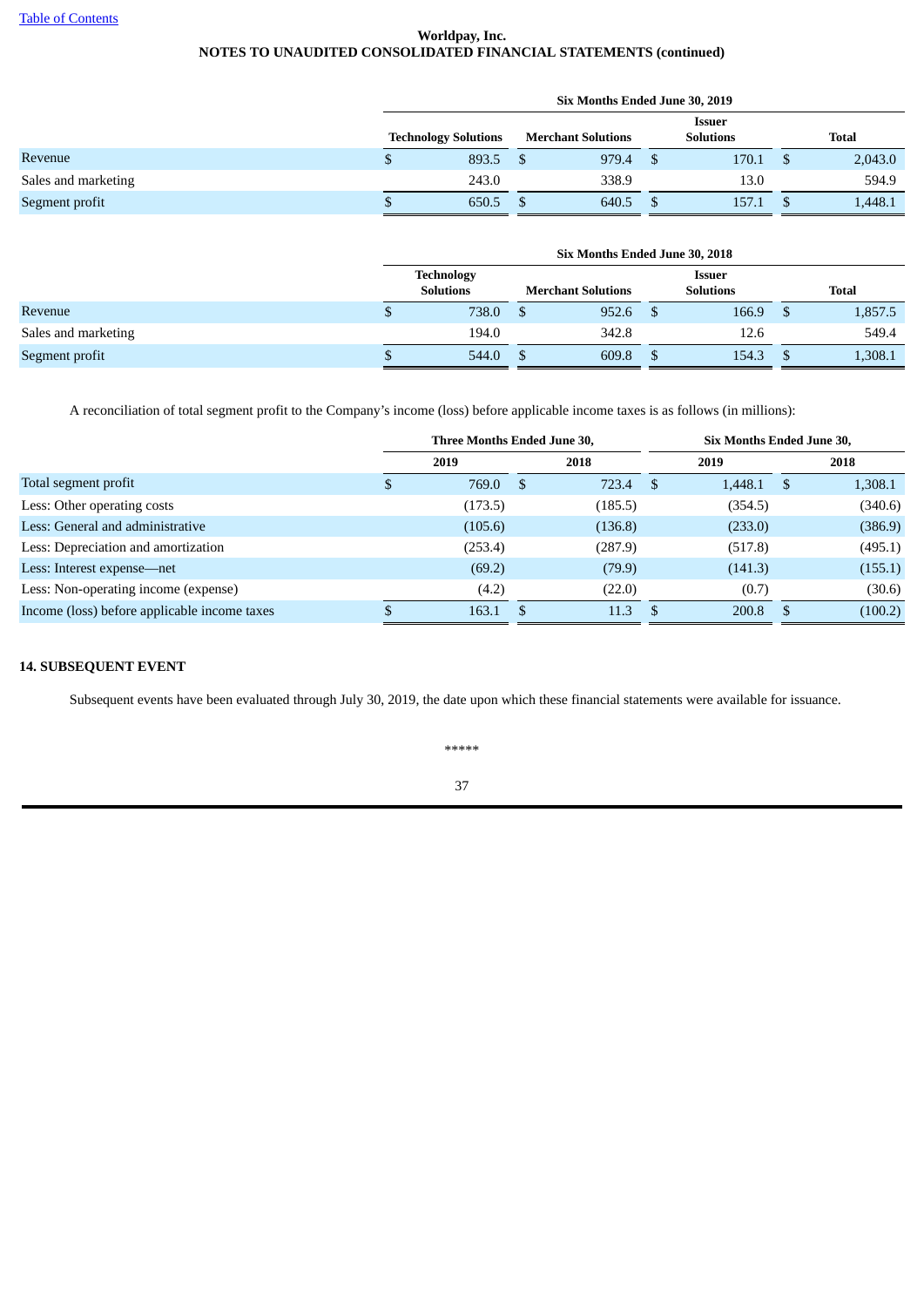|                     |                             |       | Six Months Ended June 30, 2019 |                                   |         |
|---------------------|-----------------------------|-------|--------------------------------|-----------------------------------|---------|
|                     | <b>Technology Solutions</b> |       | <b>Merchant Solutions</b>      | <b>Issuer</b><br><b>Solutions</b> | Total   |
| Revenue             |                             | 893.5 | 979.4                          | 170.1                             | 2,043.0 |
| Sales and marketing |                             | 243.0 | 338.9                          | 13.0                              | 594.9   |
| Segment profit      |                             | 650.5 | 640.5                          | 157.1                             | 1,448.1 |

|                     |                                       | Six Months Ended June 30, 2018 |                                   |              |
|---------------------|---------------------------------------|--------------------------------|-----------------------------------|--------------|
|                     | <b>Technology</b><br><b>Solutions</b> | <b>Merchant Solutions</b>      | <b>Issuer</b><br><b>Solutions</b> | <b>Total</b> |
| Revenue             | 738.0                                 | 952.6                          | 166.9                             | 1,857.5      |
| Sales and marketing | 194.0                                 | 342.8                          | 12.6                              | 549.4        |
| Segment profit      | 544.0                                 | 609.8                          | 154.3                             | 1,308.1      |

A reconciliation of total segment profit to the Company's income (loss) before applicable income taxes is as follows (in millions):

|                                              | Three Months Ended June 30, |      | Six Months Ended June 30, |   |         |              |         |
|----------------------------------------------|-----------------------------|------|---------------------------|---|---------|--------------|---------|
|                                              | 2019                        |      | 2018                      |   | 2019    |              | 2018    |
| Total segment profit                         | \$<br>769.0                 | - \$ | 723.4                     | S | 1,448.1 | $\mathsf{S}$ | 1,308.1 |
| Less: Other operating costs                  | (173.5)                     |      | (185.5)                   |   | (354.5) |              | (340.6) |
| Less: General and administrative             | (105.6)                     |      | (136.8)                   |   | (233.0) |              | (386.9) |
| Less: Depreciation and amortization          | (253.4)                     |      | (287.9)                   |   | (517.8) |              | (495.1) |
| Less: Interest expense—net                   | (69.2)                      |      | (79.9)                    |   | (141.3) |              | (155.1) |
| Less: Non-operating income (expense)         | (4.2)                       |      | (22.0)                    |   | (0.7)   |              | (30.6)  |
| Income (loss) before applicable income taxes | 163.1                       |      | 11.3                      |   | 200.8   |              | (100.2) |

## **14. SUBSEQUENT EVENT**

Subsequent events have been evaluated through July 30, 2019, the date upon which these financial statements were available for issuance.

\*\*\*\*\*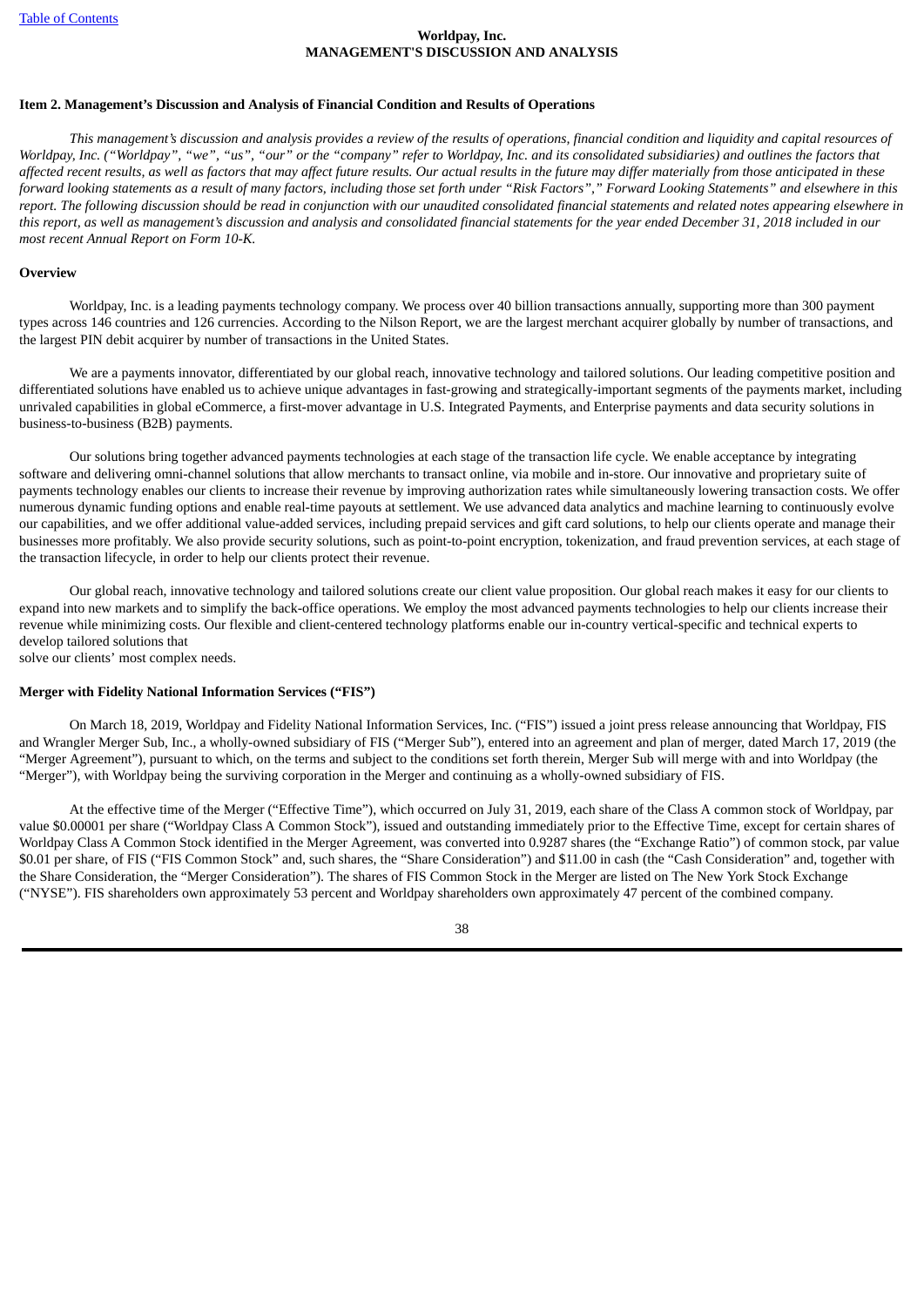## **Worldpay, Inc. MANAGEMENT'S DISCUSSION AND ANALYSIS**

### <span id="page-37-0"></span>**Item 2. Management's Discussion and Analysis of Financial Condition and Results of Operations**

This management's discussion and analysis provides a review of the results of operations, financial condition and liquidity and capital resources of Worldpay, Inc. ("Worldpay", "we", "us", "our" or the "company" refer to Worldpay, Inc. and its consolidated subsidiaries) and outlines the factors that affected recent results, as well as factors that may affect future results. Our actual results in the future may differ materially from those anticipated in these forward looking statements as a result of many factors, including those set forth under "Risk Factors"," Forward Looking Statements" and elsewhere in this report. The following discussion should be read in conjunction with our ungudited consolidated financial statements and related notes appearing elsewhere in this report, as well as management's discussion and analysis and consolidated financial statements for the year ended December 31, 2018 included in our *most recent Annual Report on Form 10-K.*

### <span id="page-37-1"></span>**Overview**

Worldpay, Inc. is a leading payments technology company. We process over 40 billion transactions annually, supporting more than 300 payment types across 146 countries and 126 currencies. According to the Nilson Report, we are the largest merchant acquirer globally by number of transactions, and the largest PIN debit acquirer by number of transactions in the United States.

We are a payments innovator, differentiated by our global reach, innovative technology and tailored solutions. Our leading competitive position and differentiated solutions have enabled us to achieve unique advantages in fast-growing and strategically-important segments of the payments market, including unrivaled capabilities in global eCommerce, a first-mover advantage in U.S. Integrated Payments, and Enterprise payments and data security solutions in business-to-business (B2B) payments.

Our solutions bring together advanced payments technologies at each stage of the transaction life cycle. We enable acceptance by integrating software and delivering omni-channel solutions that allow merchants to transact online, via mobile and in-store. Our innovative and proprietary suite of payments technology enables our clients to increase their revenue by improving authorization rates while simultaneously lowering transaction costs. We offer numerous dynamic funding options and enable real-time payouts at settlement. We use advanced data analytics and machine learning to continuously evolve our capabilities, and we offer additional value-added services, including prepaid services and gift card solutions, to help our clients operate and manage their businesses more profitably. We also provide security solutions, such as point-to-point encryption, tokenization, and fraud prevention services, at each stage of the transaction lifecycle, in order to help our clients protect their revenue.

Our global reach, innovative technology and tailored solutions create our client value proposition. Our global reach makes it easy for our clients to expand into new markets and to simplify the back-office operations. We employ the most advanced payments technologies to help our clients increase their revenue while minimizing costs. Our flexible and client-centered technology platforms enable our in-country vertical-specific and technical experts to develop tailored solutions that

solve our clients' most complex needs.

### **Merger with Fidelity National Information Services ("FIS")**

On March 18, 2019, Worldpay and Fidelity National Information Services, Inc. ("FIS") issued a joint press release announcing that Worldpay, FIS and Wrangler Merger Sub, Inc., a wholly-owned subsidiary of FIS ("Merger Sub"), entered into an agreement and plan of merger, dated March 17, 2019 (the "Merger Agreement"), pursuant to which, on the terms and subject to the conditions set forth therein, Merger Sub will merge with and into Worldpay (the "Merger"), with Worldpay being the surviving corporation in the Merger and continuing as a wholly-owned subsidiary of FIS.

At the effective time of the Merger ("Effective Time"), which occurred on July 31, 2019, each share of the Class A common stock of Worldpay, par value \$0.00001 per share ("Worldpay Class A Common Stock"), issued and outstanding immediately prior to the Effective Time, except for certain shares of Worldpay Class A Common Stock identified in the Merger Agreement, was converted into 0.9287 shares (the "Exchange Ratio") of common stock, par value \$0.01 per share, of FIS ("FIS Common Stock" and, such shares, the "Share Consideration") and \$11.00 in cash (the "Cash Consideration" and, together with the Share Consideration, the "Merger Consideration"). The shares of FIS Common Stock in the Merger are listed on The New York Stock Exchange ("NYSE"). FIS shareholders own approximately 53 percent and Worldpay shareholders own approximately 47 percent of the combined company.

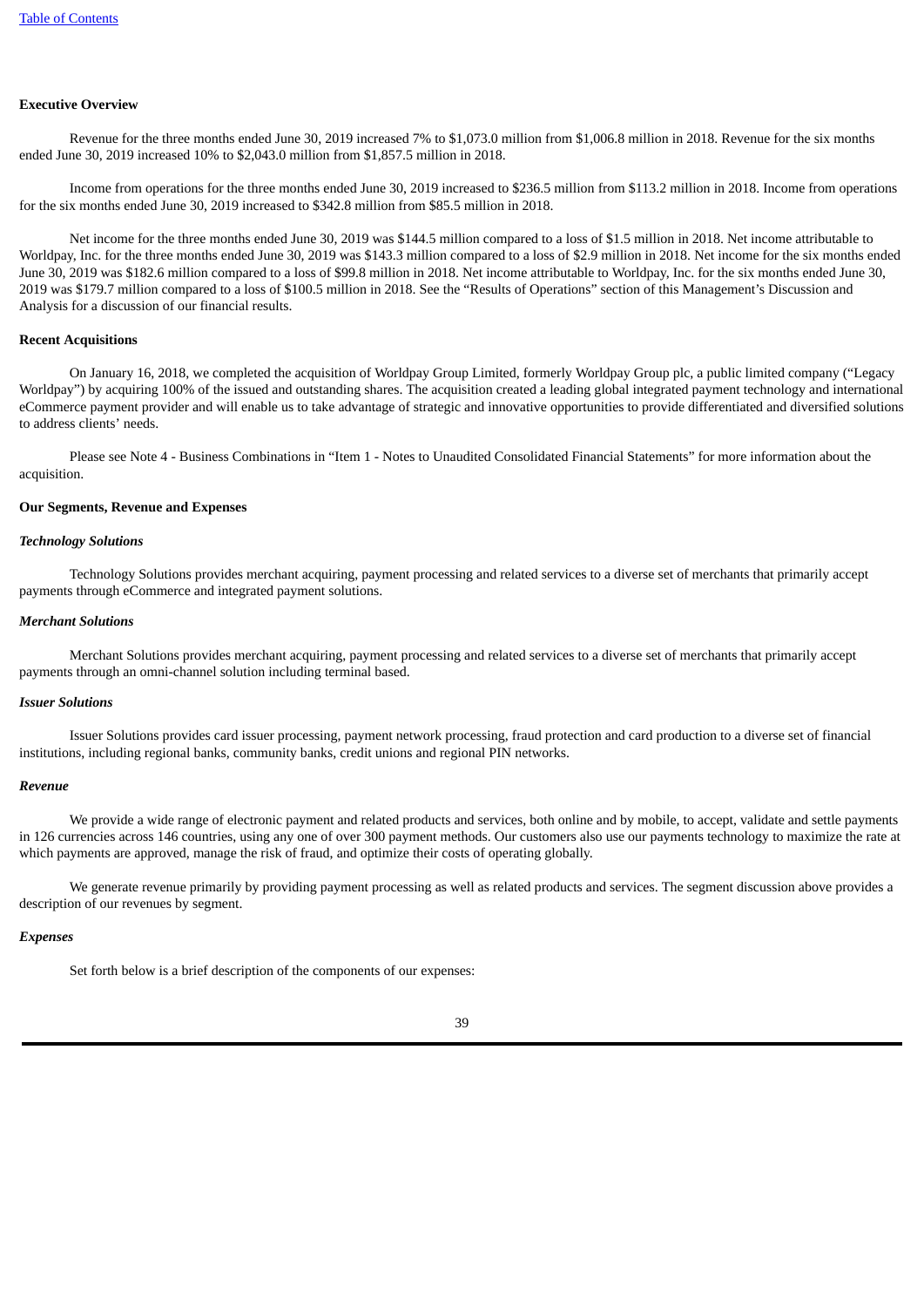## **Executive Overview**

Revenue for the three months ended June 30, 2019 increased 7% to \$1,073.0 million from \$1,006.8 million in 2018. Revenue for the six months ended June 30, 2019 increased 10% to \$2,043.0 million from \$1,857.5 million in 2018.

Income from operations for the three months ended June 30, 2019 increased to \$236.5 million from \$113.2 million in 2018. Income from operations for the six months ended June 30, 2019 increased to \$342.8 million from \$85.5 million in 2018.

Net income for the three months ended June 30, 2019 was \$144.5 million compared to a loss of \$1.5 million in 2018. Net income attributable to Worldpay, Inc. for the three months ended June 30, 2019 was \$143.3 million compared to a loss of \$2.9 million in 2018. Net income for the six months ended June 30, 2019 was \$182.6 million compared to a loss of \$99.8 million in 2018. Net income attributable to Worldpay, Inc. for the six months ended June 30, 2019 was \$179.7 million compared to a loss of \$100.5 million in 2018. See the "Results of Operations" section of this Management's Discussion and Analysis for a discussion of our financial results.

## **Recent Acquisitions**

On January 16, 2018, we completed the acquisition of Worldpay Group Limited, formerly Worldpay Group plc, a public limited company ("Legacy Worldpay") by acquiring 100% of the issued and outstanding shares. The acquisition created a leading global integrated payment technology and international eCommerce payment provider and will enable us to take advantage of strategic and innovative opportunities to provide differentiated and diversified solutions to address clients' needs.

Please see Note 4 - Business Combinations in "Item 1 - Notes to Unaudited Consolidated Financial Statements" for more information about the acquisition.

## **Our Segments, Revenue and Expenses**

## *Technology Solutions*

Technology Solutions provides merchant acquiring, payment processing and related services to a diverse set of merchants that primarily accept payments through eCommerce and integrated payment solutions.

### *Merchant Solutions*

Merchant Solutions provides merchant acquiring, payment processing and related services to a diverse set of merchants that primarily accept payments through an omni-channel solution including terminal based.

### *Issuer Solutions*

Issuer Solutions provides card issuer processing, payment network processing, fraud protection and card production to a diverse set of financial institutions, including regional banks, community banks, credit unions and regional PIN networks.

### *Revenue*

We provide a wide range of electronic payment and related products and services, both online and by mobile, to accept, validate and settle payments in 126 currencies across 146 countries, using any one of over 300 payment methods. Our customers also use our payments technology to maximize the rate at which payments are approved, manage the risk of fraud, and optimize their costs of operating globally.

We generate revenue primarily by providing payment processing as well as related products and services. The segment discussion above provides a description of our revenues by segment.

#### *Expenses*

Set forth below is a brief description of the components of our expenses: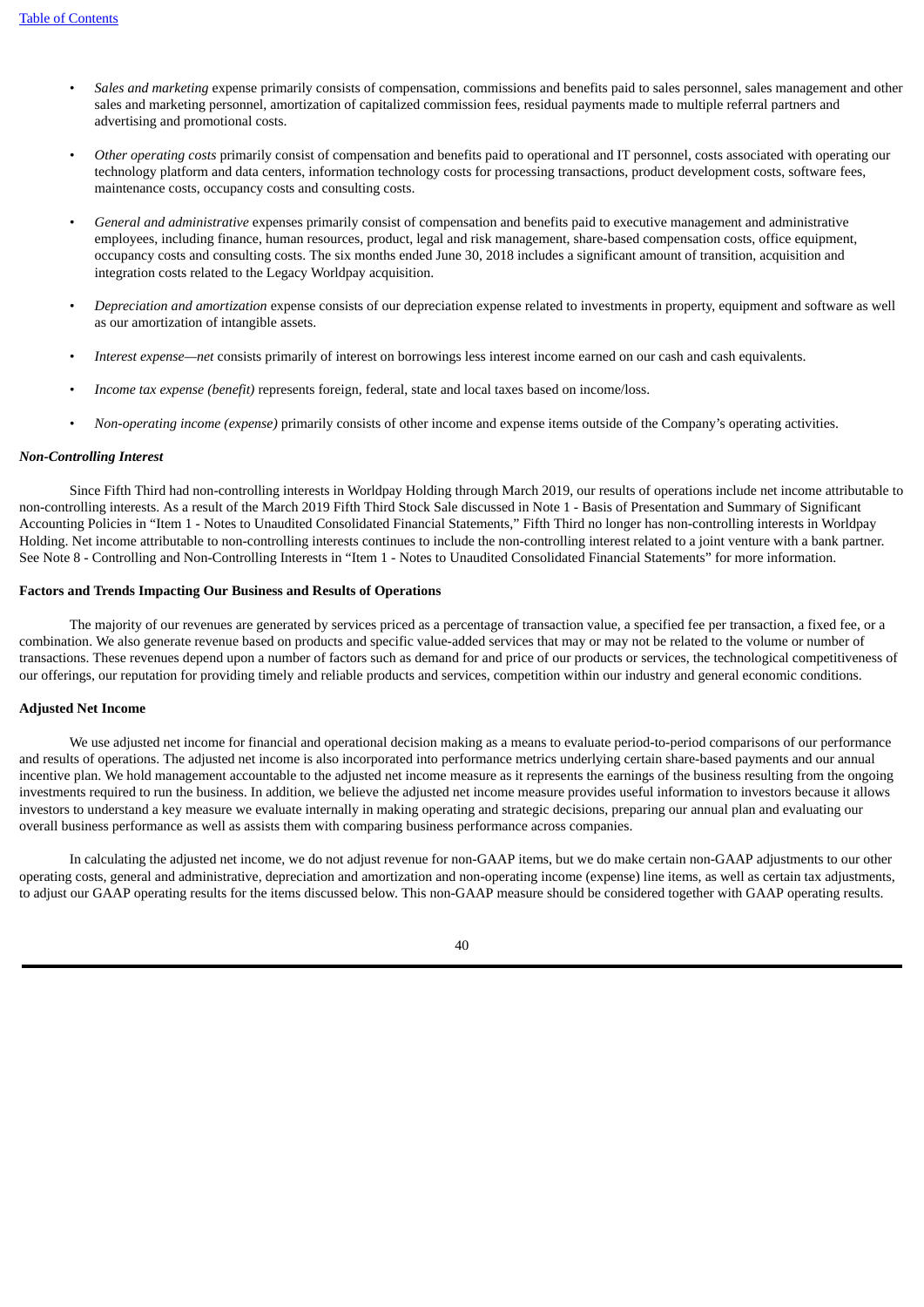- *• Sales and marketing* expense primarily consists of compensation, commissions and benefits paid to sales personnel, sales management and other sales and marketing personnel, amortization of capitalized commission fees, residual payments made to multiple referral partners and advertising and promotional costs.
- *• Other operating costs* primarily consist of compensation and benefits paid to operational and IT personnel, costs associated with operating our technology platform and data centers, information technology costs for processing transactions, product development costs, software fees, maintenance costs, occupancy costs and consulting costs.
- *• General and administrative* expenses primarily consist of compensation and benefits paid to executive management and administrative employees, including finance, human resources, product, legal and risk management, share-based compensation costs, office equipment, occupancy costs and consulting costs. The six months ended June 30, 2018 includes a significant amount of transition, acquisition and integration costs related to the Legacy Worldpay acquisition.
- *• Depreciation and amortization* expense consists of our depreciation expense related to investments in property, equipment and software as well as our amortization of intangible assets.
- *• Interest expense—net* consists primarily of interest on borrowings less interest income earned on our cash and cash equivalents.
- *• Income tax expense (benefit)* represents foreign, federal, state and local taxes based on income/loss.
- *• Non-operating income (expense)* primarily consists of other income and expense items outside of the Company's operating activities.

### *Non-Controlling Interest*

Since Fifth Third had non-controlling interests in Worldpay Holding through March 2019, our results of operations include net income attributable to non-controlling interests. As a result of the March 2019 Fifth Third Stock Sale discussed in Note 1 - Basis of Presentation and Summary of Significant Accounting Policies in "Item 1 - Notes to Unaudited Consolidated Financial Statements," Fifth Third no longer has non-controlling interests in Worldpay Holding. Net income attributable to non-controlling interests continues to include the non-controlling interest related to a joint venture with a bank partner. See Note 8 - Controlling and Non-Controlling Interests in "Item 1 - Notes to Unaudited Consolidated Financial Statements" for more information.

### **Factors and Trends Impacting Our Business and Results of Operations**

The majority of our revenues are generated by services priced as a percentage of transaction value, a specified fee per transaction, a fixed fee, or a combination. We also generate revenue based on products and specific value-added services that may or may not be related to the volume or number of transactions. These revenues depend upon a number of factors such as demand for and price of our products or services, the technological competitiveness of our offerings, our reputation for providing timely and reliable products and services, competition within our industry and general economic conditions.

### **Adjusted Net Income**

We use adjusted net income for financial and operational decision making as a means to evaluate period-to-period comparisons of our performance and results of operations. The adjusted net income is also incorporated into performance metrics underlying certain share-based payments and our annual incentive plan. We hold management accountable to the adjusted net income measure as it represents the earnings of the business resulting from the ongoing investments required to run the business. In addition, we believe the adjusted net income measure provides useful information to investors because it allows investors to understand a key measure we evaluate internally in making operating and strategic decisions, preparing our annual plan and evaluating our overall business performance as well as assists them with comparing business performance across companies.

In calculating the adjusted net income, we do not adjust revenue for non-GAAP items, but we do make certain non-GAAP adjustments to our other operating costs, general and administrative, depreciation and amortization and non-operating income (expense) line items, as well as certain tax adjustments, to adjust our GAAP operating results for the items discussed below. This non-GAAP measure should be considered together with GAAP operating results.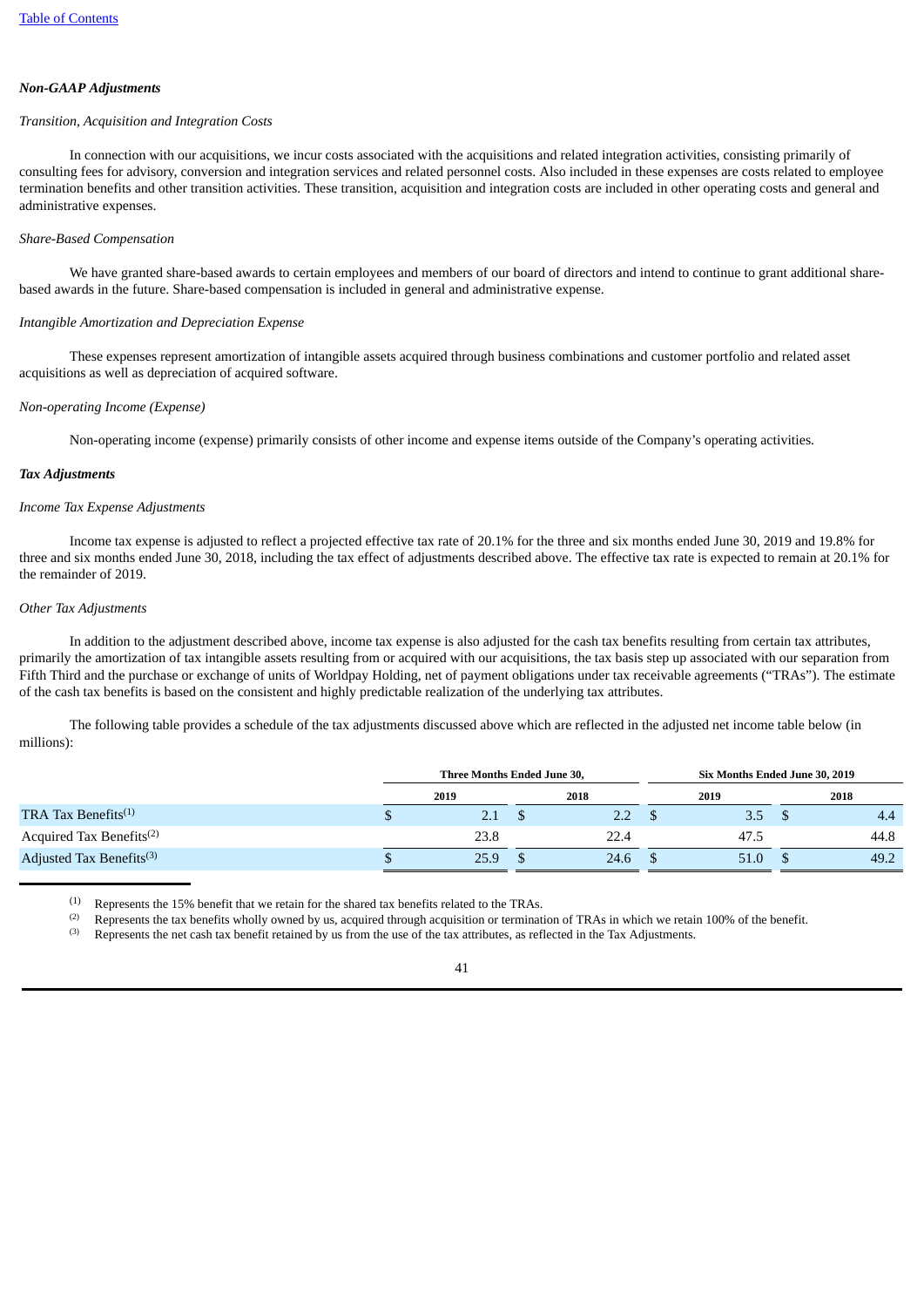### *Non-GAAP Adjustments*

### *Transition, Acquisition and Integration Costs*

In connection with our acquisitions, we incur costs associated with the acquisitions and related integration activities, consisting primarily of consulting fees for advisory, conversion and integration services and related personnel costs. Also included in these expenses are costs related to employee termination benefits and other transition activities. These transition, acquisition and integration costs are included in other operating costs and general and administrative expenses.

#### *Share-Based Compensation*

We have granted share-based awards to certain employees and members of our board of directors and intend to continue to grant additional sharebased awards in the future. Share-based compensation is included in general and administrative expense.

### *Intangible Amortization and Depreciation Expense*

These expenses represent amortization of intangible assets acquired through business combinations and customer portfolio and related asset acquisitions as well as depreciation of acquired software.

### *Non-operating Income (Expense)*

Non-operating income (expense) primarily consists of other income and expense items outside of the Company's operating activities.

#### *Tax Adjustments*

#### *Income Tax Expense Adjustments*

Income tax expense is adjusted to reflect a projected effective tax rate of 20.1% for the three and six months ended June 30, 2019 and 19.8% for three and six months ended June 30, 2018, including the tax effect of adjustments described above. The effective tax rate is expected to remain at 20.1% for the remainder of 2019.

### *Other Tax Adjustments*

In addition to the adjustment described above, income tax expense is also adjusted for the cash tax benefits resulting from certain tax attributes, primarily the amortization of tax intangible assets resulting from or acquired with our acquisitions, the tax basis step up associated with our separation from Fifth Third and the purchase or exchange of units of Worldpay Holding, net of payment obligations under tax receivable agreements ("TRAs"). The estimate of the cash tax benefits is based on the consistent and highly predictable realization of the underlying tax attributes.

The following table provides a schedule of the tax adjustments discussed above which are reflected in the adjusted net income table below (in millions):

|                                        |      | Three Months Ended June 30, |               | Six Months Ended June 30, 2019 |      |
|----------------------------------------|------|-----------------------------|---------------|--------------------------------|------|
|                                        | 2019 |                             | 2018          | 2019                           | 2018 |
| <b>TRA Tax Benefits</b> <sup>(1)</sup> |      | 2.1                         | $2.2^{\circ}$ | 3.5                            | 4.4  |
| Acquired Tax Benefits <sup>(2)</sup>   |      | 23.8                        | 22.4          | 47.5                           | 44.8 |
| Adjusted Tax Benefits <sup>(3)</sup>   |      | 25.9                        | 24.6          | 51.0                           | 49.2 |

 $(1)$  Represents the 15% benefit that we retain for the shared tax benefits related to the TRAs.

(2) Represents the tax benefits wholly owned by us, acquired through acquisition or termination of TRAs in which we retain 100% of the benefit.<br>(3) Poppesents the pst cash tax benefit retained by us from the use of the ta

Represents the net cash tax benefit retained by us from the use of the tax attributes, as reflected in the Tax Adjustments.

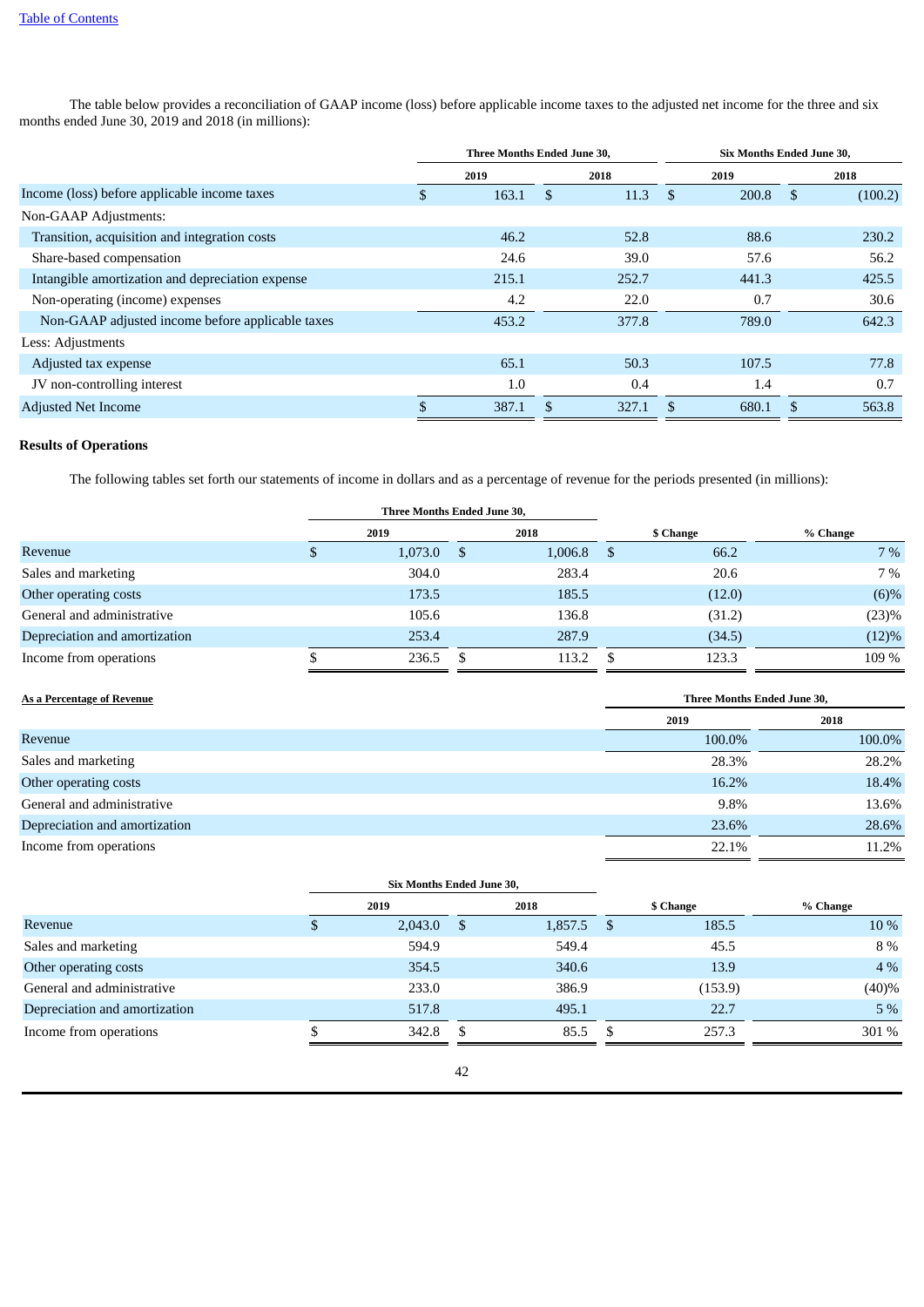The table below provides a reconciliation of GAAP income (loss) before applicable income taxes to the adjusted net income for the three and six months ended June 30, 2019 and 2018 (in millions):

|                                                  | Three Months Ended June 30. |       |     |       |    |       |      | Six Months Ended June 30, |  |
|--------------------------------------------------|-----------------------------|-------|-----|-------|----|-------|------|---------------------------|--|
|                                                  |                             | 2019  |     | 2018  |    | 2019  |      | 2018                      |  |
| Income (loss) before applicable income taxes     | $\mathfrak{s}$              | 163.1 | \$. | 11.3  | \$ | 200.8 | - \$ | (100.2)                   |  |
| Non-GAAP Adjustments:                            |                             |       |     |       |    |       |      |                           |  |
| Transition, acquisition and integration costs    |                             | 46.2  |     | 52.8  |    | 88.6  |      | 230.2                     |  |
| Share-based compensation                         |                             | 24.6  |     | 39.0  |    | 57.6  |      | 56.2                      |  |
| Intangible amortization and depreciation expense |                             | 215.1 |     | 252.7 |    | 441.3 |      | 425.5                     |  |
| Non-operating (income) expenses                  |                             | 4.2   |     | 22.0  |    | 0.7   |      | 30.6                      |  |
| Non-GAAP adjusted income before applicable taxes |                             | 453.2 |     | 377.8 |    | 789.0 |      | 642.3                     |  |
| Less: Adjustments                                |                             |       |     |       |    |       |      |                           |  |
| Adjusted tax expense                             |                             | 65.1  |     | 50.3  |    | 107.5 |      | 77.8                      |  |
| JV non-controlling interest                      |                             | 1.0   |     | 0.4   |    | 1.4   |      | 0.7                       |  |
| <b>Adjusted Net Income</b>                       |                             | 387.1 |     | 327.1 |    | 680.1 |      | 563.8                     |  |

## **Results of Operations**

The following tables set forth our statements of income in dollars and as a percentage of revenue for the periods presented (in millions):

|                               | 2019    |    | 2018    |      | \$ Change | % Change |
|-------------------------------|---------|----|---------|------|-----------|----------|
| Revenue                       | 1,073.0 | -S | 1,006.8 | - \$ | 66.2      | $7\%$    |
| Sales and marketing           | 304.0   |    | 283.4   |      | 20.6      | 7%       |
| Other operating costs         | 173.5   |    | 185.5   |      | (12.0)    | $(6)\%$  |
| General and administrative    | 105.6   |    | 136.8   |      | (31.2)    | (23)%    |
| Depreciation and amortization | 253.4   |    | 287.9   |      | (34.5)    | (12)%    |
| Income from operations        | 236.5   |    | 113.2   |      | 123.3     | 109 %    |

| <b>As a Percentage of Revenue</b> |        | Three Months Ended June 30, |
|-----------------------------------|--------|-----------------------------|
|                                   | 2019   | 2018                        |
| Revenue                           | 100.0% | 100.0%                      |
| Sales and marketing               | 28.3%  | 28.2%                       |
| Other operating costs             | 16.2%  | 18.4%                       |
| General and administrative        | 9.8%   | 13.6%                       |
| Depreciation and amortization     | 23.6%  | 28.6%                       |
| Income from operations            | 22.1%  | 11.2%                       |

| 2019    | 2018 |         | \$ Change                 |         | % Change |  |
|---------|------|---------|---------------------------|---------|----------|--|
| 2,043.0 | - 85 | 1,857.5 |                           | 185.5   | 10 %     |  |
| 594.9   |      | 549.4   |                           | 45.5    | 8 %      |  |
| 354.5   |      | 340.6   |                           | 13.9    | $4\%$    |  |
| 233.0   |      | 386.9   |                           | (153.9) | (40)%    |  |
| 517.8   |      | 495.1   |                           | 22.7    | $5\%$    |  |
| 342.8   |      | 85.5    |                           | 257.3   | 301 %    |  |
|         |      |         | Six Months Ended June 30, | - S     |          |  |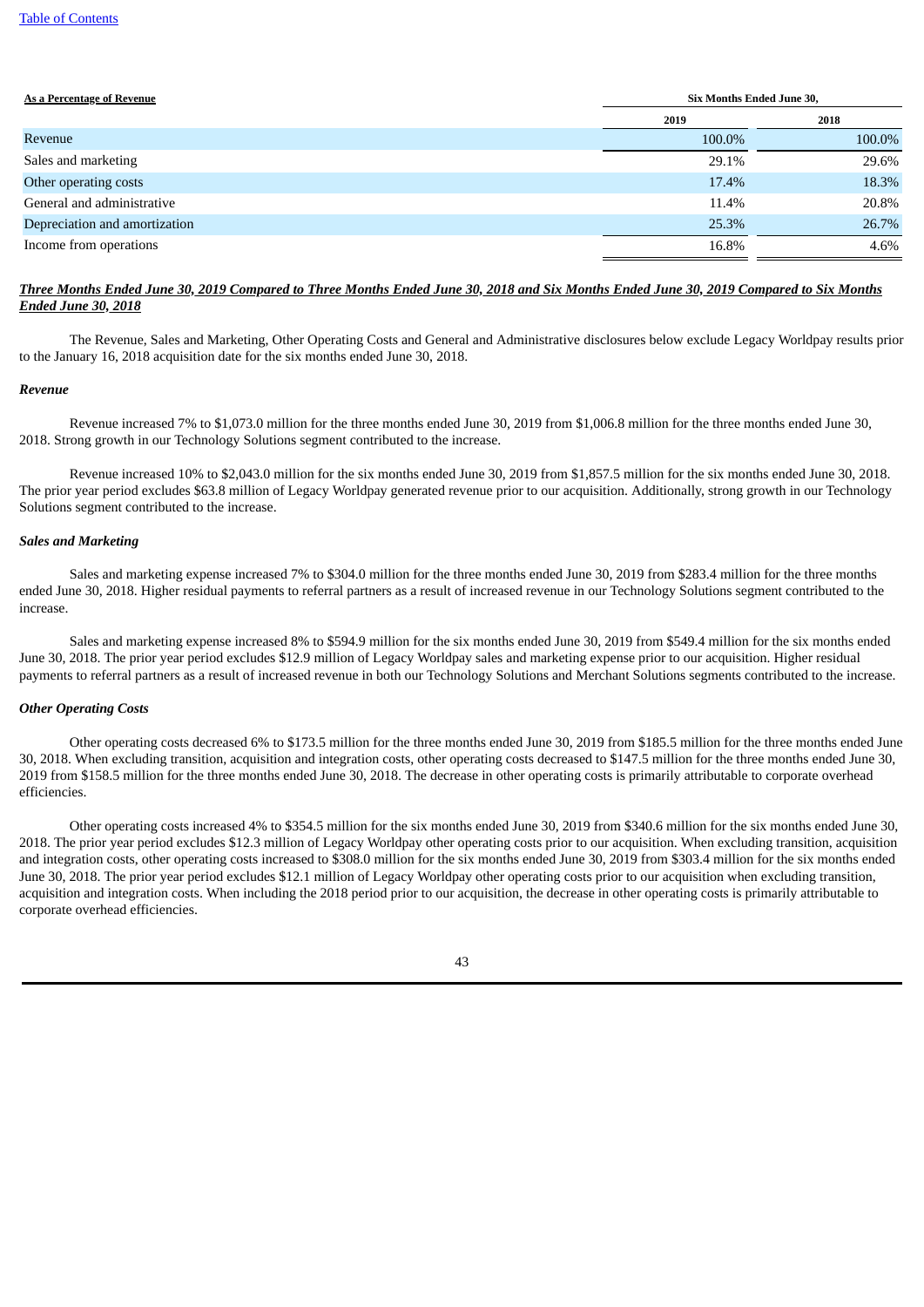#### Table of [Contents](#page-1-0)

| As a Percentage of Revenue<br>Revenue<br>Sales and marketing<br>General and administrative | Six Months Ended June 30, |        |  |  |  |
|--------------------------------------------------------------------------------------------|---------------------------|--------|--|--|--|
|                                                                                            | 2019                      | 2018   |  |  |  |
|                                                                                            | 100.0%                    | 100.0% |  |  |  |
|                                                                                            | 29.1%                     | 29.6%  |  |  |  |
| Other operating costs                                                                      | 17.4%                     | 18.3%  |  |  |  |
|                                                                                            | 11.4%                     | 20.8%  |  |  |  |
| Depreciation and amortization                                                              | 25.3%                     | 26.7%  |  |  |  |
| Income from operations                                                                     | 16.8%                     | 4.6%   |  |  |  |

## Three Months Ended June 30, 2019 Compared to Three Months Ended June 30, 2018 and Six Months Ended June 30, 2019 Compared to Six Months *Ended June 30, 2018*

The Revenue, Sales and Marketing, Other Operating Costs and General and Administrative disclosures below exclude Legacy Worldpay results prior to the January 16, 2018 acquisition date for the six months ended June 30, 2018.

#### *Revenue*

Revenue increased 7% to \$1,073.0 million for the three months ended June 30, 2019 from \$1,006.8 million for the three months ended June 30, 2018. Strong growth in our Technology Solutions segment contributed to the increase.

Revenue increased 10% to \$2,043.0 million for the six months ended June 30, 2019 from \$1,857.5 million for the six months ended June 30, 2018. The prior year period excludes \$63.8 million of Legacy Worldpay generated revenue prior to our acquisition. Additionally, strong growth in our Technology Solutions segment contributed to the increase.

### *Sales and Marketing*

Sales and marketing expense increased 7% to \$304.0 million for the three months ended June 30, 2019 from \$283.4 million for the three months ended June 30, 2018. Higher residual payments to referral partners as a result of increased revenue in our Technology Solutions segment contributed to the increase.

Sales and marketing expense increased 8% to \$594.9 million for the six months ended June 30, 2019 from \$549.4 million for the six months ended June 30, 2018. The prior year period excludes \$12.9 million of Legacy Worldpay sales and marketing expense prior to our acquisition. Higher residual payments to referral partners as a result of increased revenue in both our Technology Solutions and Merchant Solutions segments contributed to the increase.

### *Other Operating Costs*

Other operating costs decreased 6% to \$173.5 million for the three months ended June 30, 2019 from \$185.5 million for the three months ended June 30, 2018. When excluding transition, acquisition and integration costs, other operating costs decreased to \$147.5 million for the three months ended June 30, 2019 from \$158.5 million for the three months ended June 30, 2018. The decrease in other operating costs is primarily attributable to corporate overhead efficiencies.

Other operating costs increased 4% to \$354.5 million for the six months ended June 30, 2019 from \$340.6 million for the six months ended June 30, 2018. The prior year period excludes \$12.3 million of Legacy Worldpay other operating costs prior to our acquisition. When excluding transition, acquisition and integration costs, other operating costs increased to \$308.0 million for the six months ended June 30, 2019 from \$303.4 million for the six months ended June 30, 2018. The prior year period excludes \$12.1 million of Legacy Worldpay other operating costs prior to our acquisition when excluding transition, acquisition and integration costs. When including the 2018 period prior to our acquisition, the decrease in other operating costs is primarily attributable to corporate overhead efficiencies.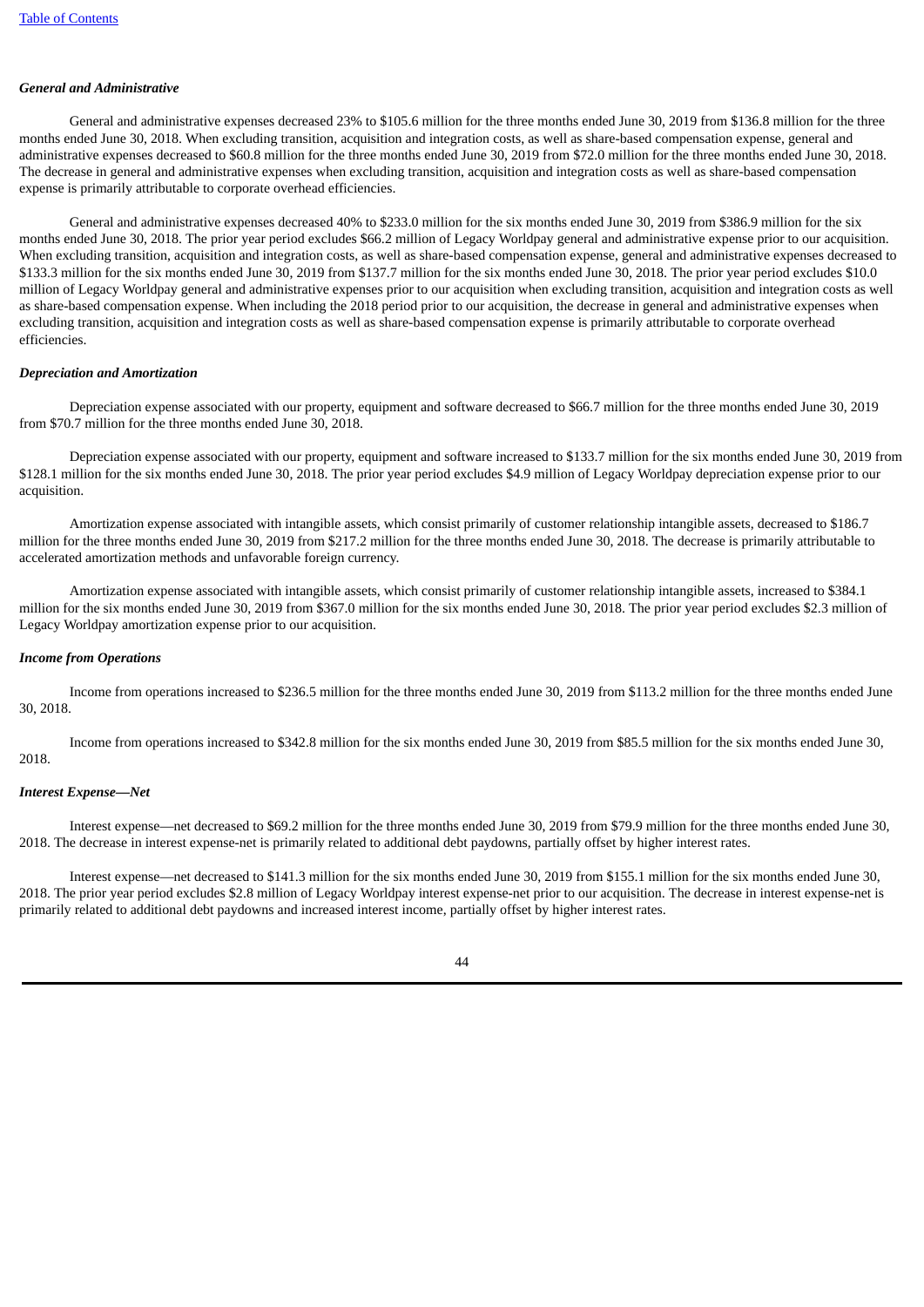## *General and Administrative*

General and administrative expenses decreased 23% to \$105.6 million for the three months ended June 30, 2019 from \$136.8 million for the three months ended June 30, 2018. When excluding transition, acquisition and integration costs, as well as share-based compensation expense, general and administrative expenses decreased to \$60.8 million for the three months ended June 30, 2019 from \$72.0 million for the three months ended June 30, 2018. The decrease in general and administrative expenses when excluding transition, acquisition and integration costs as well as share-based compensation expense is primarily attributable to corporate overhead efficiencies.

General and administrative expenses decreased 40% to \$233.0 million for the six months ended June 30, 2019 from \$386.9 million for the six months ended June 30, 2018. The prior year period excludes \$66.2 million of Legacy Worldpay general and administrative expense prior to our acquisition. When excluding transition, acquisition and integration costs, as well as share-based compensation expense, general and administrative expenses decreased to \$133.3 million for the six months ended June 30, 2019 from \$137.7 million for the six months ended June 30, 2018. The prior year period excludes \$10.0 million of Legacy Worldpay general and administrative expenses prior to our acquisition when excluding transition, acquisition and integration costs as well as share-based compensation expense. When including the 2018 period prior to our acquisition, the decrease in general and administrative expenses when excluding transition, acquisition and integration costs as well as share-based compensation expense is primarily attributable to corporate overhead efficiencies.

## *Depreciation and Amortization*

Depreciation expense associated with our property, equipment and software decreased to \$66.7 million for the three months ended June 30, 2019 from \$70.7 million for the three months ended June 30, 2018.

Depreciation expense associated with our property, equipment and software increased to \$133.7 million for the six months ended June 30, 2019 from \$128.1 million for the six months ended June 30, 2018. The prior year period excludes \$4.9 million of Legacy Worldpay depreciation expense prior to our acquisition.

Amortization expense associated with intangible assets, which consist primarily of customer relationship intangible assets, decreased to \$186.7 million for the three months ended June 30, 2019 from \$217.2 million for the three months ended June 30, 2018. The decrease is primarily attributable to accelerated amortization methods and unfavorable foreign currency.

Amortization expense associated with intangible assets, which consist primarily of customer relationship intangible assets, increased to \$384.1 million for the six months ended June 30, 2019 from \$367.0 million for the six months ended June 30, 2018. The prior year period excludes \$2.3 million of Legacy Worldpay amortization expense prior to our acquisition.

### *Income from Operations*

Income from operations increased to \$236.5 million for the three months ended June 30, 2019 from \$113.2 million for the three months ended June 30, 2018.

Income from operations increased to \$342.8 million for the six months ended June 30, 2019 from \$85.5 million for the six months ended June 30, 2018.

### *Interest Expense—Net*

Interest expense—net decreased to \$69.2 million for the three months ended June 30, 2019 from \$79.9 million for the three months ended June 30, 2018. The decrease in interest expense-net is primarily related to additional debt paydowns, partially offset by higher interest rates.

Interest expense—net decreased to \$141.3 million for the six months ended June 30, 2019 from \$155.1 million for the six months ended June 30, 2018. The prior year period excludes \$2.8 million of Legacy Worldpay interest expense-net prior to our acquisition. The decrease in interest expense-net is primarily related to additional debt paydowns and increased interest income, partially offset by higher interest rates.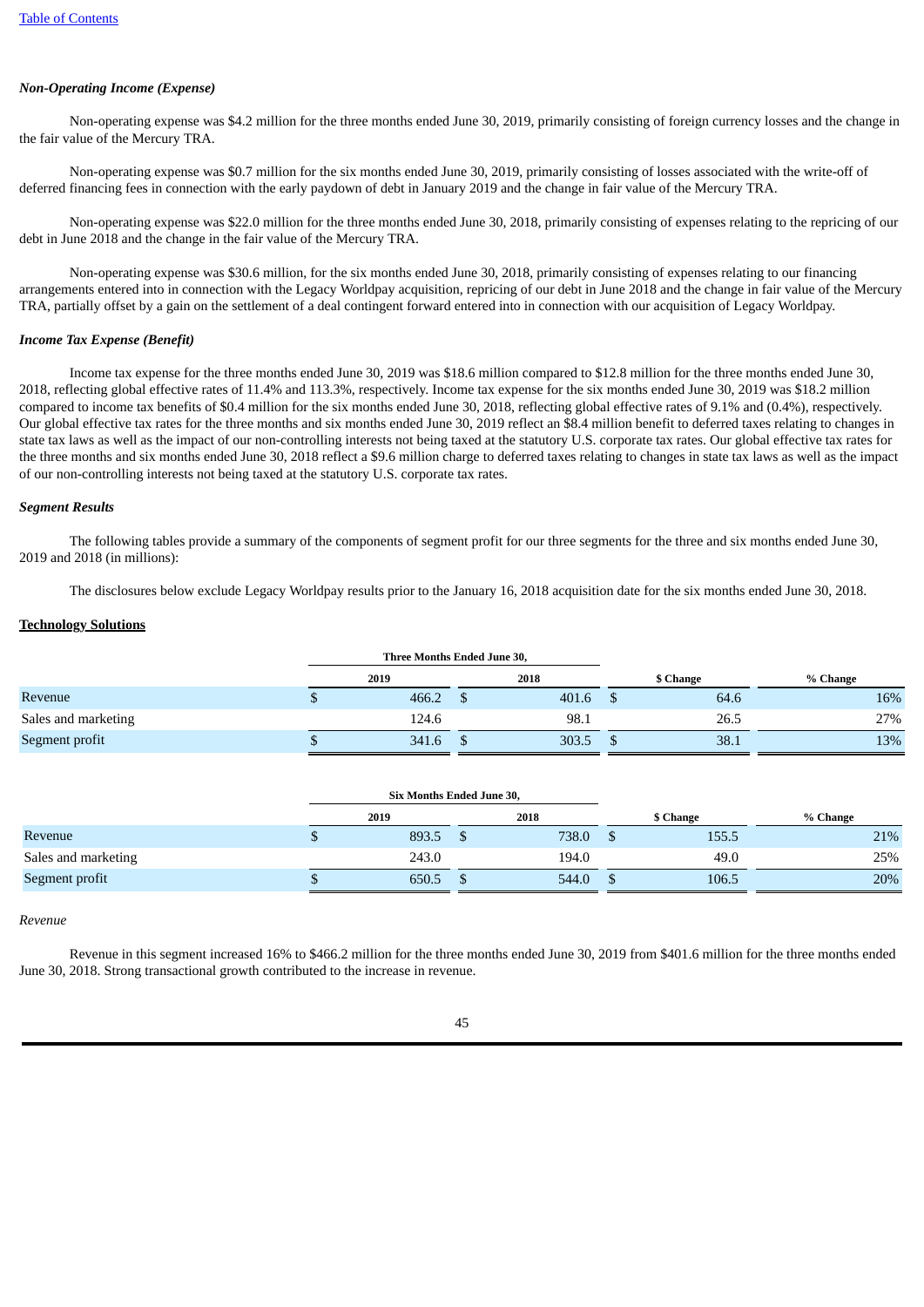## *Non-Operating Income (Expense)*

Non-operating expense was \$4.2 million for the three months ended June 30, 2019, primarily consisting of foreign currency losses and the change in the fair value of the Mercury TRA.

Non-operating expense was \$0.7 million for the six months ended June 30, 2019, primarily consisting of losses associated with the write-off of deferred financing fees in connection with the early paydown of debt in January 2019 and the change in fair value of the Mercury TRA.

Non-operating expense was \$22.0 million for the three months ended June 30, 2018, primarily consisting of expenses relating to the repricing of our debt in June 2018 and the change in the fair value of the Mercury TRA.

Non-operating expense was \$30.6 million, for the six months ended June 30, 2018, primarily consisting of expenses relating to our financing arrangements entered into in connection with the Legacy Worldpay acquisition, repricing of our debt in June 2018 and the change in fair value of the Mercury TRA, partially offset by a gain on the settlement of a deal contingent forward entered into in connection with our acquisition of Legacy Worldpay.

### *Income Tax Expense (Benefit)*

Income tax expense for the three months ended June 30, 2019 was \$18.6 million compared to \$12.8 million for the three months ended June 30, 2018, reflecting global effective rates of 11.4% and 113.3%, respectively. Income tax expense for the six months ended June 30, 2019 was \$18.2 million compared to income tax benefits of \$0.4 million for the six months ended June 30, 2018, reflecting global effective rates of 9.1% and (0.4%), respectively. Our global effective tax rates for the three months and six months ended June 30, 2019 reflect an \$8.4 million benefit to deferred taxes relating to changes in state tax laws as well as the impact of our non-controlling interests not being taxed at the statutory U.S. corporate tax rates. Our global effective tax rates for the three months and six months ended June 30, 2018 reflect a \$9.6 million charge to deferred taxes relating to changes in state tax laws as well as the impact of our non-controlling interests not being taxed at the statutory U.S. corporate tax rates.

## *Segment Results*

The following tables provide a summary of the components of segment profit for our three segments for the three and six months ended June 30, 2019 and 2018 (in millions):

The disclosures below exclude Legacy Worldpay results prior to the January 16, 2018 acquisition date for the six months ended June 30, 2018.

### **Technology Solutions**

|                     | Three Months Ended June 30, |       |  |       |  |           |          |
|---------------------|-----------------------------|-------|--|-------|--|-----------|----------|
|                     | 2019                        |       |  | 2018  |  | \$ Change | % Change |
| Revenue             |                             | 466.2 |  | 401.6 |  | 64.6      | 16%      |
| Sales and marketing |                             | 124.6 |  | 98.1  |  | 26.5      | 27%      |
| Segment profit      |                             | 341.6 |  | 303.5 |  | 38.1      | 13%      |

|                     | <b>Six Months Ended June 30,</b> |       |  |       |  |           |          |
|---------------------|----------------------------------|-------|--|-------|--|-----------|----------|
|                     | 2019                             |       |  | 2018  |  | \$ Change | % Change |
| Revenue             |                                  | 893.5 |  | 738.0 |  | 155.5     | 21%      |
| Sales and marketing |                                  | 243.0 |  | 194.0 |  | 49.0      | 25%      |
| Segment profit      |                                  | 650.5 |  | 544.0 |  | 106.5     | 20%      |

*Revenue*

Revenue in this segment increased 16% to \$466.2 million for the three months ended June 30, 2019 from \$401.6 million for the three months ended June 30, 2018. Strong transactional growth contributed to the increase in revenue.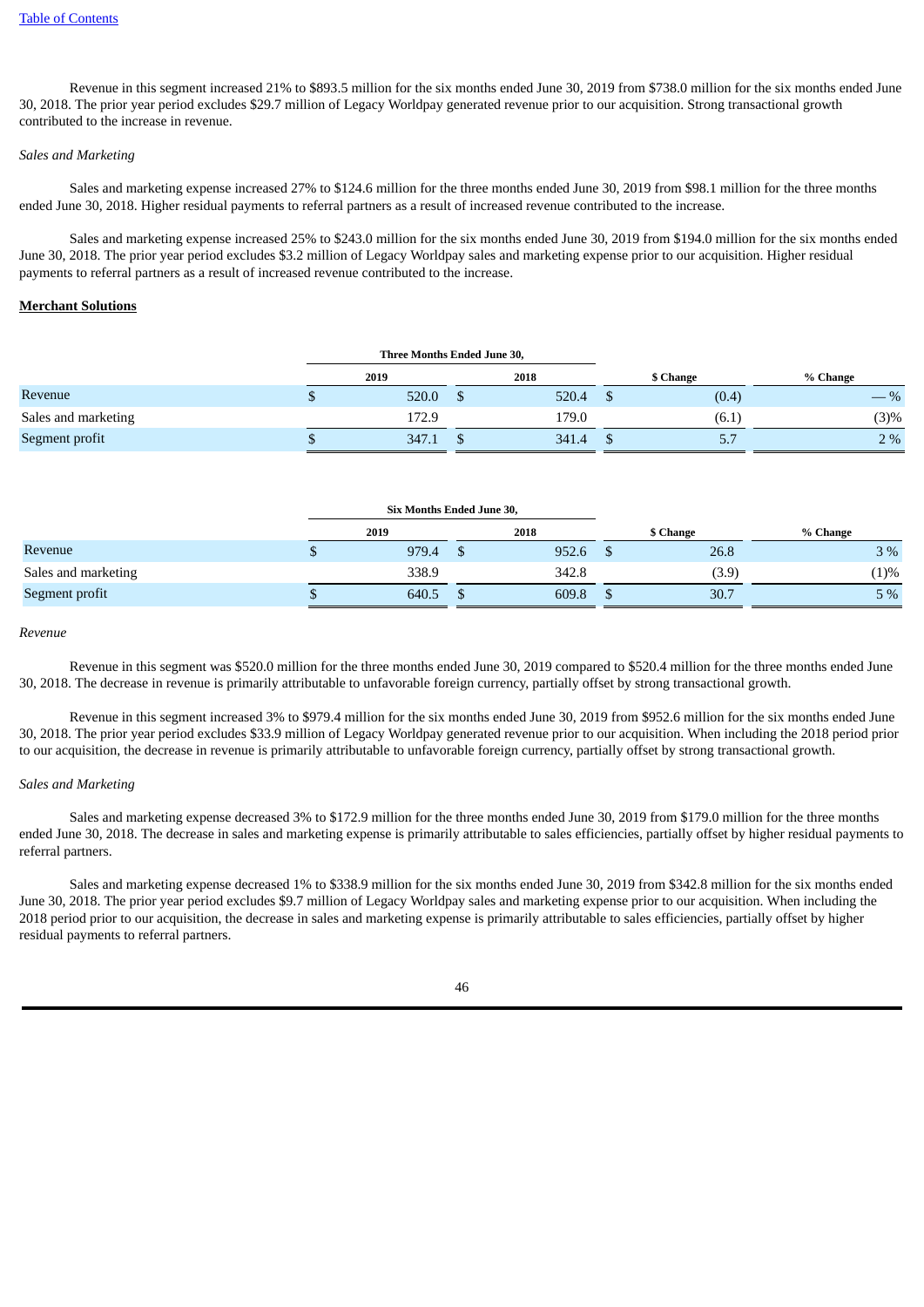Revenue in this segment increased 21% to \$893.5 million for the six months ended June 30, 2019 from \$738.0 million for the six months ended June 30, 2018. The prior year period excludes \$29.7 million of Legacy Worldpay generated revenue prior to our acquisition. Strong transactional growth contributed to the increase in revenue.

### *Sales and Marketing*

Sales and marketing expense increased 27% to \$124.6 million for the three months ended June 30, 2019 from \$98.1 million for the three months ended June 30, 2018. Higher residual payments to referral partners as a result of increased revenue contributed to the increase.

Sales and marketing expense increased 25% to \$243.0 million for the six months ended June 30, 2019 from \$194.0 million for the six months ended June 30, 2018. The prior year period excludes \$3.2 million of Legacy Worldpay sales and marketing expense prior to our acquisition. Higher residual payments to referral partners as a result of increased revenue contributed to the increase.

### **Merchant Solutions**

|                     | Three Months Ended June 30, |       |      |       |  |           |          |
|---------------------|-----------------------------|-------|------|-------|--|-----------|----------|
|                     | 2019                        |       | 2018 |       |  | \$ Change | % Change |
| Revenue             |                             | 520.0 |      | 520.4 |  | (0.4)     | $-$ %    |
| Sales and marketing |                             | 172.9 |      | 179.0 |  | (6.1,     | (3)%     |
| Segment profit      |                             | 347.1 |      | 341.4 |  | 5.7       | $2\%$    |

|                     | <b>Six Months Ended June 30,</b> |       |  |       |  |           |          |
|---------------------|----------------------------------|-------|--|-------|--|-----------|----------|
|                     | 2019                             |       |  | 2018  |  | \$ Change | % Change |
| Revenue             |                                  | 979.4 |  | 952.6 |  | 26.8      | $3\%$    |
| Sales and marketing |                                  | 338.9 |  | 342.8 |  | (3.9)     | (1)%     |
| Segment profit      |                                  | 640.5 |  | 609.8 |  | 30.7      | 5 %      |

#### *Revenue*

Revenue in this segment was \$520.0 million for the three months ended June 30, 2019 compared to \$520.4 million for the three months ended June 30, 2018. The decrease in revenue is primarily attributable to unfavorable foreign currency, partially offset by strong transactional growth.

Revenue in this segment increased 3% to \$979.4 million for the six months ended June 30, 2019 from \$952.6 million for the six months ended June 30, 2018. The prior year period excludes \$33.9 million of Legacy Worldpay generated revenue prior to our acquisition. When including the 2018 period prior to our acquisition, the decrease in revenue is primarily attributable to unfavorable foreign currency, partially offset by strong transactional growth.

### *Sales and Marketing*

Sales and marketing expense decreased 3% to \$172.9 million for the three months ended June 30, 2019 from \$179.0 million for the three months ended June 30, 2018. The decrease in sales and marketing expense is primarily attributable to sales efficiencies, partially offset by higher residual payments to referral partners.

Sales and marketing expense decreased 1% to \$338.9 million for the six months ended June 30, 2019 from \$342.8 million for the six months ended June 30, 2018. The prior year period excludes \$9.7 million of Legacy Worldpay sales and marketing expense prior to our acquisition. When including the 2018 period prior to our acquisition, the decrease in sales and marketing expense is primarily attributable to sales efficiencies, partially offset by higher residual payments to referral partners.

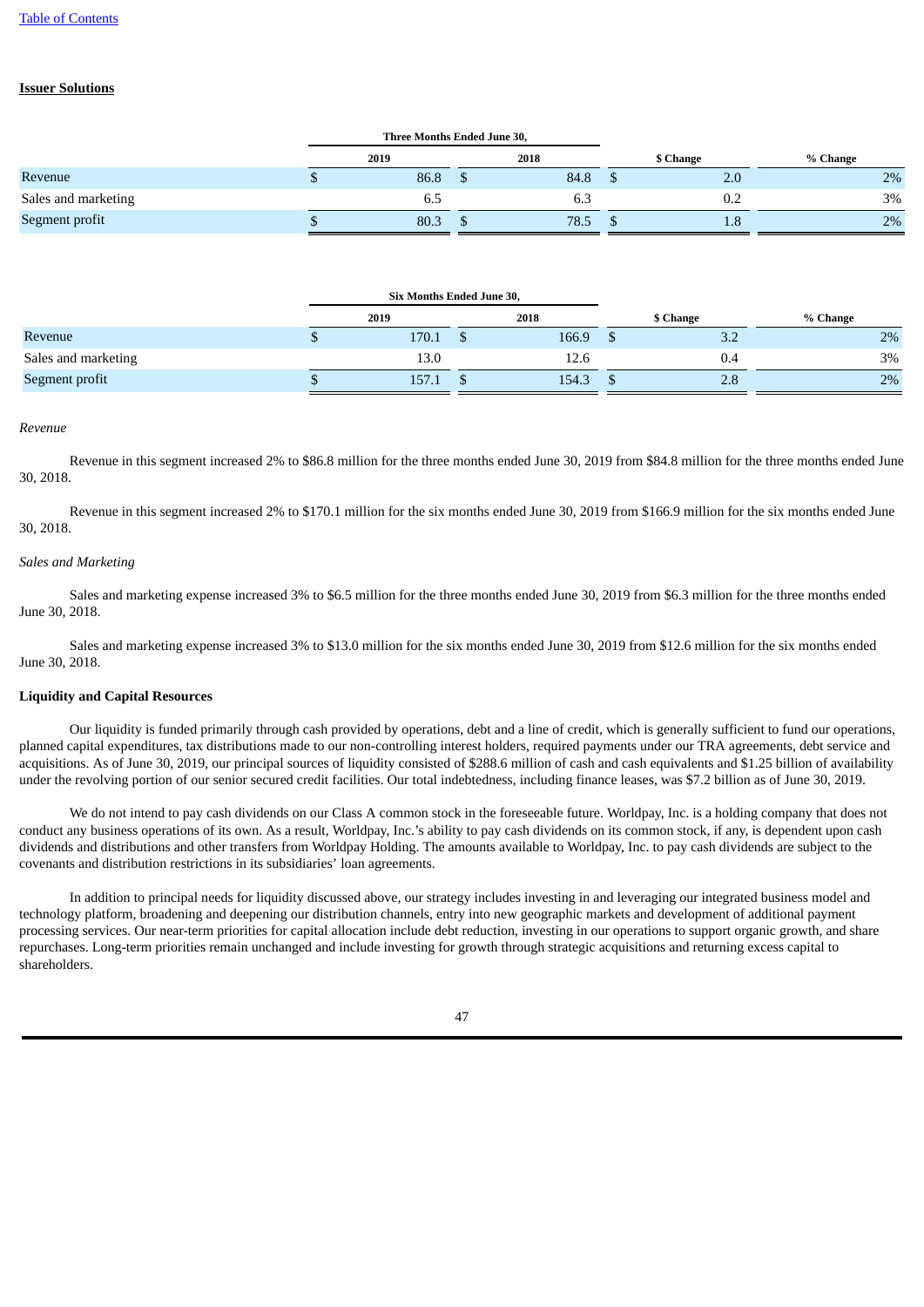## **Issuer Solutions**

|                     | Three Months Ended June 30, |      |  |      |  |           |          |
|---------------------|-----------------------------|------|--|------|--|-----------|----------|
|                     |                             | 2019 |  | 2018 |  | \$ Change | % Change |
| Revenue             | Ψ                           | 86.8 |  | 84.8 |  | 2.0       | 2%       |
| Sales and marketing |                             | 6.5  |  | ხ.პ  |  | 0.2       | 3%       |
| Segment profit      | Φ                           | 80.3 |  | 78.5 |  | 1.8       | 2%       |

|                     | Six Months Ended June 30, |       |            |          |
|---------------------|---------------------------|-------|------------|----------|
|                     | 2019                      | 2018  | \$ Change  | % Change |
| Revenue             | 170.1                     | 166.9 | ר ב<br>ے.د | 2%       |
| Sales and marketing | 13.0                      | 12.6  | 0.4        | 3%       |
| Segment profit      | 157.1                     | 154.3 | 2.8        | 2%       |

#### *Revenue*

Revenue in this segment increased 2% to \$86.8 million for the three months ended June 30, 2019 from \$84.8 million for the three months ended June 30, 2018.

Revenue in this segment increased 2% to \$170.1 million for the six months ended June 30, 2019 from \$166.9 million for the six months ended June 30, 2018.

#### *Sales and Marketing*

Sales and marketing expense increased 3% to \$6.5 million for the three months ended June 30, 2019 from \$6.3 million for the three months ended June 30, 2018.

Sales and marketing expense increased 3% to \$13.0 million for the six months ended June 30, 2019 from \$12.6 million for the six months ended June 30, 2018.

### **Liquidity and Capital Resources**

Our liquidity is funded primarily through cash provided by operations, debt and a line of credit, which is generally sufficient to fund our operations, planned capital expenditures, tax distributions made to our non-controlling interest holders, required payments under our TRA agreements, debt service and acquisitions. As of June 30, 2019, our principal sources of liquidity consisted of \$288.6 million of cash and cash equivalents and \$1.25 billion of availability under the revolving portion of our senior secured credit facilities. Our total indebtedness, including finance leases, was \$7.2 billion as of June 30, 2019.

We do not intend to pay cash dividends on our Class A common stock in the foreseeable future. Worldpay, Inc. is a holding company that does not conduct any business operations of its own. As a result, Worldpay, Inc.'s ability to pay cash dividends on its common stock, if any, is dependent upon cash dividends and distributions and other transfers from Worldpay Holding. The amounts available to Worldpay, Inc. to pay cash dividends are subject to the covenants and distribution restrictions in its subsidiaries' loan agreements.

In addition to principal needs for liquidity discussed above, our strategy includes investing in and leveraging our integrated business model and technology platform, broadening and deepening our distribution channels, entry into new geographic markets and development of additional payment processing services. Our near-term priorities for capital allocation include debt reduction, investing in our operations to support organic growth, and share repurchases. Long-term priorities remain unchanged and include investing for growth through strategic acquisitions and returning excess capital to shareholders.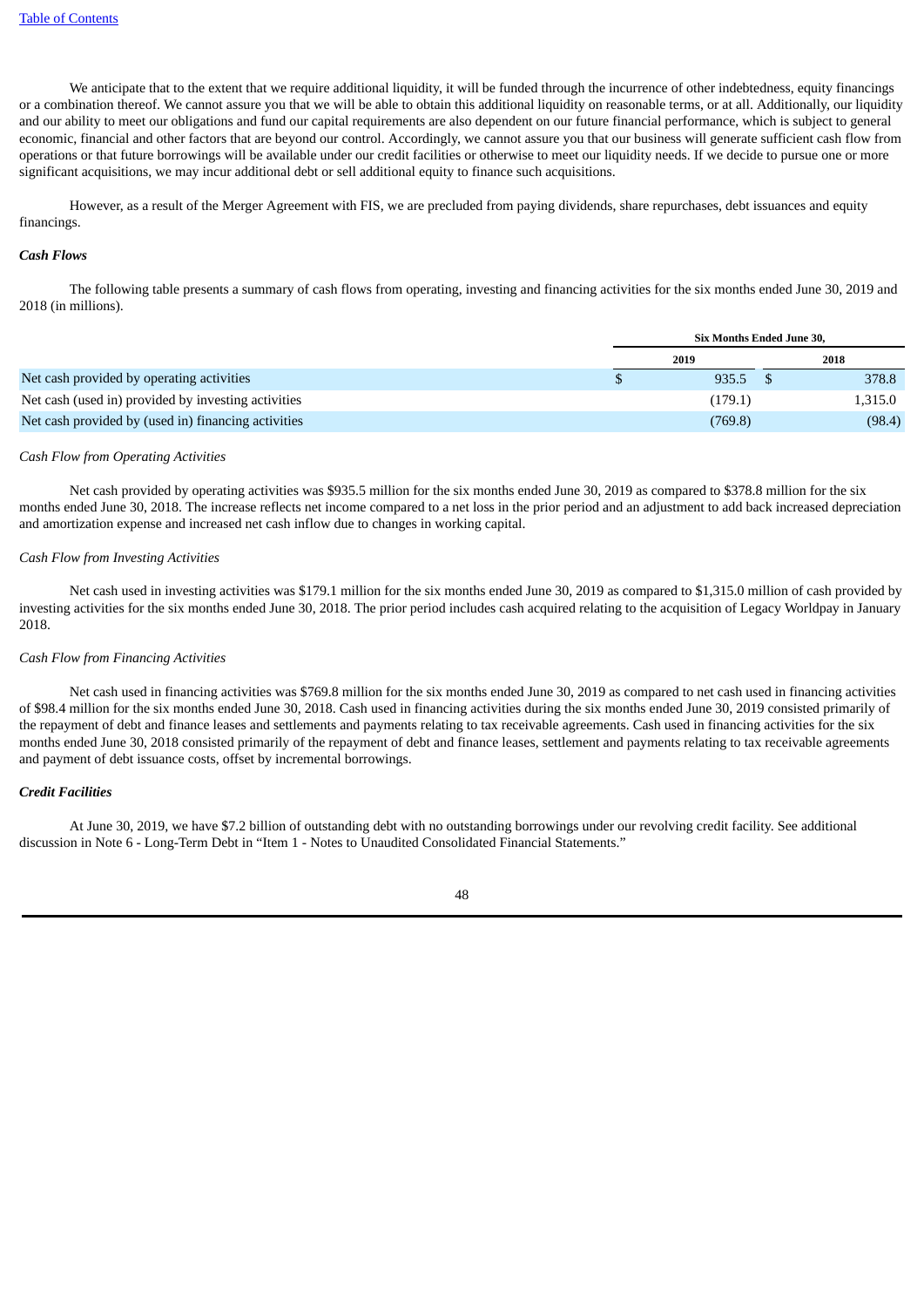We anticipate that to the extent that we require additional liquidity, it will be funded through the incurrence of other indebtedness, equity financings or a combination thereof. We cannot assure you that we will be able to obtain this additional liquidity on reasonable terms, or at all. Additionally, our liquidity and our ability to meet our obligations and fund our capital requirements are also dependent on our future financial performance, which is subject to general economic, financial and other factors that are beyond our control. Accordingly, we cannot assure you that our business will generate sufficient cash flow from operations or that future borrowings will be available under our credit facilities or otherwise to meet our liquidity needs. If we decide to pursue one or more significant acquisitions, we may incur additional debt or sell additional equity to finance such acquisitions.

However, as a result of the Merger Agreement with FIS, we are precluded from paying dividends, share repurchases, debt issuances and equity financings.

#### *Cash Flows*

The following table presents a summary of cash flows from operating, investing and financing activities for the six months ended June 30, 2019 and 2018 (in millions).

|                                                     |      | Six Months Ended June 30. |         |
|-----------------------------------------------------|------|---------------------------|---------|
|                                                     | 2019 |                           | 2018    |
| Net cash provided by operating activities           |      | 935.5                     | 378.8   |
| Net cash (used in) provided by investing activities |      | (179.1)                   | 1,315.0 |
| Net cash provided by (used in) financing activities |      | (769.8)                   | (98.4)  |

### *Cash Flow from Operating Activities*

Net cash provided by operating activities was \$935.5 million for the six months ended June 30, 2019 as compared to \$378.8 million for the six months ended June 30, 2018. The increase reflects net income compared to a net loss in the prior period and an adjustment to add back increased depreciation and amortization expense and increased net cash inflow due to changes in working capital.

### *Cash Flow from Investing Activities*

Net cash used in investing activities was \$179.1 million for the six months ended June 30, 2019 as compared to \$1,315.0 million of cash provided by investing activities for the six months ended June 30, 2018. The prior period includes cash acquired relating to the acquisition of Legacy Worldpay in January 2018.

### *Cash Flow from Financing Activities*

Net cash used in financing activities was \$769.8 million for the six months ended June 30, 2019 as compared to net cash used in financing activities of \$98.4 million for the six months ended June 30, 2018. Cash used in financing activities during the six months ended June 30, 2019 consisted primarily of the repayment of debt and finance leases and settlements and payments relating to tax receivable agreements. Cash used in financing activities for the six months ended June 30, 2018 consisted primarily of the repayment of debt and finance leases, settlement and payments relating to tax receivable agreements and payment of debt issuance costs, offset by incremental borrowings.

### *Credit Facilities*

At June 30, 2019, we have \$7.2 billion of outstanding debt with no outstanding borrowings under our revolving credit facility. See additional discussion in Note 6 - Long-Term Debt in "Item 1 - Notes to Unaudited Consolidated Financial Statements."

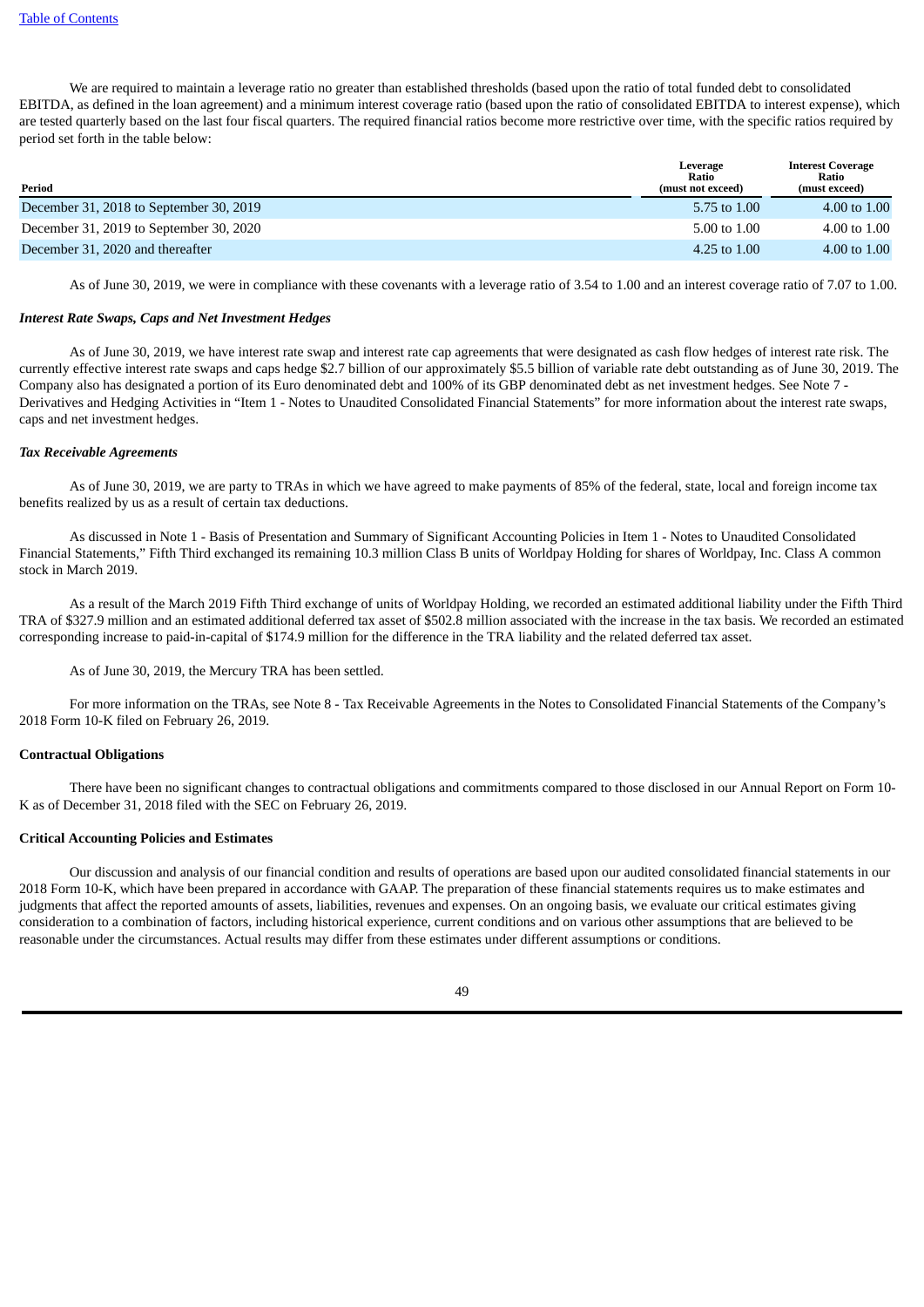We are required to maintain a leverage ratio no greater than established thresholds (based upon the ratio of total funded debt to consolidated EBITDA, as defined in the loan agreement) and a minimum interest coverage ratio (based upon the ratio of consolidated EBITDA to interest expense), which are tested quarterly based on the last four fiscal quarters. The required financial ratios become more restrictive over time, with the specific ratios required by period set forth in the table below:

| Period                                  | Leverage<br>Ratio<br>(must not exceed) | <b>Interest Coverage</b><br>Ratio<br>(must exceed) |
|-----------------------------------------|----------------------------------------|----------------------------------------------------|
| December 31, 2018 to September 30, 2019 | 5.75 to 1.00                           | 4.00 to 1.00                                       |
| December 31, 2019 to September 30, 2020 | 5.00 to $1.00$                         | 4.00 to 1.00                                       |
| December 31, 2020 and thereafter        | 4.25 to 1.00                           | 4.00 to 1.00                                       |

As of June 30, 2019, we were in compliance with these covenants with a leverage ratio of 3.54 to 1.00 and an interest coverage ratio of 7.07 to 1.00.

### *Interest Rate Swaps, Caps and Net Investment Hedges*

As of June 30, 2019, we have interest rate swap and interest rate cap agreements that were designated as cash flow hedges of interest rate risk. The currently effective interest rate swaps and caps hedge \$2.7 billion of our approximately \$5.5 billion of variable rate debt outstanding as of June 30, 2019. The Company also has designated a portion of its Euro denominated debt and 100% of its GBP denominated debt as net investment hedges. See Note 7 - Derivatives and Hedging Activities in "Item 1 - Notes to Unaudited Consolidated Financial Statements" for more information about the interest rate swaps, caps and net investment hedges.

### *Tax Receivable Agreements*

As of June 30, 2019, we are party to TRAs in which we have agreed to make payments of 85% of the federal, state, local and foreign income tax benefits realized by us as a result of certain tax deductions.

As discussed in Note 1 - Basis of Presentation and Summary of Significant Accounting Policies in Item 1 - Notes to Unaudited Consolidated Financial Statements," Fifth Third exchanged its remaining 10.3 million Class B units of Worldpay Holding for shares of Worldpay, Inc. Class A common stock in March 2019.

As a result of the March 2019 Fifth Third exchange of units of Worldpay Holding, we recorded an estimated additional liability under the Fifth Third TRA of \$327.9 million and an estimated additional deferred tax asset of \$502.8 million associated with the increase in the tax basis. We recorded an estimated corresponding increase to paid-in-capital of \$174.9 million for the difference in the TRA liability and the related deferred tax asset.

### As of June 30, 2019, the Mercury TRA has been settled.

For more information on the TRAs, see Note 8 - Tax Receivable Agreements in the Notes to Consolidated Financial Statements of the Company's 2018 Form 10-K filed on February 26, 2019.

### **Contractual Obligations**

There have been no significant changes to contractual obligations and commitments compared to those disclosed in our Annual Report on Form 10- K as of December 31, 2018 filed with the SEC on February 26, 2019.

### **Critical Accounting Policies and Estimates**

Our discussion and analysis of our financial condition and results of operations are based upon our audited consolidated financial statements in our 2018 Form 10-K, which have been prepared in accordance with GAAP. The preparation of these financial statements requires us to make estimates and judgments that affect the reported amounts of assets, liabilities, revenues and expenses. On an ongoing basis, we evaluate our critical estimates giving consideration to a combination of factors, including historical experience, current conditions and on various other assumptions that are believed to be reasonable under the circumstances. Actual results may differ from these estimates under different assumptions or conditions.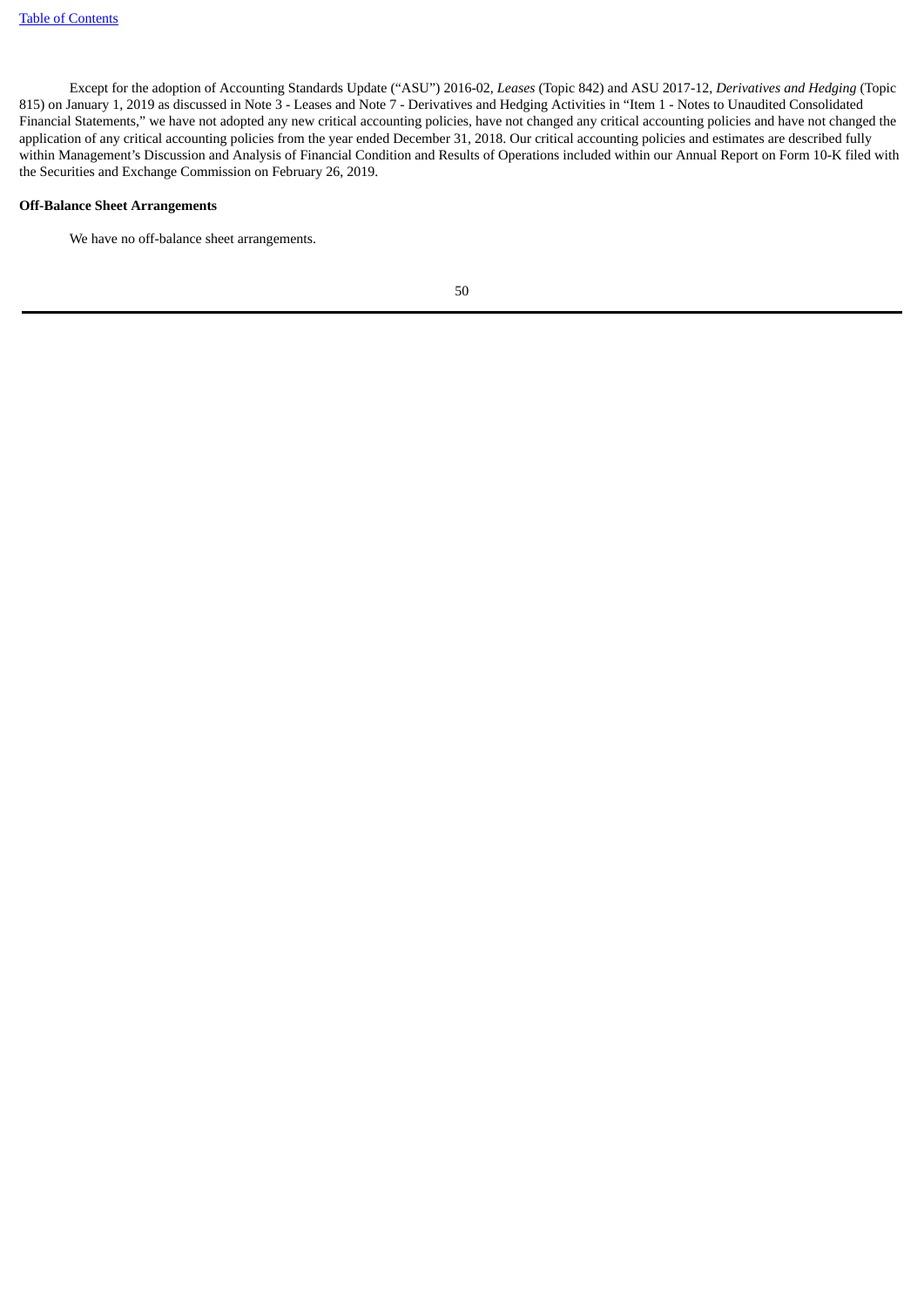Except for the adoption of Accounting Standards Update ("ASU") 2016-02, *Leases* (Topic 842) and ASU 2017-12, *Derivatives and Hedging* (Topic 815) on January 1, 2019 as discussed in Note 3 - Leases and Note 7 - Derivatives and Hedging Activities in "Item 1 - Notes to Unaudited Consolidated Financial Statements," we have not adopted any new critical accounting policies, have not changed any critical accounting policies and have not changed the application of any critical accounting policies from the year ended December 31, 2018. Our critical accounting policies and estimates are described fully within Management's Discussion and Analysis of Financial Condition and Results of Operations included within our Annual Report on Form 10-K filed with the Securities and Exchange Commission on February 26, 2019.

### **Off-Balance Sheet Arrangements**

We have no off-balance sheet arrangements.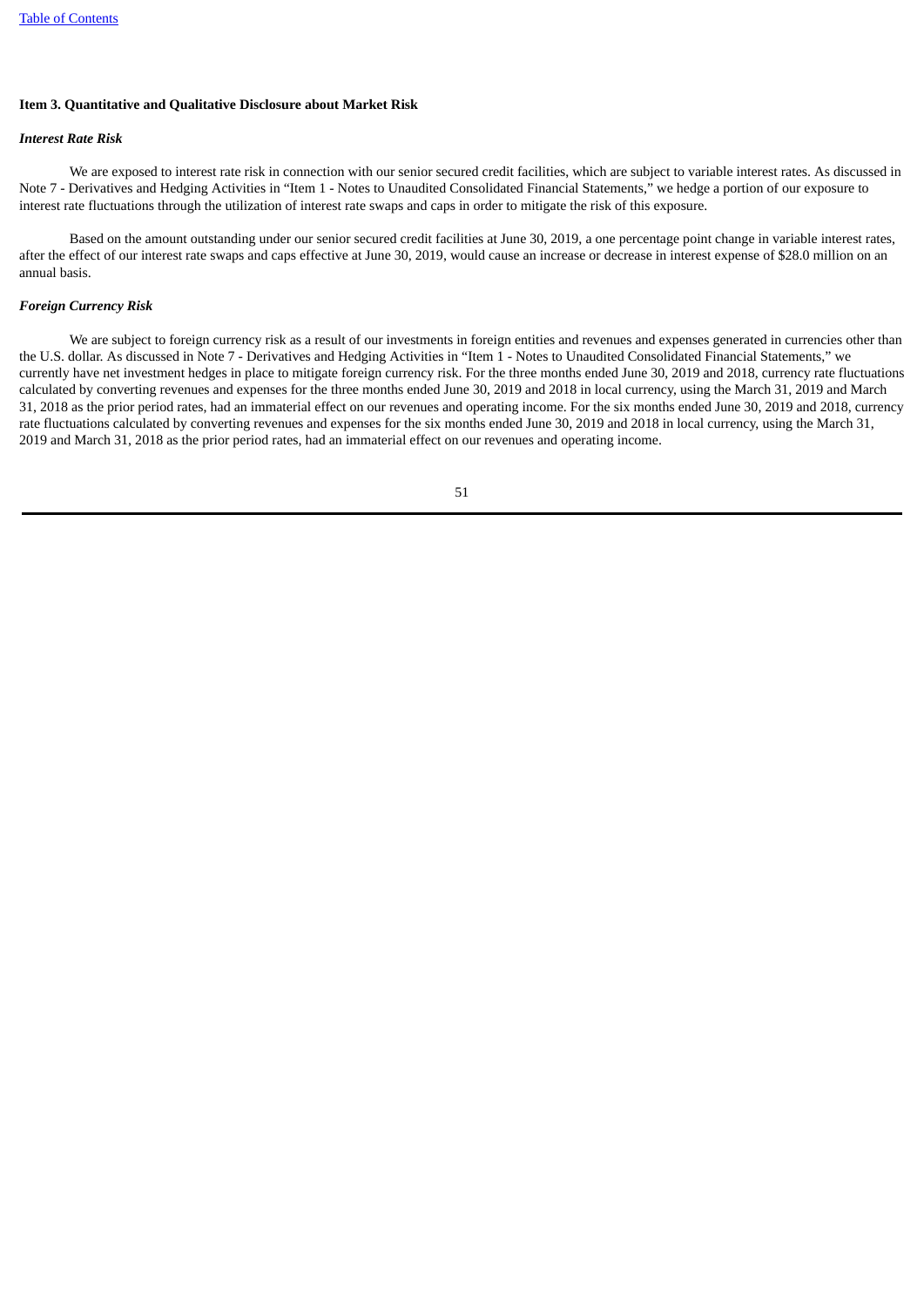### <span id="page-50-0"></span>**Item 3. Quantitative and Qualitative Disclosure about Market Risk**

### *Interest Rate Risk*

We are exposed to interest rate risk in connection with our senior secured credit facilities, which are subject to variable interest rates. As discussed in Note 7 - Derivatives and Hedging Activities in "Item 1 - Notes to Unaudited Consolidated Financial Statements," we hedge a portion of our exposure to interest rate fluctuations through the utilization of interest rate swaps and caps in order to mitigate the risk of this exposure.

Based on the amount outstanding under our senior secured credit facilities at June 30, 2019, a one percentage point change in variable interest rates, after the effect of our interest rate swaps and caps effective at June 30, 2019, would cause an increase or decrease in interest expense of \$28.0 million on an annual basis.

### *Foreign Currency Risk*

We are subject to foreign currency risk as a result of our investments in foreign entities and revenues and expenses generated in currencies other than the U.S. dollar. As discussed in Note 7 - Derivatives and Hedging Activities in "Item 1 - Notes to Unaudited Consolidated Financial Statements," we currently have net investment hedges in place to mitigate foreign currency risk. For the three months ended June 30, 2019 and 2018, currency rate fluctuations calculated by converting revenues and expenses for the three months ended June 30, 2019 and 2018 in local currency, using the March 31, 2019 and March 31, 2018 as the prior period rates, had an immaterial effect on our revenues and operating income. For the six months ended June 30, 2019 and 2018, currency rate fluctuations calculated by converting revenues and expenses for the six months ended June 30, 2019 and 2018 in local currency, using the March 31, 2019 and March 31, 2018 as the prior period rates, had an immaterial effect on our revenues and operating income.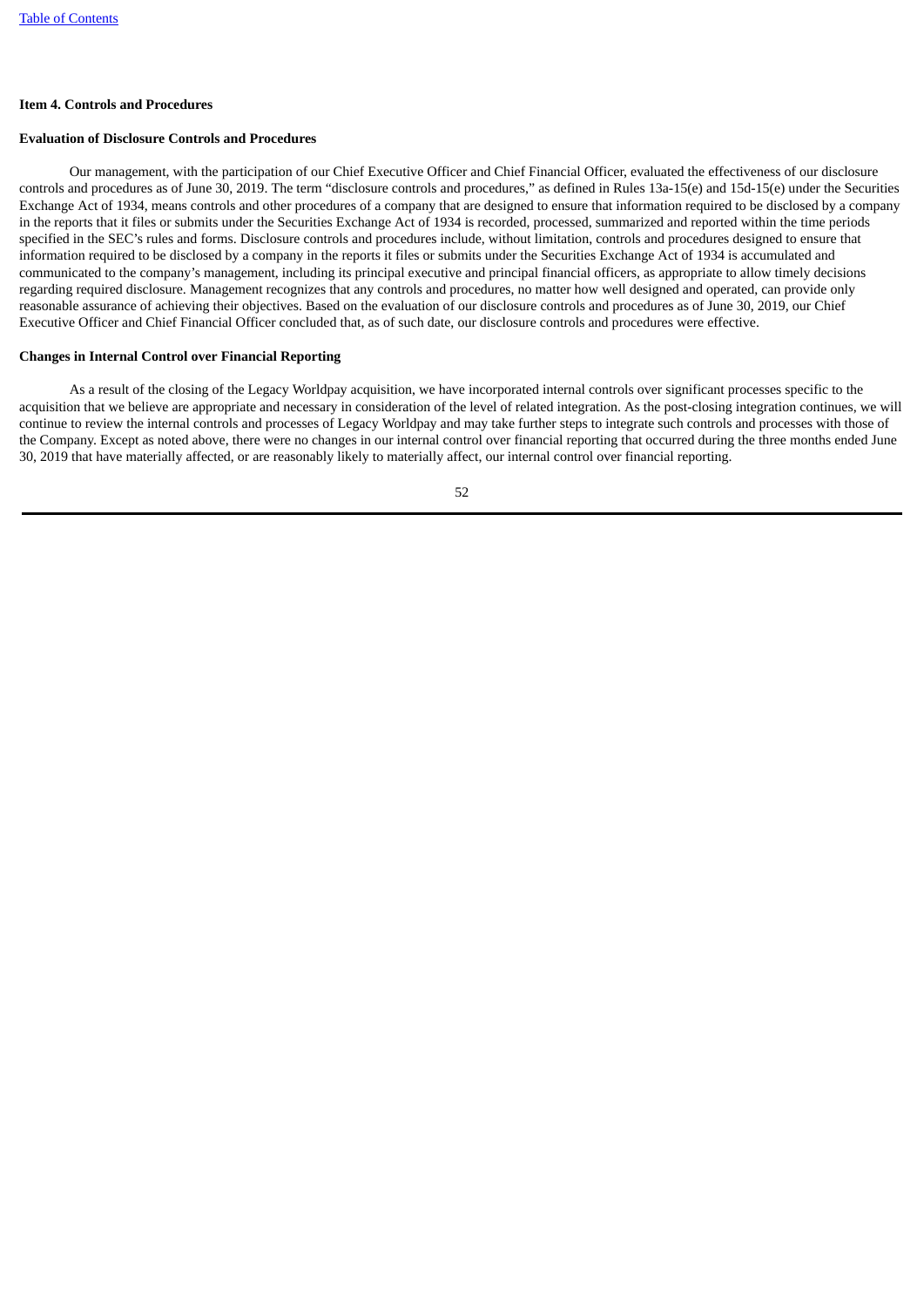### <span id="page-51-0"></span>**Item 4. Controls and Procedures**

### **Evaluation of Disclosure Controls and Procedures**

Our management, with the participation of our Chief Executive Officer and Chief Financial Officer, evaluated the effectiveness of our disclosure controls and procedures as of June 30, 2019. The term "disclosure controls and procedures," as defined in Rules 13a-15(e) and 15d-15(e) under the Securities Exchange Act of 1934, means controls and other procedures of a company that are designed to ensure that information required to be disclosed by a company in the reports that it files or submits under the Securities Exchange Act of 1934 is recorded, processed, summarized and reported within the time periods specified in the SEC's rules and forms. Disclosure controls and procedures include, without limitation, controls and procedures designed to ensure that information required to be disclosed by a company in the reports it files or submits under the Securities Exchange Act of 1934 is accumulated and communicated to the company's management, including its principal executive and principal financial officers, as appropriate to allow timely decisions regarding required disclosure. Management recognizes that any controls and procedures, no matter how well designed and operated, can provide only reasonable assurance of achieving their objectives. Based on the evaluation of our disclosure controls and procedures as of June 30, 2019, our Chief Executive Officer and Chief Financial Officer concluded that, as of such date, our disclosure controls and procedures were effective.

### **Changes in Internal Control over Financial Reporting**

As a result of the closing of the Legacy Worldpay acquisition, we have incorporated internal controls over significant processes specific to the acquisition that we believe are appropriate and necessary in consideration of the level of related integration. As the post-closing integration continues, we will continue to review the internal controls and processes of Legacy Worldpay and may take further steps to integrate such controls and processes with those of the Company. Except as noted above, there were no changes in our internal control over financial reporting that occurred during the three months ended June 30, 2019 that have materially affected, or are reasonably likely to materially affect, our internal control over financial reporting.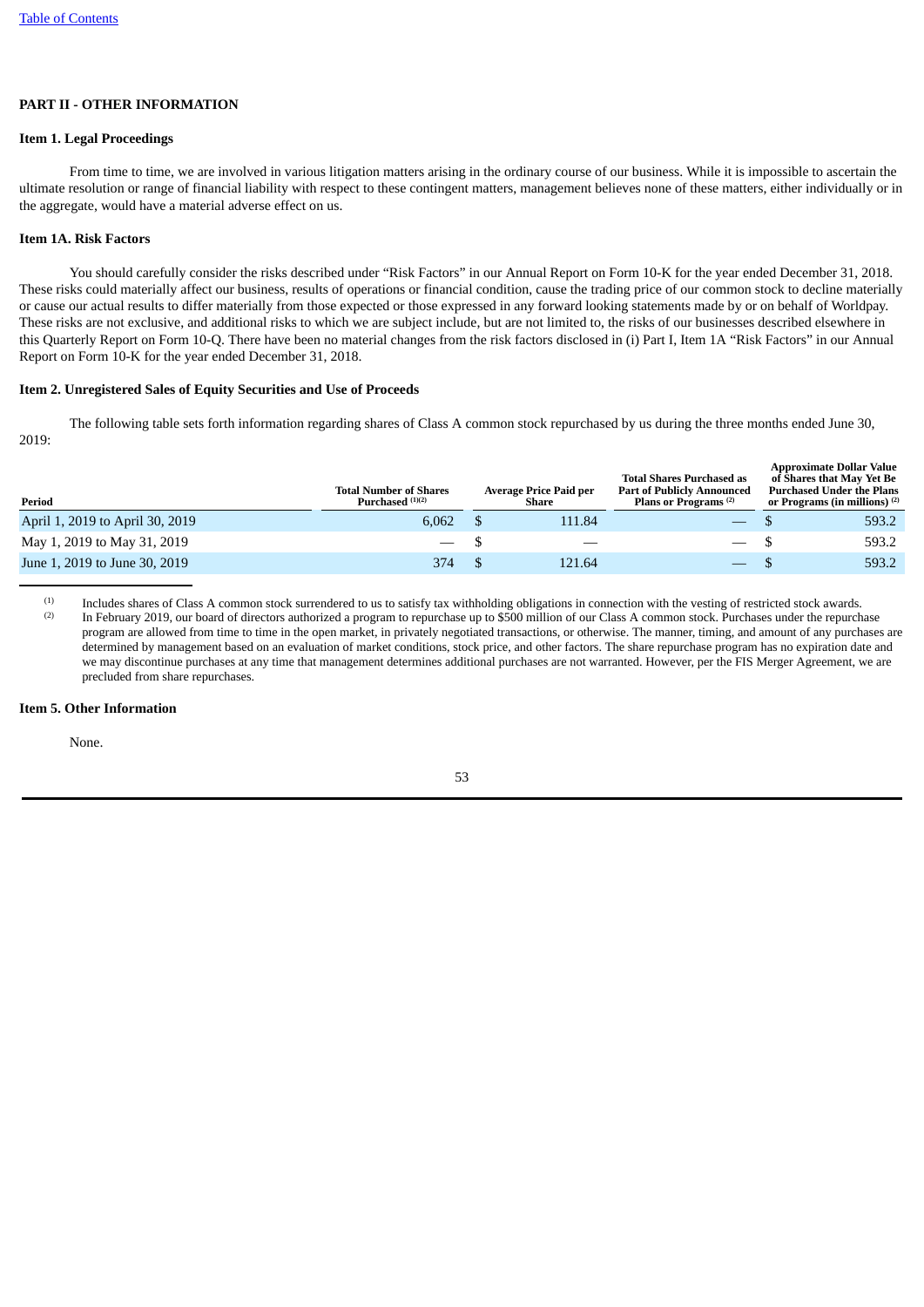## <span id="page-52-1"></span><span id="page-52-0"></span>**PART II - OTHER INFORMATION**

## **Item 1. Legal Proceedings**

From time to time, we are involved in various litigation matters arising in the ordinary course of our business. While it is impossible to ascertain the ultimate resolution or range of financial liability with respect to these contingent matters, management believes none of these matters, either individually or in the aggregate, would have a material adverse effect on us.

## <span id="page-52-2"></span>**Item 1A. Risk Factors**

You should carefully consider the risks described under "Risk Factors" in our Annual Report on Form 10-K for the year ended December 31, 2018. These risks could materially affect our business, results of operations or financial condition, cause the trading price of our common stock to decline materially or cause our actual results to differ materially from those expected or those expressed in any forward looking statements made by or on behalf of Worldpay. These risks are not exclusive, and additional risks to which we are subject include, but are not limited to, the risks of our businesses described elsewhere in this Quarterly Report on Form 10-Q. There have been no material changes from the risk factors disclosed in (i) Part I, Item 1A "Risk Factors" in our Annual Report on Form 10-K for the year ended December 31, 2018.

## <span id="page-52-3"></span>**Item 2. Unregistered Sales of Equity Securities and Use of Proceeds**

The following table sets forth information regarding shares of Class A common stock repurchased by us during the three months ended June 30, 2019:

| Period                          | <b>Total Number of Shares</b><br>Purchased (1)(2) | Average Price Paid per<br>Share | <b>Total Shares Purchased as</b><br><b>Part of Publicly Announced</b><br>Plans or Programs <sup>(2)</sup> | <b>Approximate Dollar Value</b><br>of Shares that May Yet Be<br><b>Purchased Under the Plans</b><br>or Programs (in millions) (2) |
|---------------------------------|---------------------------------------------------|---------------------------------|-----------------------------------------------------------------------------------------------------------|-----------------------------------------------------------------------------------------------------------------------------------|
| April 1, 2019 to April 30, 2019 | 6.062                                             | 111.84                          |                                                                                                           | 593.2                                                                                                                             |
| May 1, 2019 to May 31, 2019     |                                                   |                                 | $\overline{\phantom{a}}$                                                                                  | 593.2                                                                                                                             |
| June 1, 2019 to June 30, 2019   | 374                                               | 121.64                          |                                                                                                           | 593.2                                                                                                                             |

(1) Includes shares of Class A common stock surrendered to us to satisfy tax withholding obligations in connection with the vesting of restricted stock awards.<br>(2) In Eebruary 2019, our board of directors authorized a prog In February 2019, our board of directors authorized a program to repurchase up to \$500 million of our Class A common stock. Purchases under the repurchase program are allowed from time to time in the open market, in privately negotiated transactions, or otherwise. The manner, timing, and amount of any purchases are determined by management based on an evaluation of market conditions, stock price, and other factors. The share repurchase program has no expiration date and we may discontinue purchases at any time that management determines additional purchases are not warranted. However, per the FIS Merger Agreement, we are precluded from share repurchases.

## <span id="page-52-4"></span>**Item 5. Other Information**

None.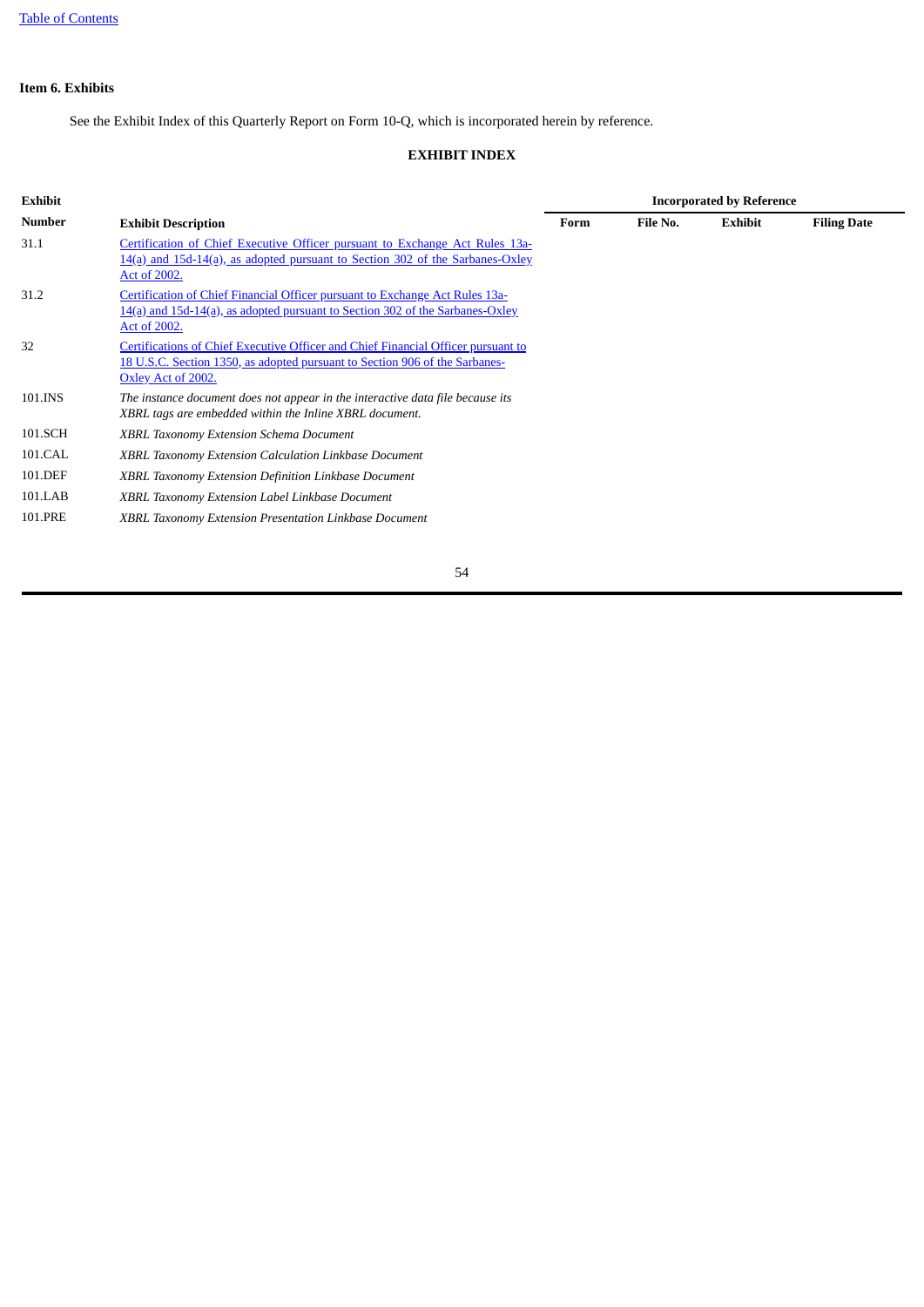## <span id="page-53-0"></span>**Item 6. Exhibits**

See the Exhibit Index of this Quarterly Report on Form 10-Q, which is incorporated herein by reference.

# **EXHIBIT INDEX**

| Exhibit       |                                                                                                                                                                                        | <b>Incorporated by Reference</b> |          |                |                    |
|---------------|----------------------------------------------------------------------------------------------------------------------------------------------------------------------------------------|----------------------------------|----------|----------------|--------------------|
| <b>Number</b> | <b>Exhibit Description</b>                                                                                                                                                             | Form                             | File No. | <b>Exhibit</b> | <b>Filing Date</b> |
| 31.1          | Certification of Chief Executive Officer pursuant to Exchange Act Rules 13a-<br>$14(a)$ and $15d-14(a)$ , as adopted pursuant to Section 302 of the Sarbanes-Oxley<br>Act of 2002.     |                                  |          |                |                    |
| 31.2          | Certification of Chief Financial Officer pursuant to Exchange Act Rules 13a-<br>$14(a)$ and $15d-14(a)$ , as adopted pursuant to Section 302 of the Sarbanes-Oxley<br>Act of 2002.     |                                  |          |                |                    |
| 32            | Certifications of Chief Executive Officer and Chief Financial Officer pursuant to<br>18 U.S.C. Section 1350, as adopted pursuant to Section 906 of the Sarbanes-<br>Oxley Act of 2002. |                                  |          |                |                    |
| 101.INS       | The instance document does not appear in the interactive data file because its<br>XBRL tags are embedded within the Inline XBRL document.                                              |                                  |          |                |                    |
| 101.SCH       | XBRL Taxonomy Extension Schema Document                                                                                                                                                |                                  |          |                |                    |
| 101.CAL       | XBRL Taxonomy Extension Calculation Linkbase Document                                                                                                                                  |                                  |          |                |                    |
| 101.DEF       | XBRL Taxonomy Extension Definition Linkbase Document                                                                                                                                   |                                  |          |                |                    |
| 101.LAB       | XBRL Taxonomy Extension Label Linkbase Document                                                                                                                                        |                                  |          |                |                    |
| 101.PRE       | XBRL Taxonomy Extension Presentation Linkbase Document                                                                                                                                 |                                  |          |                |                    |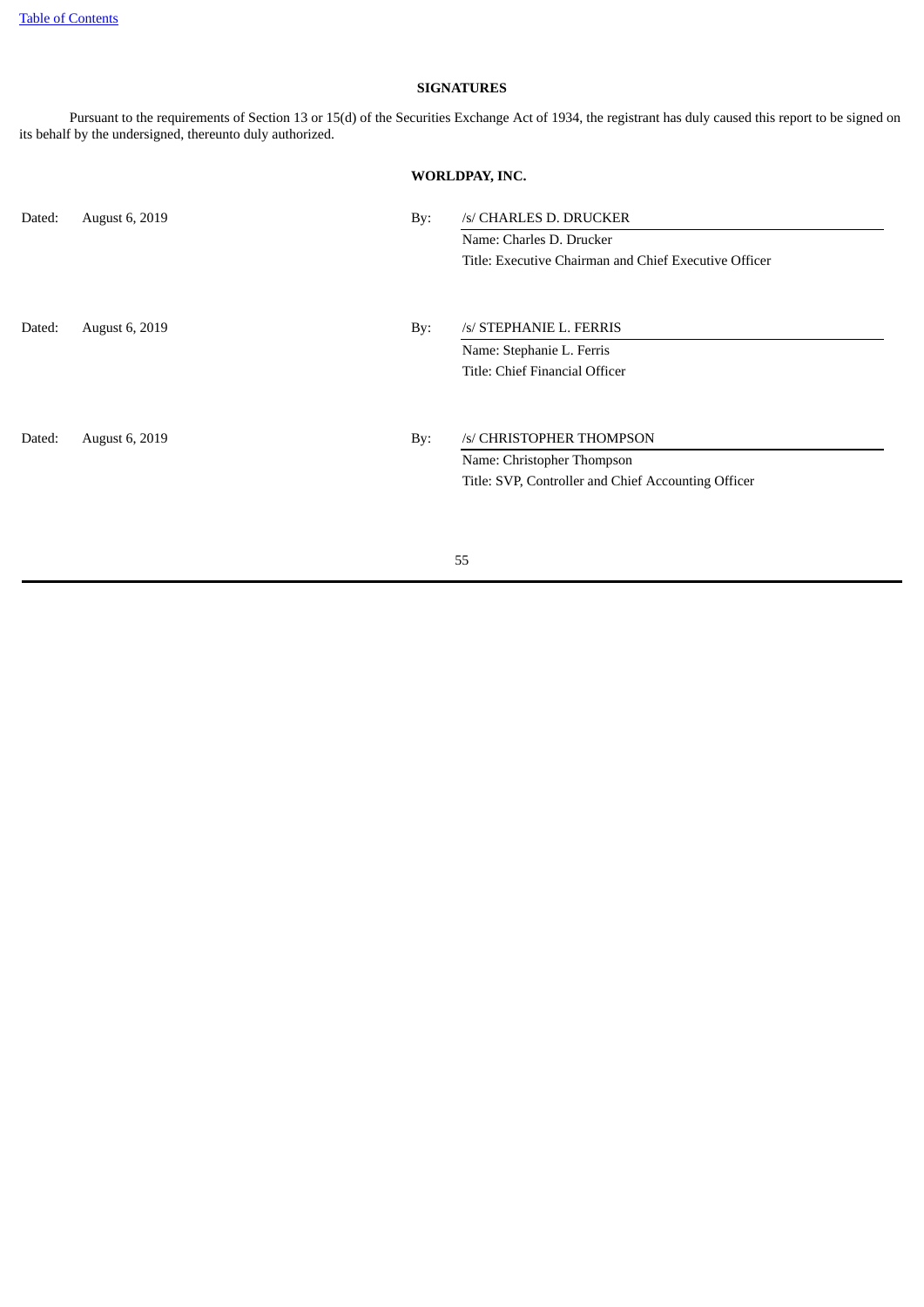## **SIGNATURES**

Pursuant to the requirements of Section 13 or 15(d) of the Securities Exchange Act of 1934, the registrant has duly caused this report to be signed on its behalf by the undersigned, thereunto duly authorized.

|        |                |     | WORLDPAY, INC.                                                                                                |
|--------|----------------|-----|---------------------------------------------------------------------------------------------------------------|
| Dated: | August 6, 2019 | By: | /s/ CHARLES D. DRUCKER<br>Name: Charles D. Drucker<br>Title: Executive Chairman and Chief Executive Officer   |
| Dated: | August 6, 2019 | By: | /s/ STEPHANIE L. FERRIS<br>Name: Stephanie L. Ferris<br>Title: Chief Financial Officer                        |
| Dated: | August 6, 2019 | By: | /s/ CHRISTOPHER THOMPSON<br>Name: Christopher Thompson<br>Title: SVP, Controller and Chief Accounting Officer |
|        |                |     | 55                                                                                                            |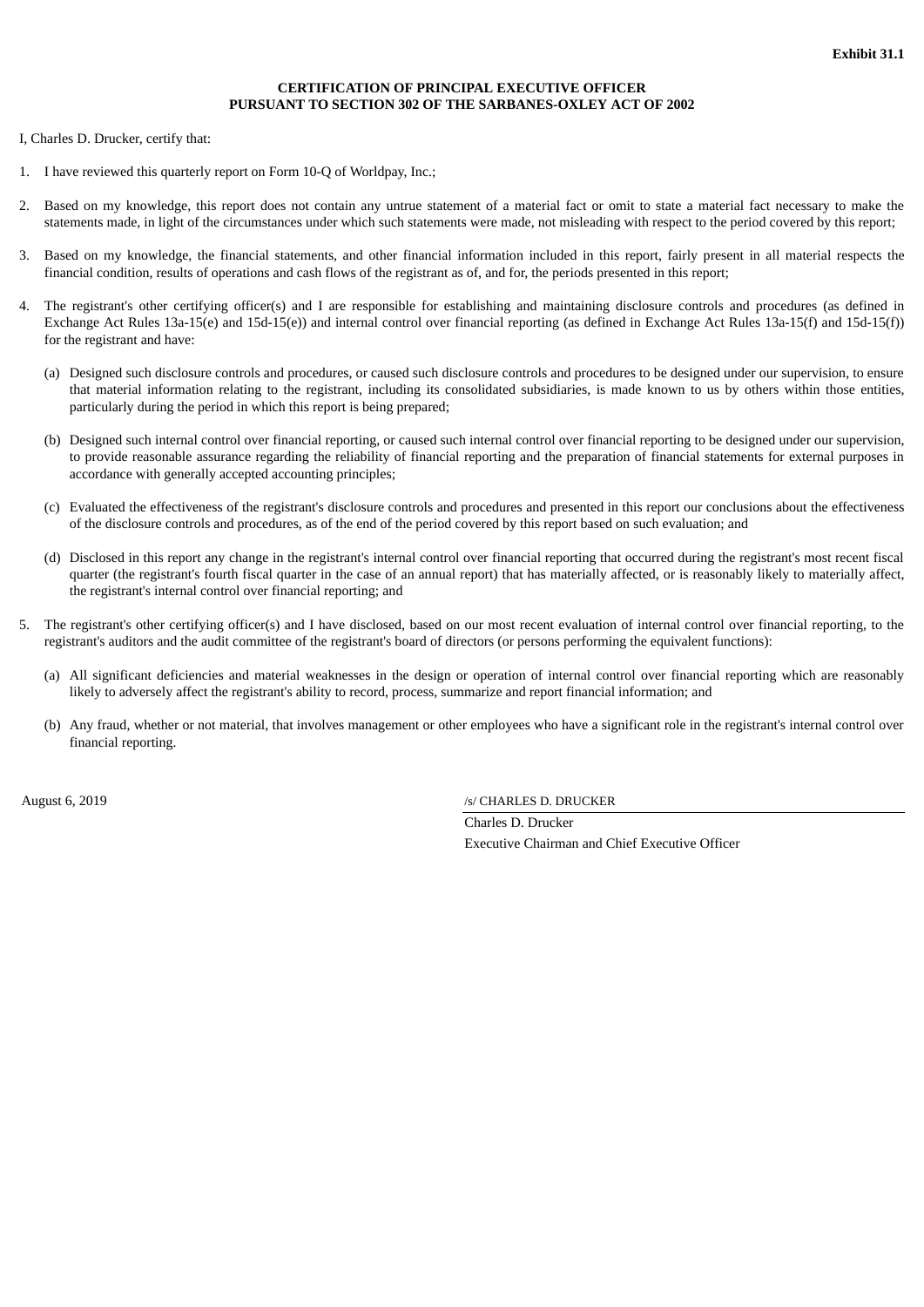## **CERTIFICATION OF PRINCIPAL EXECUTIVE OFFICER PURSUANT TO SECTION 302 OF THE SARBANES-OXLEY ACT OF 2002**

<span id="page-55-0"></span>I, Charles D. Drucker, certify that:

- 1. I have reviewed this quarterly report on Form 10-Q of Worldpay, Inc.;
- 2. Based on my knowledge, this report does not contain any untrue statement of a material fact or omit to state a material fact necessary to make the statements made, in light of the circumstances under which such statements were made, not misleading with respect to the period covered by this report;
- 3. Based on my knowledge, the financial statements, and other financial information included in this report, fairly present in all material respects the financial condition, results of operations and cash flows of the registrant as of, and for, the periods presented in this report;
- 4. The registrant's other certifying officer(s) and I are responsible for establishing and maintaining disclosure controls and procedures (as defined in Exchange Act Rules 13a-15(e) and 15d-15(e)) and internal control over financial reporting (as defined in Exchange Act Rules 13a-15(f) and 15d-15(f)) for the registrant and have:
	- (a) Designed such disclosure controls and procedures, or caused such disclosure controls and procedures to be designed under our supervision, to ensure that material information relating to the registrant, including its consolidated subsidiaries, is made known to us by others within those entities, particularly during the period in which this report is being prepared;
	- (b) Designed such internal control over financial reporting, or caused such internal control over financial reporting to be designed under our supervision, to provide reasonable assurance regarding the reliability of financial reporting and the preparation of financial statements for external purposes in accordance with generally accepted accounting principles;
	- (c) Evaluated the effectiveness of the registrant's disclosure controls and procedures and presented in this report our conclusions about the effectiveness of the disclosure controls and procedures, as of the end of the period covered by this report based on such evaluation; and
	- (d) Disclosed in this report any change in the registrant's internal control over financial reporting that occurred during the registrant's most recent fiscal quarter (the registrant's fourth fiscal quarter in the case of an annual report) that has materially affected, or is reasonably likely to materially affect, the registrant's internal control over financial reporting; and
- 5. The registrant's other certifying officer(s) and I have disclosed, based on our most recent evaluation of internal control over financial reporting, to the registrant's auditors and the audit committee of the registrant's board of directors (or persons performing the equivalent functions):
	- (a) All significant deficiencies and material weaknesses in the design or operation of internal control over financial reporting which are reasonably likely to adversely affect the registrant's ability to record, process, summarize and report financial information; and
	- (b) Any fraud, whether or not material, that involves management or other employees who have a significant role in the registrant's internal control over financial reporting.

August 6, 2019 / /s/ CHARLES D. DRUCKER

Charles D. Drucker Executive Chairman and Chief Executive Officer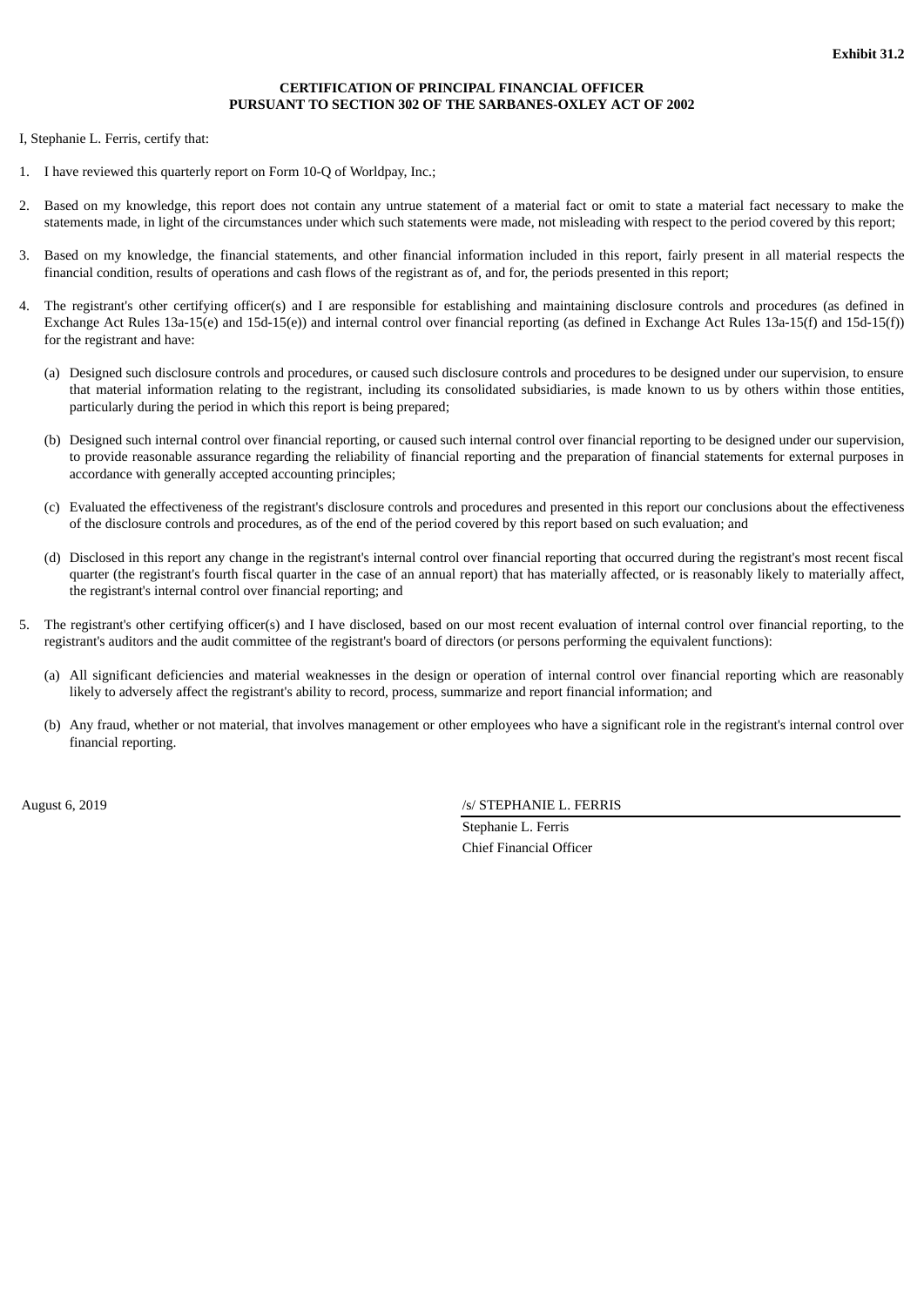## **CERTIFICATION OF PRINCIPAL FINANCIAL OFFICER PURSUANT TO SECTION 302 OF THE SARBANES-OXLEY ACT OF 2002**

<span id="page-56-0"></span>I, Stephanie L. Ferris, certify that:

- 1. I have reviewed this quarterly report on Form 10-Q of Worldpay, Inc.;
- 2. Based on my knowledge, this report does not contain any untrue statement of a material fact or omit to state a material fact necessary to make the statements made, in light of the circumstances under which such statements were made, not misleading with respect to the period covered by this report;
- 3. Based on my knowledge, the financial statements, and other financial information included in this report, fairly present in all material respects the financial condition, results of operations and cash flows of the registrant as of, and for, the periods presented in this report;
- 4. The registrant's other certifying officer(s) and I are responsible for establishing and maintaining disclosure controls and procedures (as defined in Exchange Act Rules 13a-15(e) and 15d-15(e)) and internal control over financial reporting (as defined in Exchange Act Rules 13a-15(f) and 15d-15(f)) for the registrant and have:
	- (a) Designed such disclosure controls and procedures, or caused such disclosure controls and procedures to be designed under our supervision, to ensure that material information relating to the registrant, including its consolidated subsidiaries, is made known to us by others within those entities, particularly during the period in which this report is being prepared;
	- (b) Designed such internal control over financial reporting, or caused such internal control over financial reporting to be designed under our supervision, to provide reasonable assurance regarding the reliability of financial reporting and the preparation of financial statements for external purposes in accordance with generally accepted accounting principles;
	- (c) Evaluated the effectiveness of the registrant's disclosure controls and procedures and presented in this report our conclusions about the effectiveness of the disclosure controls and procedures, as of the end of the period covered by this report based on such evaluation; and
	- (d) Disclosed in this report any change in the registrant's internal control over financial reporting that occurred during the registrant's most recent fiscal quarter (the registrant's fourth fiscal quarter in the case of an annual report) that has materially affected, or is reasonably likely to materially affect, the registrant's internal control over financial reporting; and
- 5. The registrant's other certifying officer(s) and I have disclosed, based on our most recent evaluation of internal control over financial reporting, to the registrant's auditors and the audit committee of the registrant's board of directors (or persons performing the equivalent functions):
	- (a) All significant deficiencies and material weaknesses in the design or operation of internal control over financial reporting which are reasonably likely to adversely affect the registrant's ability to record, process, summarize and report financial information; and
	- (b) Any fraud, whether or not material, that involves management or other employees who have a significant role in the registrant's internal control over financial reporting.

August 6, 2019 / /s/ STEPHANIE L. FERRIS

Stephanie L. Ferris Chief Financial Officer